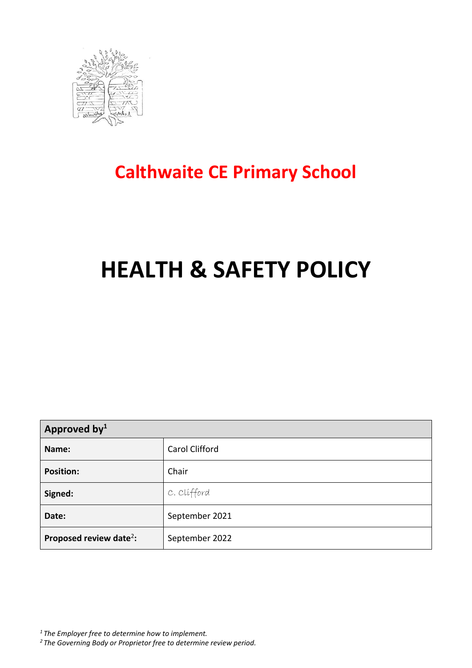

## **Calthwaite CE Primary School**

# **HEALTH & SAFETY POLICY**

| Approved by $1$                     |                |
|-------------------------------------|----------------|
| Name:                               | Carol Clifford |
| <b>Position:</b>                    | Chair          |
| Signed:                             | C. Clífford    |
| Date:                               | September 2021 |
| Proposed review date <sup>2</sup> : | September 2022 |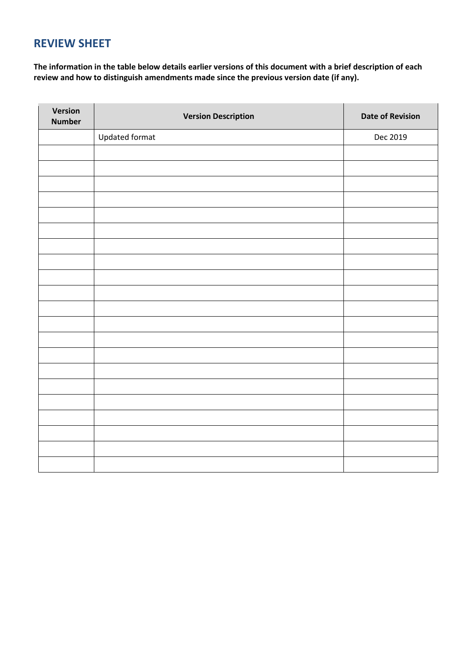## **REVIEW SHEET**

**The information in the table below details earlier versions of this document with a brief description of each review and how to distinguish amendments made since the previous version date (if any).**

| Version<br><b>Number</b> | <b>Version Description</b> | <b>Date of Revision</b> |
|--------------------------|----------------------------|-------------------------|
|                          | Updated format             | Dec 2019                |
|                          |                            |                         |
|                          |                            |                         |
|                          |                            |                         |
|                          |                            |                         |
|                          |                            |                         |
|                          |                            |                         |
|                          |                            |                         |
|                          |                            |                         |
|                          |                            |                         |
|                          |                            |                         |
|                          |                            |                         |
|                          |                            |                         |
|                          |                            |                         |
|                          |                            |                         |
|                          |                            |                         |
|                          |                            |                         |
|                          |                            |                         |
|                          |                            |                         |
|                          |                            |                         |
|                          |                            |                         |
|                          |                            |                         |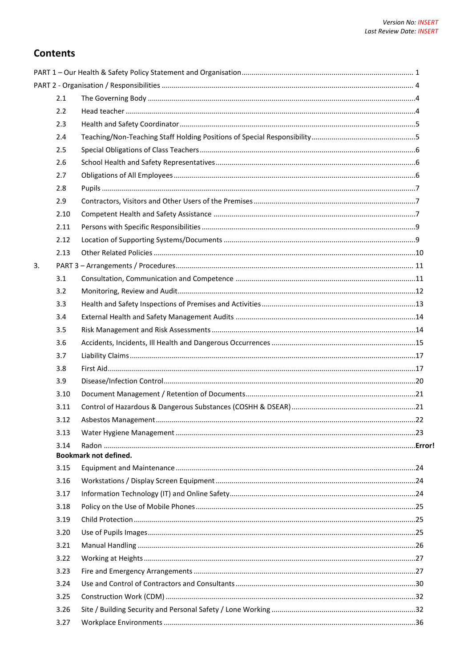## **Contents**

|    | 2.1  |                              |  |
|----|------|------------------------------|--|
|    | 2.2  |                              |  |
|    | 2.3  |                              |  |
|    | 2.4  |                              |  |
|    | 2.5  |                              |  |
|    | 2.6  |                              |  |
|    | 2.7  |                              |  |
|    | 2.8  |                              |  |
|    | 2.9  |                              |  |
|    | 2.10 |                              |  |
|    | 2.11 |                              |  |
|    | 2.12 |                              |  |
|    | 2.13 |                              |  |
| 3. |      |                              |  |
|    | 3.1  |                              |  |
|    | 3.2  |                              |  |
|    | 3.3  |                              |  |
|    | 3.4  |                              |  |
|    | 3.5  |                              |  |
|    | 3.6  |                              |  |
|    | 3.7  |                              |  |
|    | 3.8  |                              |  |
|    | 3.9  |                              |  |
|    | 3.10 |                              |  |
|    | 3.11 |                              |  |
|    | 3.12 |                              |  |
|    | 3.13 |                              |  |
|    | 3.14 |                              |  |
|    |      | <b>Bookmark not defined.</b> |  |
|    | 3.15 |                              |  |
|    | 3.16 |                              |  |
|    | 3.17 |                              |  |
|    | 3.18 |                              |  |
|    | 3.19 |                              |  |
|    | 3.20 |                              |  |
|    | 3.21 |                              |  |
|    | 3.22 |                              |  |
|    | 3.23 |                              |  |
|    | 3.24 |                              |  |
|    | 3.25 |                              |  |
|    | 3.26 |                              |  |
|    | 3.27 |                              |  |
|    |      |                              |  |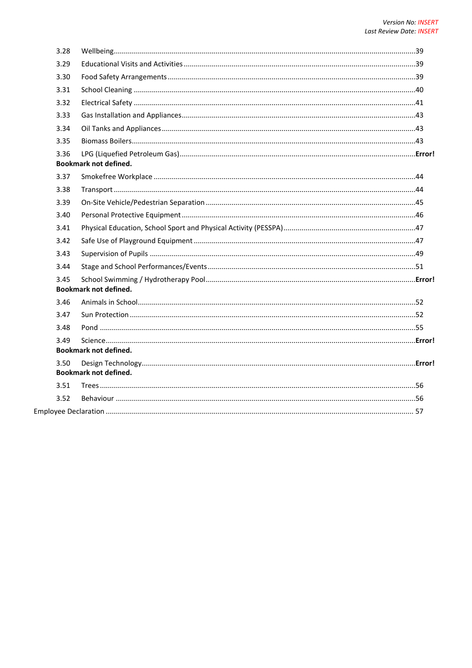| 3.28 |                              |  |
|------|------------------------------|--|
| 3.29 |                              |  |
| 3.30 |                              |  |
| 3.31 |                              |  |
| 3.32 |                              |  |
| 3.33 |                              |  |
| 3.34 |                              |  |
| 3.35 |                              |  |
| 3.36 | <b>Bookmark not defined.</b> |  |
| 3.37 |                              |  |
| 3.38 |                              |  |
| 3.39 |                              |  |
| 3.40 |                              |  |
| 3.41 |                              |  |
| 3.42 |                              |  |
| 3.43 |                              |  |
| 3.44 |                              |  |
| 3.45 | <b>Bookmark not defined.</b> |  |
| 3.46 |                              |  |
| 3.47 |                              |  |
| 3.48 |                              |  |
| 3.49 | Bookmark not defined.        |  |
| 3.50 | <b>Bookmark not defined.</b> |  |
| 3.51 |                              |  |
| 3.52 |                              |  |
|      |                              |  |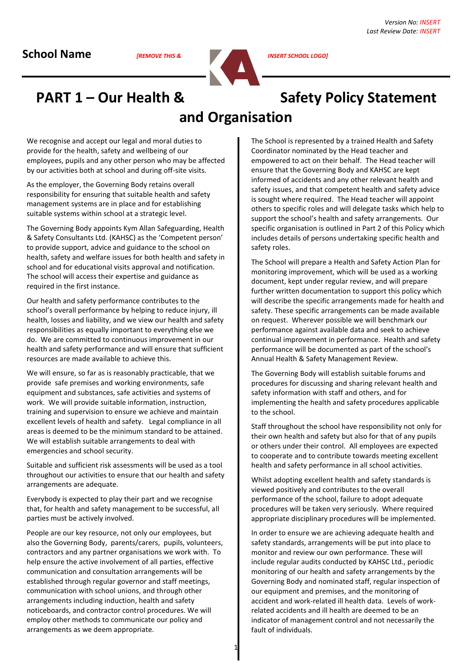## **School Name** *[REMOVE THIS & INSERT SCHOOL LOGO]*



**and Organisation**

## <span id="page-4-0"></span>**PART 1 – Our Health & Safety Policy Statement**

We recognise and accept our legal and moral duties to provide for the health, safety and wellbeing of our

employees, pupils and any other person who may be affected by our activities both at school and during off-site visits.

As the employer, the Governing Body retains overall responsibility for ensuring that suitable health and safety management systems are in place and for establishing suitable systems within school at a strategic level.

The Governing Body appoints Kym Allan Safeguarding, Health & Safety Consultants Ltd. (KAHSC) as the 'Competent person' to provide support, advice and guidance to the school on health, safety and welfare issues for both health and safety in school and for educational visits approval and notification. The school will access their expertise and guidance as required in the first instance.

Our health and safety performance contributes to the school's overall performance by helping to reduce injury, ill health, losses and liability, and we view our health and safety responsibilities as equally important to everything else we do. We are committed to continuous improvement in our health and safety performance and will ensure that sufficient resources are made available to achieve this.

We will ensure, so far as is reasonably practicable, that we provide safe premises and working environments, safe equipment and substances, safe activities and systems of work. We will provide suitable information, instruction, training and supervision to ensure we achieve and maintain excellent levels of health and safety. Legal compliance in all areas is deemed to be the minimum standard to be attained. We will establish suitable arrangements to deal with emergencies and school security.

Suitable and sufficient risk assessments will be used as a tool throughout our activities to ensure that our health and safety arrangements are adequate.

Everybody is expected to play their part and we recognise that, for health and safety management to be successful, all parties must be actively involved.

People are our key resource, not only our employees, but also the Governing Body, parents/carers, pupils, volunteers, contractors and any partner organisations we work with. To help ensure the active involvement of all parties, effective communication and consultation arrangements will be established through regular governor and staff meetings, communication with school unions, and through other arrangements including induction, health and safety noticeboards, and contractor control procedures. We will employ other methods to communicate our policy and arrangements as we deem appropriate.

The School is represented by a trained Health and Safety Coordinator nominated by the Head teacher and empowered to act on their behalf. The Head teacher will ensure that the Governing Body and KAHSC are kept informed of accidents and any other relevant health and safety issues, and that competent health and safety advice is sought where required. The Head teacher will appoint others to specific roles and will delegate tasks which help to support the school's health and safety arrangements. Our specific organisation is outlined in Part 2 of this Policy which includes details of persons undertaking specific health and safety roles.

The School will prepare a Health and Safety Action Plan for monitoring improvement, which will be used as a working document, kept under regular review, and will prepare further written documentation to support this policy which will describe the specific arrangements made for health and safety. These specific arrangements can be made available on request. Wherever possible we will benchmark our performance against available data and seek to achieve continual improvement in performance. Health and safety performance will be documented as part of the school's Annual Health & Safety Management Review.

The Governing Body will establish suitable forums and procedures for discussing and sharing relevant health and safety information with staff and others, and for implementing the health and safety procedures applicable to the school.

Staff throughout the school have responsibility not only for their own health and safety but also for that of any pupils or others under their control. All employees are expected to cooperate and to contribute towards meeting excellent health and safety performance in all school activities.

Whilst adopting excellent health and safety standards is viewed positively and contributes to the overall performance of the school, failure to adopt adequate procedures will be taken very seriously. Where required appropriate disciplinary procedures will be implemented.

In order to ensure we are achieving adequate health and safety standards, arrangements will be put into place to monitor and review our own performance. These will include regular audits conducted by KAHSC Ltd., periodic monitoring of our health and safety arrangements by the Governing Body and nominated staff, regular inspection of our equipment and premises, and the monitoring of accident and work-related ill health data. Levels of workrelated accidents and ill health are deemed to be an indicator of management control and not necessarily the fault of individuals.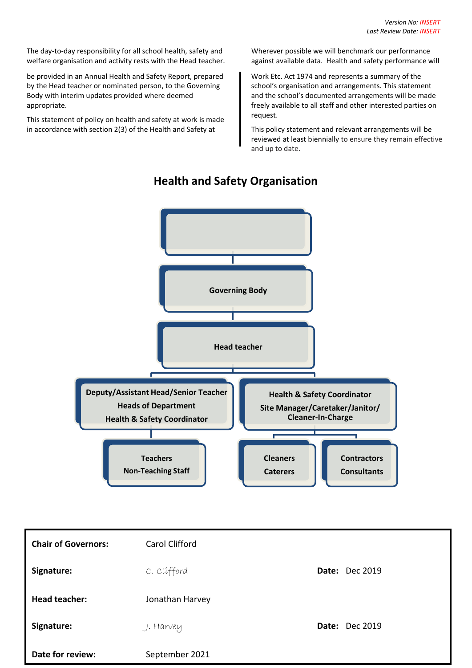The day-to-day responsibility for all school health, safety and welfare organisation and activity rests with the Head teacher.

be provided in an Annual Health and Safety Report, prepared by the Head teacher or nominated person, to the Governing Body with interim updates provided where deemed appropriate.

This statement of policy on health and safety at work is made in accordance with section 2(3) of the Health and Safety at

Wherever possible we will benchmark our performance against available data. Health and safety performance will

Work Etc. Act 1974 and represents a summary of the school's organisation and arrangements. This statement and the school's documented arrangements will be made freely available to all staff and other interested parties on request.

This policy statement and relevant arrangements will be reviewed at least biennially to ensure they remain effective and up to date.



## **Health and Safety Organisation**

| <b>Chair of Governors:</b> | Carol Clifford  |                       |
|----------------------------|-----------------|-----------------------|
| Signature:                 | C. Clífford     | <b>Date: Dec 2019</b> |
| <b>Head teacher:</b>       | Jonathan Harvey |                       |
| Signature:                 | J. Harvey       | <b>Date: Dec 2019</b> |
| Date for review:           | September 2021  |                       |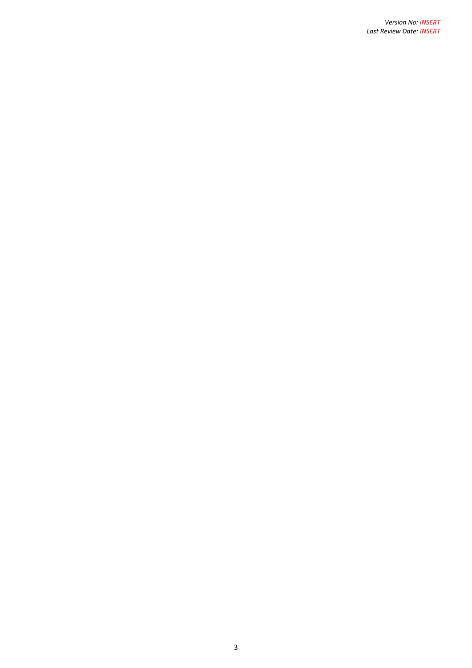*Version No: INSERT Last Review Date: INSERT*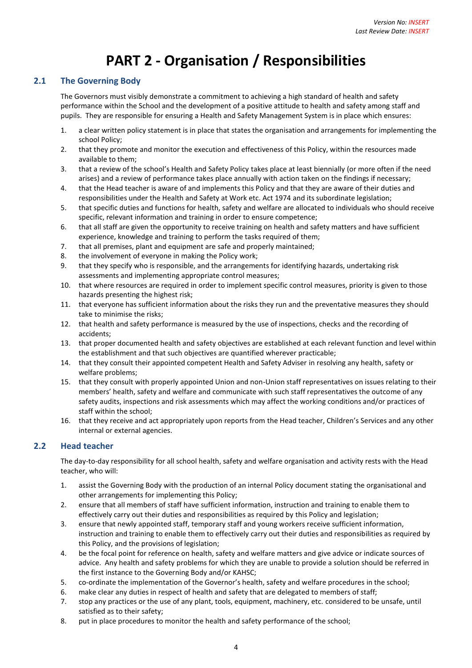## **PART 2 - Organisation / Responsibilities**

## <span id="page-7-1"></span><span id="page-7-0"></span>**2.1 The Governing Body**

The Governors must visibly demonstrate a commitment to achieving a high standard of health and safety performance within the School and the development of a positive attitude to health and safety among staff and pupils. They are responsible for ensuring a Health and Safety Management System is in place which ensures:

- 1. a clear written policy statement is in place that states the organisation and arrangements for implementing the school Policy;
- 2. that they promote and monitor the execution and effectiveness of this Policy, within the resources made available to them;
- 3. that a review of the school's Health and Safety Policy takes place at least biennially (or more often if the need arises) and a review of performance takes place annually with action taken on the findings if necessary;
- 4. that the Head teacher is aware of and implements this Policy and that they are aware of their duties and responsibilities under the Health and Safety at Work etc. Act 1974 and its subordinate legislation;
- 5. that specific duties and functions for health, safety and welfare are allocated to individuals who should receive specific, relevant information and training in order to ensure competence;
- 6. that all staff are given the opportunity to receive training on health and safety matters and have sufficient experience, knowledge and training to perform the tasks required of them;
- 7. that all premises, plant and equipment are safe and properly maintained;
- 8. the involvement of everyone in making the Policy work;
- 9. that they specify who is responsible, and the arrangements for identifying hazards, undertaking risk assessments and implementing appropriate control measures;
- 10. that where resources are required in order to implement specific control measures, priority is given to those hazards presenting the highest risk;
- 11. that everyone has sufficient information about the risks they run and the preventative measures they should take to minimise the risks;
- 12. that health and safety performance is measured by the use of inspections, checks and the recording of accidents;
- 13. that proper documented health and safety objectives are established at each relevant function and level within the establishment and that such objectives are quantified wherever practicable;
- 14. that they consult their appointed competent Health and Safety Adviser in resolving any health, safety or welfare problems;
- 15. that they consult with properly appointed Union and non-Union staff representatives on issues relating to their members' health, safety and welfare and communicate with such staff representatives the outcome of any safety audits, inspections and risk assessments which may affect the working conditions and/or practices of staff within the school;
- 16. that they receive and act appropriately upon reports from the Head teacher, Children's Services and any other internal or external agencies.

## <span id="page-7-2"></span>**2.2 Head teacher**

The day-to-day responsibility for all school health, safety and welfare organisation and activity rests with the Head teacher, who will:

- 1. assist the Governing Body with the production of an internal Policy document stating the organisational and other arrangements for implementing this Policy;
- 2. ensure that all members of staff have sufficient information, instruction and training to enable them to effectively carry out their duties and responsibilities as required by this Policy and legislation;
- 3. ensure that newly appointed staff, temporary staff and young workers receive sufficient information, instruction and training to enable them to effectively carry out their duties and responsibilities as required by this Policy, and the provisions of legislation;
- 4. be the focal point for reference on health, safety and welfare matters and give advice or indicate sources of advice. Any health and safety problems for which they are unable to provide a solution should be referred in the first instance to the Governing Body and/or KAHSC;
- 5. co-ordinate the implementation of the Governor's health, safety and welfare procedures in the school;
- 6. make clear any duties in respect of health and safety that are delegated to members of staff;
- 7. stop any practices or the use of any plant, tools, equipment, machinery, etc. considered to be unsafe, until satisfied as to their safety;
- 8. put in place procedures to monitor the health and safety performance of the school;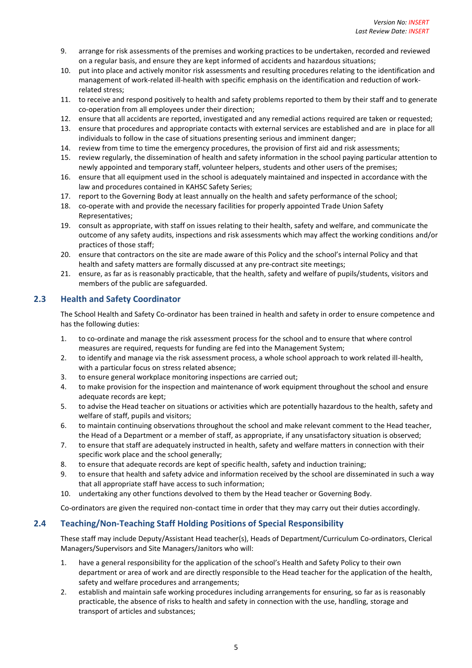- 9. arrange for risk assessments of the premises and working practices to be undertaken, recorded and reviewed on a regular basis, and ensure they are kept informed of accidents and hazardous situations;
- 10. put into place and actively monitor risk assessments and resulting procedures relating to the identification and management of work-related ill-health with specific emphasis on the identification and reduction of workrelated stress;
- 11. to receive and respond positively to health and safety problems reported to them by their staff and to generate co-operation from all employees under their direction;
- 12. ensure that all accidents are reported, investigated and any remedial actions required are taken or requested;
- 13. ensure that procedures and appropriate contacts with external services are established and are in place for all individuals to follow in the case of situations presenting serious and imminent danger;
- 14. review from time to time the emergency procedures, the provision of first aid and risk assessments;
- 15. review regularly, the dissemination of health and safety information in the school paying particular attention to newly appointed and temporary staff, volunteer helpers, students and other users of the premises;
- 16. ensure that all equipment used in the school is adequately maintained and inspected in accordance with the law and procedures contained in KAHSC Safety Series;
- 17. report to the Governing Body at least annually on the health and safety performance of the school;
- 18. co-operate with and provide the necessary facilities for properly appointed Trade Union Safety Representatives;
- 19. consult as appropriate, with staff on issues relating to their health, safety and welfare, and communicate the outcome of any safety audits, inspections and risk assessments which may affect the working conditions and/or practices of those staff;
- 20. ensure that contractors on the site are made aware of this Policy and the school's internal Policy and that health and safety matters are formally discussed at any pre-contract site meetings;
- 21. ensure, as far as is reasonably practicable, that the health, safety and welfare of pupils/students, visitors and members of the public are safeguarded.

## <span id="page-8-0"></span>**2.3 Health and Safety Coordinator**

The School Health and Safety Co-ordinator has been trained in health and safety in order to ensure competence and has the following duties:

- 1. to co-ordinate and manage the risk assessment process for the school and to ensure that where control measures are required, requests for funding are fed into the Management System;
- 2. to identify and manage via the risk assessment process, a whole school approach to work related ill-health, with a particular focus on stress related absence;
- 3. to ensure general workplace monitoring inspections are carried out;
- 4. to make provision for the inspection and maintenance of work equipment throughout the school and ensure adequate records are kept;
- 5. to advise the Head teacher on situations or activities which are potentially hazardous to the health, safety and welfare of staff, pupils and visitors;
- 6. to maintain continuing observations throughout the school and make relevant comment to the Head teacher, the Head of a Department or a member of staff, as appropriate, if any unsatisfactory situation is observed;
- 7. to ensure that staff are adequately instructed in health, safety and welfare matters in connection with their specific work place and the school generally;
- 8. to ensure that adequate records are kept of specific health, safety and induction training;
- 9. to ensure that health and safety advice and information received by the school are disseminated in such a way that all appropriate staff have access to such information;
- 10. undertaking any other functions devolved to them by the Head teacher or Governing Body.

Co-ordinators are given the required non-contact time in order that they may carry out their duties accordingly.

## <span id="page-8-1"></span>**2.4 Teaching/Non-Teaching Staff Holding Positions of Special Responsibility**

These staff may include Deputy/Assistant Head teacher(s), Heads of Department/Curriculum Co-ordinators, Clerical Managers/Supervisors and Site Managers/Janitors who will:

- 1. have a general responsibility for the application of the school's Health and Safety Policy to their own department or area of work and are directly responsible to the Head teacher for the application of the health, safety and welfare procedures and arrangements;
- 2. establish and maintain safe working procedures including arrangements for ensuring, so far as is reasonably practicable, the absence of risks to health and safety in connection with the use, handling, storage and transport of articles and substances;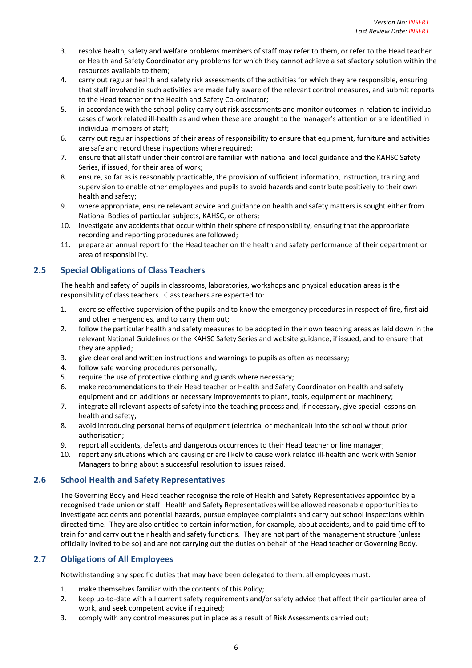- 3. resolve health, safety and welfare problems members of staff may refer to them, or refer to the Head teacher or Health and Safety Coordinator any problems for which they cannot achieve a satisfactory solution within the resources available to them;
- 4. carry out regular health and safety risk assessments of the activities for which they are responsible, ensuring that staff involved in such activities are made fully aware of the relevant control measures, and submit reports to the Head teacher or the Health and Safety Co-ordinator;
- 5. in accordance with the school policy carry out risk assessments and monitor outcomes in relation to individual cases of work related ill-health as and when these are brought to the manager's attention or are identified in individual members of staff;
- 6. carry out regular inspections of their areas of responsibility to ensure that equipment, furniture and activities are safe and record these inspections where required;
- 7. ensure that all staff under their control are familiar with national and local guidance and the KAHSC Safety Series, if issued, for their area of work;
- 8. ensure, so far as is reasonably practicable, the provision of sufficient information, instruction, training and supervision to enable other employees and pupils to avoid hazards and contribute positively to their own health and safety;
- 9. where appropriate, ensure relevant advice and guidance on health and safety matters is sought either from National Bodies of particular subjects, KAHSC, or others;
- 10. investigate any accidents that occur within their sphere of responsibility, ensuring that the appropriate recording and reporting procedures are followed;
- 11. prepare an annual report for the Head teacher on the health and safety performance of their department or area of responsibility.

## <span id="page-9-0"></span>**2.5 Special Obligations of Class Teachers**

The health and safety of pupils in classrooms, laboratories, workshops and physical education areas is the responsibility of class teachers. Class teachers are expected to:

- 1. exercise effective supervision of the pupils and to know the emergency procedures in respect of fire, first aid and other emergencies, and to carry them out;
- 2. follow the particular health and safety measures to be adopted in their own teaching areas as laid down in the relevant National Guidelines or the KAHSC Safety Series and website guidance, if issued, and to ensure that they are applied;
- 3. give clear oral and written instructions and warnings to pupils as often as necessary;
- 4. follow safe working procedures personally;
- 5. require the use of protective clothing and guards where necessary;
- 6. make recommendations to their Head teacher or Health and Safety Coordinator on health and safety equipment and on additions or necessary improvements to plant, tools, equipment or machinery;
- 7. integrate all relevant aspects of safety into the teaching process and, if necessary, give special lessons on health and safety;
- 8. avoid introducing personal items of equipment (electrical or mechanical) into the school without prior authorisation;
- 9. report all accidents, defects and dangerous occurrences to their Head teacher or line manager;
- 10. report any situations which are causing or are likely to cause work related ill-health and work with Senior Managers to bring about a successful resolution to issues raised.

#### <span id="page-9-1"></span>**2.6 School Health and Safety Representatives**

The Governing Body and Head teacher recognise the role of Health and Safety Representatives appointed by a recognised trade union or staff. Health and Safety Representatives will be allowed reasonable opportunities to investigate accidents and potential hazards, pursue employee complaints and carry out school inspections within directed time. They are also entitled to certain information, for example, about accidents, and to paid time off to train for and carry out their health and safety functions. They are not part of the management structure (unless officially invited to be so) and are not carrying out the duties on behalf of the Head teacher or Governing Body.

## <span id="page-9-2"></span>**2.7 Obligations of All Employees**

Notwithstanding any specific duties that may have been delegated to them, all employees must:

- 1. make themselves familiar with the contents of this Policy;
- 2. keep up-to-date with all current safety requirements and/or safety advice that affect their particular area of work, and seek competent advice if required;
- 3. comply with any control measures put in place as a result of Risk Assessments carried out;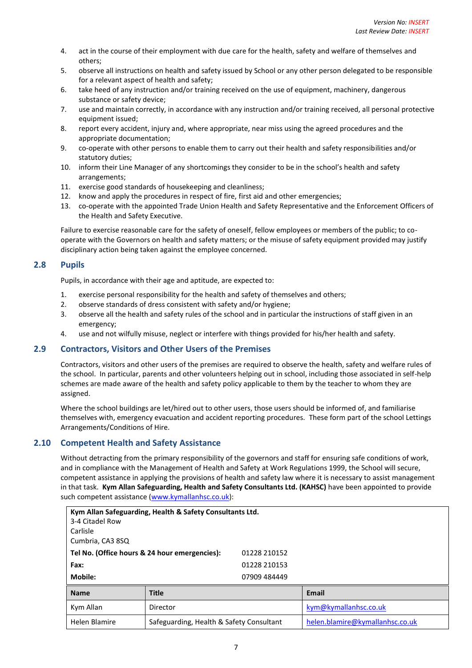- 4. act in the course of their employment with due care for the health, safety and welfare of themselves and others;
- 5. observe all instructions on health and safety issued by School or any other person delegated to be responsible for a relevant aspect of health and safety;
- 6. take heed of any instruction and/or training received on the use of equipment, machinery, dangerous substance or safety device;
- 7. use and maintain correctly, in accordance with any instruction and/or training received, all personal protective equipment issued;
- 8. report every accident, injury and, where appropriate, near miss using the agreed procedures and the appropriate documentation;
- 9. co-operate with other persons to enable them to carry out their health and safety responsibilities and/or statutory duties;
- 10. inform their Line Manager of any shortcomings they consider to be in the school's health and safety arrangements;
- 11. exercise good standards of housekeeping and cleanliness;
- 12. know and apply the procedures in respect of fire, first aid and other emergencies;
- 13. co-operate with the appointed Trade Union Health and Safety Representative and the Enforcement Officers of the Health and Safety Executive.

Failure to exercise reasonable care for the safety of oneself, fellow employees or members of the public; to cooperate with the Governors on health and safety matters; or the misuse of safety equipment provided may justify disciplinary action being taken against the employee concerned.

## <span id="page-10-0"></span>**2.8 Pupils**

Pupils, in accordance with their age and aptitude, are expected to:

- 1. exercise personal responsibility for the health and safety of themselves and others;
- 2. observe standards of dress consistent with safety and/or hygiene;
- 3. observe all the health and safety rules of the school and in particular the instructions of staff given in an emergency;
- 4. use and not wilfully misuse, neglect or interfere with things provided for his/her health and safety.

#### <span id="page-10-1"></span>**2.9 Contractors, Visitors and Other Users of the Premises**

Contractors, visitors and other users of the premises are required to observe the health, safety and welfare rules of the school. In particular, parents and other volunteers helping out in school, including those associated in self-help schemes are made aware of the health and safety policy applicable to them by the teacher to whom they are assigned.

Where the school buildings are let/hired out to other users, those users should be informed of, and familiarise themselves with, emergency evacuation and accident reporting procedures. These form part of the school Lettings Arrangements/Conditions of Hire.

## <span id="page-10-2"></span>**2.10 Competent Health and Safety Assistance**

Without detracting from the primary responsibility of the governors and staff for ensuring safe conditions of work, and in compliance with the Management of Health and Safety at Work Regulations 1999, the School will secure, competent assistance in applying the provisions of health and safety law where it is necessary to assist management in that task. **Kym Allan Safeguarding, Health and Safety Consultants Ltd. (KAHSC)** have been appointed to provide such competent assistance [\(www.kymallanhsc.co.uk\)](http://www.kymallanhsc.co.uk/):

| 3-4 Citadel Row<br>Carlisle<br>Cumbria, CA3 8SQ | Kym Allan Safeguarding, Health & Safety Consultants Ltd. |              |                                 |
|-------------------------------------------------|----------------------------------------------------------|--------------|---------------------------------|
|                                                 | Tel No. (Office hours & 24 hour emergencies):            | 01228 210152 |                                 |
| Fax:                                            |                                                          | 01228 210153 |                                 |
| Mobile:                                         |                                                          | 07909 484449 |                                 |
| <b>Name</b>                                     | <b>Title</b>                                             |              | <b>Email</b>                    |
| Kym Allan                                       | Director                                                 |              | kym@kymallanhsc.co.uk           |
| Helen Blamire                                   | Safeguarding, Health & Safety Consultant                 |              | helen.blamire@kymallanhsc.co.uk |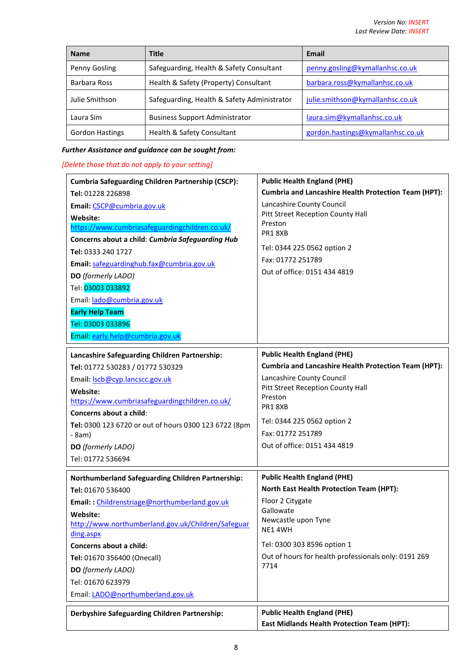| <b>Name</b>            | <b>Title</b>                                | Email                             |
|------------------------|---------------------------------------------|-----------------------------------|
| Penny Gosling          | Safeguarding, Health & Safety Consultant    | penny.gosling@kymallanhsc.co.uk   |
| Barbara Ross           | Health & Safety (Property) Consultant       | barbara.ross@kymallanhsc.co.uk    |
| Julie Smithson         | Safeguarding, Health & Safety Administrator | julie.smithson@kymallanhsc.co.uk  |
| Laura Sim              | <b>Business Support Administrator</b>       | laura.sim@kymallanhsc.co.uk       |
| <b>Gordon Hastings</b> | Health & Safety Consultant                  | gordon.hastings@kymallanhsc.co.uk |

## *Further Assistance and guidance can be sought from:*

*[Delete those that do not apply to your setting]*

| <b>Cumbria Safeguarding Children Partnership (CSCP):</b> | <b>Public Health England (PHE)</b>                          |
|----------------------------------------------------------|-------------------------------------------------------------|
| Tel: 01228 226898                                        | <b>Cumbria and Lancashire Health Protection Team (HPT):</b> |
| Email: CSCP@cumbria.gov.uk                               | Lancashire County Council                                   |
| Website:                                                 | Pitt Street Reception County Hall                           |
| https://www.cumbriasafeguardingchildren.co.uk/           | Preston                                                     |
| Concerns about a child: Cumbria Safeguarding Hub         | PR18XB                                                      |
| Tel: 0333 240 1727                                       | Tel: 0344 225 0562 option 2                                 |
| Email: safeguardinghub.fax@cumbria.gov.uk                | Fax: 01772 251789                                           |
| DO (formerly LADO)                                       | Out of office: 0151 434 4819                                |
| Tel: 03003 033892                                        |                                                             |
| Email: lado@cumbria.gov.uk                               |                                                             |
| <b>Early Help Team</b>                                   |                                                             |
| Tel: 03003 033896                                        |                                                             |
| Email: early.help@cumbria.gov.uk                         |                                                             |
| Lancashire Safeguarding Children Partnership:            | <b>Public Health England (PHE)</b>                          |
| Tel: 01772 530283 / 01772 530329                         | <b>Cumbria and Lancashire Health Protection Team (HPT):</b> |
| Email:  scb@cyp.lancscc.gov.uk                           | Lancashire County Council                                   |
| Website:                                                 | Pitt Street Reception County Hall                           |
| https://www.cumbriasafeguardingchildren.co.uk/           | Preston                                                     |
| Concerns about a child:                                  | PR18XB                                                      |
| Tel: 0300 123 6720 or out of hours 0300 123 6722 (8pm    | Tel: 0344 225 0562 option 2                                 |
| - 8am)                                                   | Fax: 01772 251789                                           |
| DO (formerly LADO)                                       | Out of office: 0151 434 4819                                |
| Tel: 01772 536694                                        |                                                             |
| <b>Northumberland Safeguarding Children Partnership:</b> | <b>Public Health England (PHE)</b>                          |
| Tel: 01670 536400                                        | <b>North East Health Protection Team (HPT):</b>             |
| Email:: Childrenstriage@northumberland.gov.uk            | Floor 2 Citygate                                            |
| Website:                                                 | Gallowate                                                   |
| http://www.northumberland.gov.uk/Children/Safeguar       | Newcastle upon Tyne                                         |
| ding.aspx                                                | NE14WH                                                      |
| Concerns about a child:                                  | Tel: 0300 303 8596 option 1                                 |
| Tel: 01670 356400 (Onecall)                              | Out of hours for health professionals only: 0191 269        |
| DO (formerly LADO)                                       | 7714                                                        |
| Tel: 01670 623979                                        |                                                             |
| Email: LADO@northumberland.gov.uk                        |                                                             |
| <b>Derbyshire Safeguarding Children Partnership:</b>     | <b>Public Health England (PHE)</b>                          |
|                                                          | <b>East Midlands Health Protection Team (HPT):</b>          |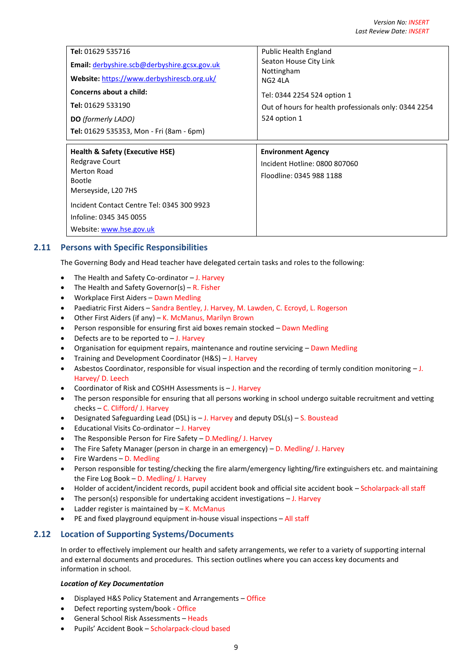| Tel: 01629 535716                                                                                                                                                                                                       | Public Health England                                                                  |
|-------------------------------------------------------------------------------------------------------------------------------------------------------------------------------------------------------------------------|----------------------------------------------------------------------------------------|
| Email: derbyshire.scb@derbyshire.gcsx.gov.uk                                                                                                                                                                            | Seaton House City Link                                                                 |
| Website: https://www.derbyshirescb.org.uk/                                                                                                                                                                              | Nottingham                                                                             |
| Concerns about a child:                                                                                                                                                                                                 | NG <sub>2</sub> 4LA                                                                    |
| Tel: 01629 533190                                                                                                                                                                                                       | Tel: 0344 2254 524 option 1                                                            |
| <b>DO</b> (formerly LADO)                                                                                                                                                                                               | Out of hours for health professionals only: 0344 2254                                  |
| <b>Tel:</b> 01629 535353, Mon - Fri (8am - 6pm)                                                                                                                                                                         | 524 option 1                                                                           |
| <b>Health &amp; Safety (Executive HSE)</b><br>Redgrave Court<br>Merton Road<br><b>Bootle</b><br>Merseyside, L20 7HS<br>Incident Contact Centre Tel: 0345 300 9923<br>Infoline: 0345 345 0055<br>Website: www.hse.gov.uk | <b>Environment Agency</b><br>Incident Hotline: 0800 807060<br>Floodline: 0345 988 1188 |

## <span id="page-12-0"></span>**2.11 Persons with Specific Responsibilities**

The Governing Body and Head teacher have delegated certain tasks and roles to the following:

- The Health and Safety Co-ordinator  $-J.$  Harvey
- The Health and Safety Governor(s) R. Fisher
- Workplace First Aiders Dawn Medling
- Paediatric First Aiders Sandra Bentley, J. Harvey, M. Lawden, C. Ecroyd, L. Rogerson
- Other First Aiders (if any) K. McManus, Marilyn Brown
- Person responsible for ensuring first aid boxes remain stocked Dawn Medling
- Defects are to be reported to  $-$  J. Harvey
- Organisation for equipment repairs, maintenance and routine servicing Dawn Medling
- Training and Development Coordinator (H&S) J. Harvey
- Asbestos Coordinator, responsible for visual inspection and the recording of termly condition monitoring  $-J$ . Harvey/ D. Leech
- Coordinator of Risk and COSHH Assessments is  $-$  J. Harvey
- The person responsible for ensuring that all persons working in school undergo suitable recruitment and vetting checks – C. Clifford/ J. Harvey
- Designated Safeguarding Lead (DSL) is  $-$  J. Harvey and deputy DSL(s)  $-$  S. Boustead
- Educational Visits Co-ordinator J. Harvey
- The Responsible Person for Fire Safety D.Medling/ J. Harvey
- The Fire Safety Manager (person in charge in an emergency) D. Medling/ J. Harvey
- Fire Wardens D. Medling
- Person responsible for testing/checking the fire alarm/emergency lighting/fire extinguishers etc. and maintaining the Fire Log Book – D. Medling/ J. Harvey
- Holder of accident/incident records, pupil accident book and official site accident book Scholarpack-all staff
- The person(s) responsible for undertaking accident investigations  $-$  J. Harvey
- Ladder register is maintained by  $-$  K. McManus
- PE and fixed playground equipment in-house visual inspections All staff

#### <span id="page-12-1"></span>**2.12 Location of Supporting Systems/Documents**

In order to effectively implement our health and safety arrangements, we refer to a variety of supporting internal and external documents and procedures. This section outlines where you can access key documents and information in school.

#### *Location of Key Documentation*

- Displayed H&S Policy Statement and Arrangements Office
- Defect reporting system/book Office
- General School Risk Assessments Heads
- Pupils' Accident Book Scholarpack-cloud based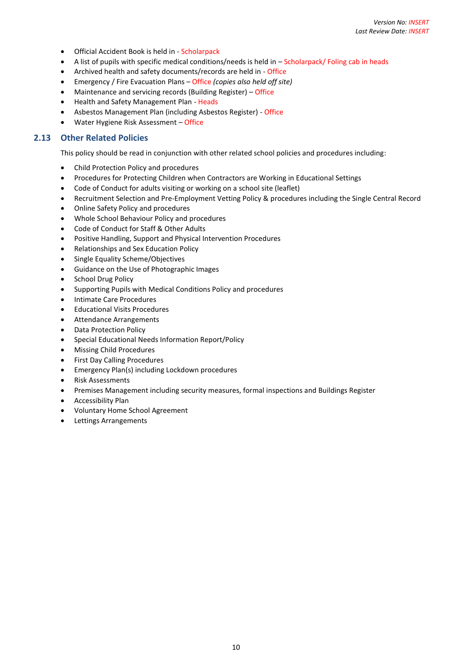- Official Accident Book is held in Scholarpack
- A list of pupils with specific medical conditions/needs is held in Scholarpack/ Foling cab in heads
- Archived health and safety documents/records are held in Office
- Emergency / Fire Evacuation Plans Office *(copies also held off site)*
- Maintenance and servicing records (Building Register) Office
- Health and Safety Management Plan Heads
- Asbestos Management Plan (including Asbestos Register) Office
- Water Hygiene Risk Assessment Office

#### <span id="page-13-0"></span>**2.13 Other Related Policies**

This policy should be read in conjunction with other related school policies and procedures including:

- Child Protection Policy and procedures
- Procedures for Protecting Children when Contractors are Working in Educational Settings
- Code of Conduct for adults visiting or working on a school site (leaflet)
- Recruitment Selection and Pre-Employment Vetting Policy & procedures including the Single Central Record
- Online Safety Policy and procedures
- Whole School Behaviour Policy and procedures
- Code of Conduct for Staff & Other Adults
- Positive Handling, Support and Physical Intervention Procedures
- Relationships and Sex Education Policy
- Single Equality Scheme/Objectives
- Guidance on the Use of Photographic Images
- School Drug Policy
- Supporting Pupils with Medical Conditions Policy and procedures
- Intimate Care Procedures
- Educational Visits Procedures
- Attendance Arrangements
- Data Protection Policy
- Special Educational Needs Information Report/Policy
- Missing Child Procedures
- First Day Calling Procedures
- Emergency Plan(s) including Lockdown procedures
- Risk Assessments
- Premises Management including security measures, formal inspections and Buildings Register
- Accessibility Plan
- Voluntary Home School Agreement
- Lettings Arrangements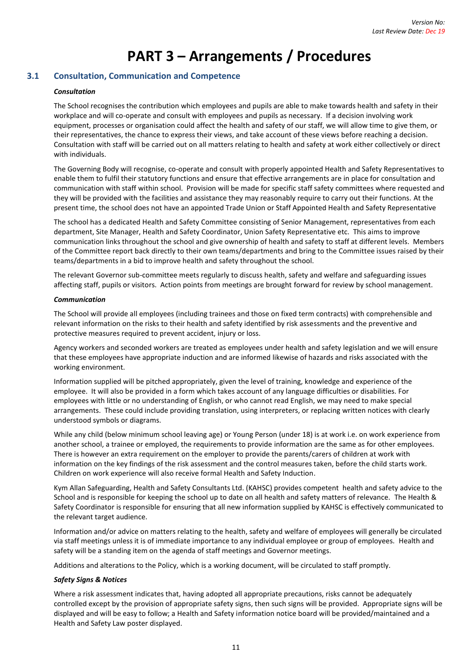## **3. PART 3 – Arrangements / Procedures**

## <span id="page-14-1"></span><span id="page-14-0"></span>**3.1 Consultation, Communication and Competence**

#### *Consultation*

The School recognises the contribution which employees and pupils are able to make towards health and safety in their workplace and will co-operate and consult with employees and pupils as necessary. If a decision involving work equipment, processes or organisation could affect the health and safety of our staff, we will allow time to give them, or their representatives, the chance to express their views, and take account of these views before reaching a decision. Consultation with staff will be carried out on all matters relating to health and safety at work either collectively or direct with individuals.

The Governing Body will recognise, co-operate and consult with properly appointed Health and Safety Representatives to enable them to fulfil their statutory functions and ensure that effective arrangements are in place for consultation and communication with staff within school. Provision will be made for specific staff safety committees where requested and they will be provided with the facilities and assistance they may reasonably require to carry out their functions. At the present time, the school does not have an appointed Trade Union or Staff Appointed Health and Safety Representative

The school has a dedicated Health and Safety Committee consisting of Senior Management, representatives from each department, Site Manager, Health and Safety Coordinator, Union Safety Representative etc. This aims to improve communication links throughout the school and give ownership of health and safety to staff at different levels. Members of the Committee report back directly to their own teams/departments and bring to the Committee issues raised by their teams/departments in a bid to improve health and safety throughout the school.

The relevant Governor sub-committee meets regularly to discuss health, safety and welfare and safeguarding issues affecting staff, pupils or visitors. Action points from meetings are brought forward for review by school management.

#### *Communication*

The School will provide all employees (including trainees and those on fixed term contracts) with comprehensible and relevant information on the risks to their health and safety identified by risk assessments and the preventive and protective measures required to prevent accident, injury or loss.

Agency workers and seconded workers are treated as employees under health and safety legislation and we will ensure that these employees have appropriate induction and are informed likewise of hazards and risks associated with the working environment.

Information supplied will be pitched appropriately, given the level of training, knowledge and experience of the employee. It will also be provided in a form which takes account of any language difficulties or disabilities. For employees with little or no understanding of English, or who cannot read English, we may need to make special arrangements. These could include providing translation, using interpreters, or replacing written notices with clearly understood symbols or diagrams.

While any child (below minimum school leaving age) or Young Person (under 18) is at work i.e. on work experience from another school, a trainee or employed, the requirements to provide information are the same as for other employees. There is however an extra requirement on the employer to provide the parents/carers of children at work with information on the key findings of the risk assessment and the control measures taken, before the child starts work. Children on work experience will also receive formal Health and Safety Induction.

Kym Allan Safeguarding, Health and Safety Consultants Ltd. (KAHSC) provides competent health and safety advice to the School and is responsible for keeping the school up to date on all health and safety matters of relevance. The Health & Safety Coordinator is responsible for ensuring that all new information supplied by KAHSC is effectively communicated to the relevant target audience.

Information and/or advice on matters relating to the health, safety and welfare of employees will generally be circulated via staff meetings unless it is of immediate importance to any individual employee or group of employees. Health and safety will be a standing item on the agenda of staff meetings and Governor meetings.

Additions and alterations to the Policy, which is a working document, will be circulated to staff promptly.

#### *Safety Signs & Notices*

Where a risk assessment indicates that, having adopted all appropriate precautions, risks cannot be adequately controlled except by the provision of appropriate safety signs, then such signs will be provided. Appropriate signs will be displayed and will be easy to follow; a Health and Safety information notice board will be provided/maintained and a Health and Safety Law poster displayed.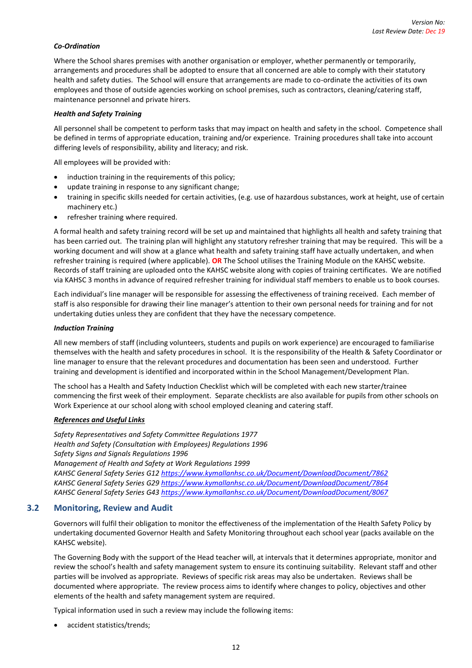#### *Co-Ordination*

Where the School shares premises with another organisation or employer, whether permanently or temporarily, arrangements and procedures shall be adopted to ensure that all concerned are able to comply with their statutory health and safety duties. The School will ensure that arrangements are made to co-ordinate the activities of its own employees and those of outside agencies working on school premises, such as contractors, cleaning/catering staff, maintenance personnel and private hirers.

#### *Health and Safety Training*

All personnel shall be competent to perform tasks that may impact on health and safety in the school. Competence shall be defined in terms of appropriate education, training and/or experience. Training procedures shall take into account differing levels of responsibility, ability and literacy; and risk.

All employees will be provided with:

- induction training in the requirements of this policy;
- update training in response to any significant change;
- training in specific skills needed for certain activities, (e.g. use of hazardous substances, work at height, use of certain machinery etc.)
- refresher training where required.

A formal health and safety training record will be set up and maintained that highlights all health and safety training that has been carried out. The training plan will highlight any statutory refresher training that may be required. This will be a working document and will show at a glance what health and safety training staff have actually undertaken, and when refresher training is required (where applicable). **OR** The School utilises the Training Module on the KAHSC website. Records of staff training are uploaded onto the KAHSC website along with copies of training certificates. We are notified via KAHSC 3 months in advance of required refresher training for individual staff members to enable us to book courses.

Each individual's line manager will be responsible for assessing the effectiveness of training received. Each member of staff is also responsible for drawing their line manager's attention to their own personal needs for training and for not undertaking duties unless they are confident that they have the necessary competence.

#### *Induction Training*

All new members of staff (including volunteers, students and pupils on work experience) are encouraged to familiarise themselves with the health and safety procedures in school. It is the responsibility of the Health & Safety Coordinator or line manager to ensure that the relevant procedures and documentation has been seen and understood. Further training and development is identified and incorporated within in the School Management/Development Plan.

The school has a Health and Safety Induction Checklist which will be completed with each new starter/trainee commencing the first week of their employment. Separate checklists are also available for pupils from other schools on Work Experience at our school along with school employed cleaning and catering staff.

#### *References and Useful Links*

*Safety Representatives and Safety Committee Regulations 1977 Health and Safety (Consultation with Employees) Regulations 1996 Safety Signs and Signals Regulations 1996 Management of Health and Safety at Work Regulations 1999 KAHSC General Safety Series G1[2 https://www.kymallanhsc.co.uk/Document/DownloadDocument/7862](https://www.kymallanhsc.co.uk/Document/DownloadDocument/7862) KAHSC General Safety Series G2[9 https://www.kymallanhsc.co.uk/Document/DownloadDocument/7864](https://www.kymallanhsc.co.uk/Document/DownloadDocument/7864) KAHSC General Safety Series G4[3 https://www.kymallanhsc.co.uk/Document/DownloadDocument/8067](https://www.kymallanhsc.co.uk/Document/DownloadDocument/8067)*

#### <span id="page-15-0"></span>**3.2 Monitoring, Review and Audit**

Governors will fulfil their obligation to monitor the effectiveness of the implementation of the Health Safety Policy by undertaking documented Governor Health and Safety Monitoring throughout each school year (packs available on the KAHSC website).

The Governing Body with the support of the Head teacher will, at intervals that it determines appropriate, monitor and review the school's health and safety management system to ensure its continuing suitability. Relevant staff and other parties will be involved as appropriate. Reviews of specific risk areas may also be undertaken. Reviews shall be documented where appropriate. The review process aims to identify where changes to policy, objectives and other elements of the health and safety management system are required.

Typical information used in such a review may include the following items:

accident statistics/trends;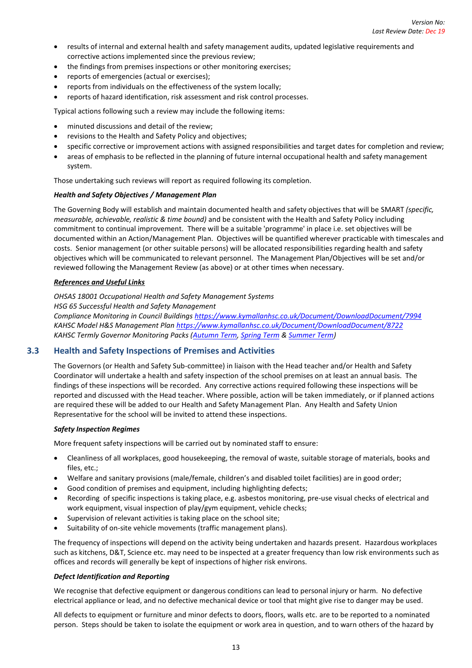- results of internal and external health and safety management audits, updated legislative requirements and corrective actions implemented since the previous review;
- the findings from premises inspections or other monitoring exercises;
- reports of emergencies (actual or exercises);
- reports from individuals on the effectiveness of the system locally;
- reports of hazard identification, risk assessment and risk control processes.

Typical actions following such a review may include the following items:

- minuted discussions and detail of the review;
- revisions to the Health and Safety Policy and objectives;
- specific corrective or improvement actions with assigned responsibilities and target dates for completion and review;
- areas of emphasis to be reflected in the planning of future internal occupational health and safety management system.

Those undertaking such reviews will report as required following its completion.

#### *Health and Safety Objectives / Management Plan*

The Governing Body will establish and maintain documented health and safety objectives that will be SMART *(specific, measurable, achievable, realistic & time bound)* and be consistent with the Health and Safety Policy including commitment to continual improvement. There will be a suitable 'programme' in place i.e. set objectives will be documented within an Action/Management Plan. Objectives will be quantified wherever practicable with timescales and costs. Senior management (or other suitable persons) will be allocated responsibilities regarding health and safety objectives which will be communicated to relevant personnel. The Management Plan/Objectives will be set and/or reviewed following the Management Review (as above) or at other times when necessary.

#### *References and Useful Links*

*OHSAS 18001 Occupational Health and Safety Management Systems*

*HSG 65 Successful Health and Safety Management*

*Compliance Monitoring in Council Building[s https://www.kymallanhsc.co.uk/Document/DownloadDocument/7994](https://www.kymallanhsc.co.uk/Document/DownloadDocument/7994) KAHSC Model H&S Management Pla[n https://www.kymallanhsc.co.uk/Document/DownloadDocument/8722](https://www.kymallanhsc.co.uk/Document/DownloadDocument/8722) KAHSC Termly Governor Monitoring Packs [\(Autumn Term,](https://www.kymallanhsc.co.uk/Document/DownloadDocument/7307) [Spring Term](https://www.kymallanhsc.co.uk/Document/DownloadDocument/7308) & [Summer Term\)](https://www.kymallanhsc.co.uk/Document/DownloadDocument/8570)*

#### <span id="page-16-0"></span>**3.3 Health and Safety Inspections of Premises and Activities**

The Governors (or Health and Safety Sub-committee) in liaison with the Head teacher and/or Health and Safety Coordinator will undertake a health and safety inspection of the school premises on at least an annual basis. The findings of these inspections will be recorded. Any corrective actions required following these inspections will be reported and discussed with the Head teacher. Where possible, action will be taken immediately, or if planned actions are required these will be added to our Health and Safety Management Plan. Any Health and Safety Union Representative for the school will be invited to attend these inspections.

#### *Safety Inspection Regimes*

More frequent safety inspections will be carried out by nominated staff to ensure:

- Cleanliness of all workplaces, good housekeeping, the removal of waste, suitable storage of materials, books and files, etc.;
- Welfare and sanitary provisions (male/female, children's and disabled toilet facilities) are in good order;
- Good condition of premises and equipment, including highlighting defects;
- Recording of specific inspections is taking place, e.g. asbestos monitoring, pre-use visual checks of electrical and work equipment, visual inspection of play/gym equipment, vehicle checks;
- Supervision of relevant activities is taking place on the school site;
- Suitability of on-site vehicle movements (traffic management plans).

The frequency of inspections will depend on the activity being undertaken and hazards present. Hazardous workplaces such as kitchens, D&T, Science etc. may need to be inspected at a greater frequency than low risk environments such as offices and records will generally be kept of inspections of higher risk environs.

#### *Defect Identification and Reporting*

We recognise that defective equipment or dangerous conditions can lead to personal injury or harm. No defective electrical appliance or lead, and no defective mechanical device or tool that might give rise to danger may be used.

All defects to equipment or furniture and minor defects to doors, floors, walls etc. are to be reported to a nominated person. Steps should be taken to isolate the equipment or work area in question, and to warn others of the hazard by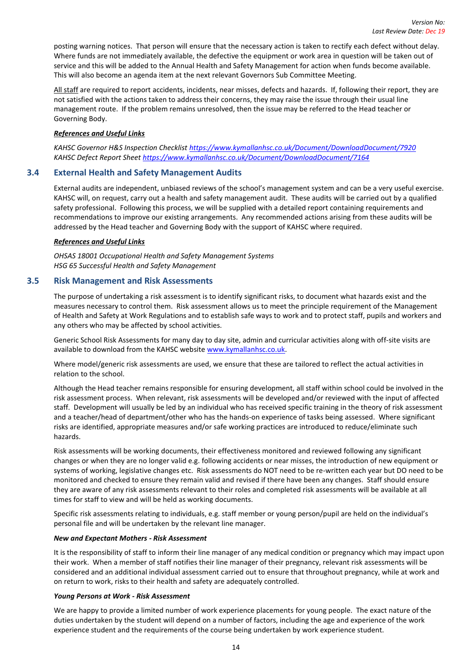posting warning notices. That person will ensure that the necessary action is taken to rectify each defect without delay. Where funds are not immediately available, the defective the equipment or work area in question will be taken out of service and this will be added to the Annual Health and Safety Management for action when funds become available. This will also become an agenda item at the next relevant Governors Sub Committee Meeting.

All staff are required to report accidents, incidents, near misses, defects and hazards. If, following their report, they are not satisfied with the actions taken to address their concerns, they may raise the issue through their usual line management route. If the problem remains unresolved, then the issue may be referred to the Head teacher or Governing Body.

#### *References and Useful Links*

*KAHSC Governor H&S Inspection Checklist<https://www.kymallanhsc.co.uk/Document/DownloadDocument/7920> KAHSC Defect Report Sheet<https://www.kymallanhsc.co.uk/Document/DownloadDocument/7164>*

#### <span id="page-17-0"></span>**3.4 External Health and Safety Management Audits**

External audits are independent, unbiased reviews of the school's management system and can be a very useful exercise. KAHSC will, on request, carry out a health and safety management audit. These audits will be carried out by a qualified safety professional. Following this process, we will be supplied with a detailed report containing requirements and recommendations to improve our existing arrangements. Any recommended actions arising from these audits will be addressed by the Head teacher and Governing Body with the support of KAHSC where required.

#### *References and Useful Links*

*OHSAS 18001 Occupational Health and Safety Management Systems HSG 65 Successful Health and Safety Management*

#### <span id="page-17-1"></span>**3.5 Risk Management and Risk Assessments**

The purpose of undertaking a risk assessment is to identify significant risks, to document what hazards exist and the measures necessary to control them. Risk assessment allows us to meet the principle requirement of the Management of Health and Safety at Work Regulations and to establish safe ways to work and to protect staff, pupils and workers and any others who may be affected by school activities.

Generic School Risk Assessments for many day to day site, admin and curricular activities along with off-site visits are available to download from the KAHSC website [www.kymallanhsc.co.uk.](http://www.kymallanhsc.co.uk/)

Where model/generic risk assessments are used, we ensure that these are tailored to reflect the actual activities in relation to the school.

Although the Head teacher remains responsible for ensuring development, all staff within school could be involved in the risk assessment process. When relevant, risk assessments will be developed and/or reviewed with the input of affected staff. Development will usually be led by an individual who has received specific training in the theory of risk assessment and a teacher/head of department/other who has the hands-on experience of tasks being assessed. Where significant risks are identified, appropriate measures and/or safe working practices are introduced to reduce/eliminate such hazards.

Risk assessments will be working documents, their effectiveness monitored and reviewed following any significant changes or when they are no longer valid e.g. following accidents or near misses, the introduction of new equipment or systems of working, legislative changes etc. Risk assessments do NOT need to be re-written each year but DO need to be monitored and checked to ensure they remain valid and revised if there have been any changes. Staff should ensure they are aware of any risk assessments relevant to their roles and completed risk assessments will be available at all times for staff to view and will be held as working documents.

Specific risk assessments relating to individuals, e.g. staff member or young person/pupil are held on the individual's personal file and will be undertaken by the relevant line manager.

#### *New and Expectant Mothers - Risk Assessment*

It is the responsibility of staff to inform their line manager of any medical condition or pregnancy which may impact upon their work. When a member of staff notifies their line manager of their pregnancy, relevant risk assessments will be considered and an additional individual assessment carried out to ensure that throughout pregnancy, while at work and on return to work, risks to their health and safety are adequately controlled.

#### *Young Persons at Work - Risk Assessment*

We are happy to provide a limited number of work experience placements for young people. The exact nature of the duties undertaken by the student will depend on a number of factors, including the age and experience of the work experience student and the requirements of the course being undertaken by work experience student.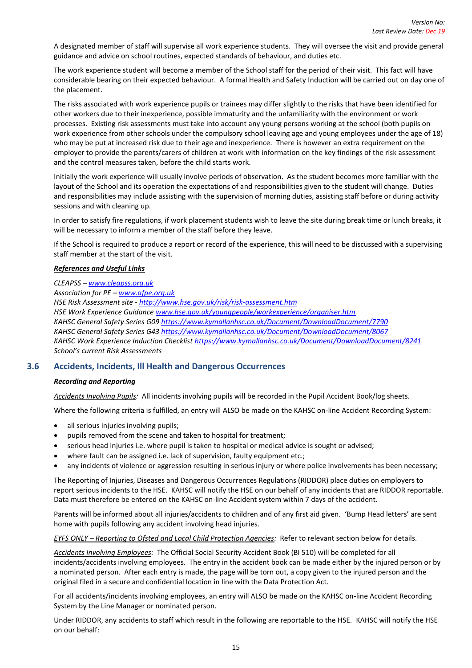A designated member of staff will supervise all work experience students. They will oversee the visit and provide general guidance and advice on school routines, expected standards of behaviour, and duties etc.

The work experience student will become a member of the School staff for the period of their visit. This fact will have considerable bearing on their expected behaviour. A formal Health and Safety Induction will be carried out on day one of the placement.

The risks associated with work experience pupils or trainees may differ slightly to the risks that have been identified for other workers due to their inexperience, possible immaturity and the unfamiliarity with the environment or work processes. Existing risk assessments must take into account any young persons working at the school (both pupils on work experience from other schools under the compulsory school leaving age and young employees under the age of 18) who may be put at increased risk due to their age and inexperience. There is however an extra requirement on the employer to provide the parents/carers of children at work with information on the key findings of the risk assessment and the control measures taken, before the child starts work.

Initially the work experience will usually involve periods of observation. As the student becomes more familiar with the layout of the School and its operation the expectations of and responsibilities given to the student will change. Duties and responsibilities may include assisting with the supervision of morning duties, assisting staff before or during activity sessions and with cleaning up.

In order to satisfy fire regulations, if work placement students wish to leave the site during break time or lunch breaks, it will be necessary to inform a member of the staff before they leave.

If the School is required to produce a report or record of the experience, this will need to be discussed with a supervising staff member at the start of the visit.

#### *References and Useful Links*

#### *CLEAPSS – [www.cleapss.org.uk](http://www.cleapss.org.uk/)*

*Association for PE – [www.afpe.org.uk](http://www.afpe.org.uk/) HSE Risk Assessment site - <http://www.hse.gov.uk/risk/risk-assessment.htm> HSE Work Experience Guidanc[e www.hse.gov.uk/youngpeople/workexperience/organiser.htm](http://www.hse.gov.uk/youngpeople/workexperience/organiser.htm) KAHSC General Safety Series G0[9 https://www.kymallanhsc.co.uk/Document/DownloadDocument/7790](https://www.kymallanhsc.co.uk/Document/DownloadDocument/7790) KAHSC General Safety Series G4[3 https://www.kymallanhsc.co.uk/Document/DownloadDocument/8067](https://www.kymallanhsc.co.uk/Document/DownloadDocument/8067) KAHSC Work Experience Induction Checklis[t https://www.kymallanhsc.co.uk/Document/DownloadDocument/8241](https://www.kymallanhsc.co.uk/Document/DownloadDocument/8241) School's current Risk Assessments*

#### <span id="page-18-0"></span>**3.6 Accidents, Incidents, Ill Health and Dangerous Occurrences**

#### *Recording and Reporting*

*Accidents Involving Pupils:* All incidents involving pupils will be recorded in the Pupil Accident Book/log sheets.

Where the following criteria is fulfilled, an entry will ALSO be made on the KAHSC on-line Accident Recording System:

- all serious injuries involving pupils;
- pupils removed from the scene and taken to hospital for treatment;
- serious head injuries i.e. where pupil is taken to hospital or medical advice is sought or advised;
- where fault can be assigned i.e. lack of supervision, faulty equipment etc.;
- any incidents of violence or aggression resulting in serious injury or where police involvements has been necessary;

The Reporting of Injuries, Diseases and Dangerous Occurrences Regulations (RIDDOR) place duties on employers to report serious incidents to the HSE. KAHSC will notify the HSE on our behalf of any incidents that are RIDDOR reportable. Data must therefore be entered on the KAHSC on-line Accident system within 7 days of the accident.

Parents will be informed about all injuries/accidents to children and of any first aid given. 'Bump Head letters' are sent home with pupils following any accident involving head injuries.

*EYFS ONLY – Reporting to Ofsted and Local Child Protection Agencies:* Refer to relevant section below for details.

*Accidents Involving Employees:* The Official Social Security Accident Book (BI 510) will be completed for all incidents/accidents involving employees. The entry in the accident book can be made either by the injured person or by a nominated person. After each entry is made, the page will be torn out, a copy given to the injured person and the original filed in a secure and confidential location in line with the Data Protection Act.

For all accidents/incidents involving employees, an entry will ALSO be made on the KAHSC on-line Accident Recording System by the Line Manager or nominated person.

Under RIDDOR, any accidents to staff which result in the following are reportable to the HSE. KAHSC will notify the HSE on our behalf: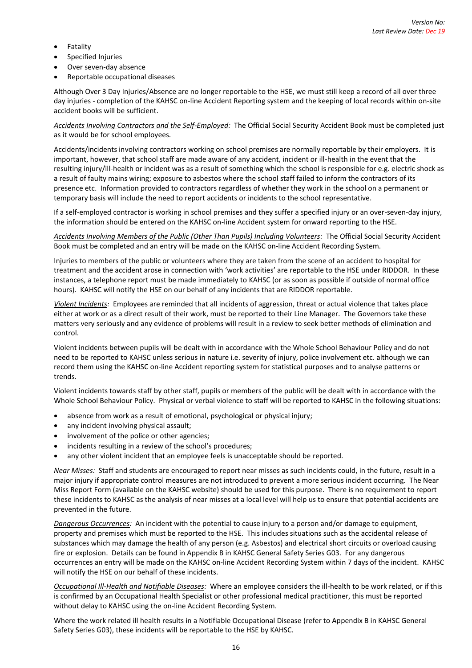- **Fatality**
- Specified Injuries
- Over seven-day absence
- Reportable occupational diseases

Although Over 3 Day Injuries/Absence are no longer reportable to the HSE, we must still keep a record of all over three day injuries - completion of the KAHSC on-line Accident Reporting system and the keeping of local records within on-site accident books will be sufficient.

*Accidents Involving Contractors and the Self-Employed:* The Official Social Security Accident Book must be completed just as it would be for school employees.

Accidents/incidents involving contractors working on school premises are normally reportable by their employers. It is important, however, that school staff are made aware of any accident, incident or ill-health in the event that the resulting injury/ill-health or incident was as a result of something which the school is responsible for e.g. electric shock as a result of faulty mains wiring; exposure to asbestos where the school staff failed to inform the contractors of its presence etc. Information provided to contractors regardless of whether they work in the school on a permanent or temporary basis will include the need to report accidents or incidents to the school representative.

If a self-employed contractor is working in school premises and they suffer a specified injury or an over-seven-day injury, the information should be entered on the KAHSC on-line Accident system for onward reporting to the HSE.

*Accidents Involving Members of the Public (Other Than Pupils) Including Volunteers:* The Official Social Security Accident Book must be completed and an entry will be made on the KAHSC on-line Accident Recording System.

Injuries to members of the public or volunteers where they are taken from the scene of an accident to hospital for treatment and the accident arose in connection with 'work activities' are reportable to the HSE under RIDDOR. In these instances, a telephone report must be made immediately to KAHSC (or as soon as possible if outside of normal office hours)*.* KAHSC will notify the HSE on our behalf of any incidents that are RIDDOR reportable.

*Violent Incidents:* Employees are reminded that all incidents of aggression, threat or actual violence that takes place either at work or as a direct result of their work, must be reported to their Line Manager. The Governors take these matters very seriously and any evidence of problems will result in a review to seek better methods of elimination and control.

Violent incidents between pupils will be dealt with in accordance with the Whole School Behaviour Policy and do not need to be reported to KAHSC unless serious in nature i.e. severity of injury, police involvement etc. although we can record them using the KAHSC on-line Accident reporting system for statistical purposes and to analyse patterns or trends.

Violent incidents towards staff by other staff, pupils or members of the public will be dealt with in accordance with the Whole School Behaviour Policy. Physical or verbal violence to staff will be reported to KAHSC in the following situations:

- absence from work as a result of emotional, psychological or physical injury;
- any incident involving physical assault;
- involvement of the police or other agencies;
- incidents resulting in a review of the school's procedures;
- any other violent incident that an employee feels is unacceptable should be reported.

*Near Misses:* Staff and students are encouraged to report near misses as such incidents could, in the future, result in a major injury if appropriate control measures are not introduced to prevent a more serious incident occurring. The Near Miss Report Form (available on the KAHSC website) should be used for this purpose. There is no requirement to report these incidents to KAHSC as the analysis of near misses at a local level will help us to ensure that potential accidents are prevented in the future.

*Dangerous Occurrences:* An incident with the potential to cause injury to a person and/or damage to equipment, property and premises which must be reported to the HSE. This includes situations such as the accidental release of substances which may damage the health of any person (e.g. Asbestos) and electrical short circuits or overload causing fire or explosion. Details can be found in Appendix B in KAHSC General Safety Series G03. For any dangerous occurrences an entry will be made on the KAHSC on-line Accident Recording System within 7 days of the incident. KAHSC will notify the HSE on our behalf of these incidents.

*Occupational Ill-Health and Notifiable Diseases:* Where an employee considers the ill-health to be work related, or if this is confirmed by an Occupational Health Specialist or other professional medical practitioner, this must be reported without delay to KAHSC using the on-line Accident Recording System.

Where the work related ill health results in a Notifiable Occupational Disease (refer to Appendix B in KAHSC General Safety Series G03), these incidents will be reportable to the HSE by KAHSC.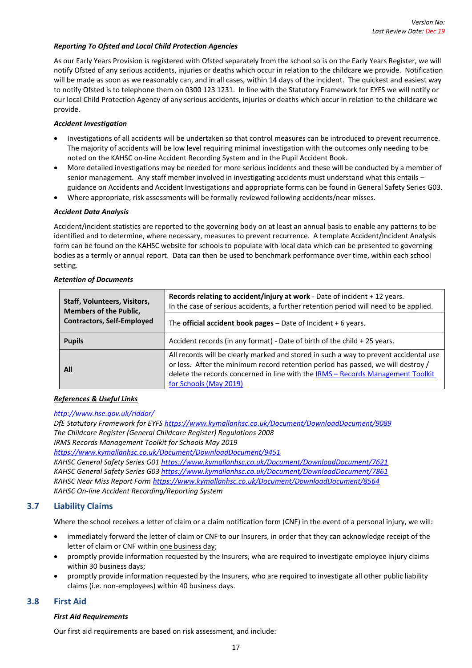#### *Reporting To Ofsted and Local Child Protection Agencies*

As our Early Years Provision is registered with Ofsted separately from the school so is on the Early Years Register, we will notify Ofsted of any serious accidents, injuries or deaths which occur in relation to the childcare we provide. Notification will be made as soon as we reasonably can, and in all cases, within 14 days of the incident. The quickest and easiest way to notify Ofsted is to telephone them on 0300 123 1231. In line with the Statutory Framework for EYFS we will notify or our local Child Protection Agency of any serious accidents, injuries or deaths which occur in relation to the childcare we provide.

#### *Accident Investigation*

- Investigations of all accidents will be undertaken so that control measures can be introduced to prevent recurrence. The majority of accidents will be low level requiring minimal investigation with the outcomes only needing to be noted on the KAHSC on-line Accident Recording System and in the Pupil Accident Book.
- More detailed investigations may be needed for more serious incidents and these will be conducted by a member of senior management. Any staff member involved in investigating accidents must understand what this entails – guidance on Accidents and Accident Investigations and appropriate forms can be found in General Safety Series G03.
- Where appropriate, risk assessments will be formally reviewed following accidents/near misses.

#### *Accident Data Analysis*

Accident/incident statistics are reported to the governing body on at least an annual basis to enable any patterns to be identified and to determine, where necessary, measures to prevent recurrence. A template Accident/Incident Analysis form can be found on the KAHSC website for schools to populate with local data which can be presented to governing bodies as a termly or annual report. Data can then be used to benchmark performance over time, within each school setting.

| Retention of Documents |  |  |  |
|------------------------|--|--|--|
|------------------------|--|--|--|

| <b>Staff, Volunteers, Visitors,</b><br><b>Members of the Public,</b> | Records relating to accident/injury at work - Date of incident + 12 years.<br>In the case of serious accidents, a further retention period will need to be applied.                                                                                                                           |
|----------------------------------------------------------------------|-----------------------------------------------------------------------------------------------------------------------------------------------------------------------------------------------------------------------------------------------------------------------------------------------|
| <b>Contractors, Self-Employed</b>                                    | The official accident book pages $-$ Date of Incident $+$ 6 years.                                                                                                                                                                                                                            |
| <b>Pupils</b>                                                        | Accident records (in any format) - Date of birth of the child + 25 years.                                                                                                                                                                                                                     |
| All                                                                  | All records will be clearly marked and stored in such a way to prevent accidental use<br>or loss. After the minimum record retention period has passed, we will destroy /<br>delete the records concerned in line with the <b>IRMS</b> - Records Management Toolkit<br>for Schools (May 2019) |

#### *References & Useful Links*

#### *<http://www.hse.gov.uk/riddor/>*

*DfE Statutory Framework for EYFS<https://www.kymallanhsc.co.uk/Document/DownloadDocument/9089> The Childcare Register (General Childcare Register) Regulations 2008 IRMS Records Management Toolkit for Schools May 2019* 

*<https://www.kymallanhsc.co.uk/Document/DownloadDocument/9451>*

*KAHSC General Safety Series G0[1 https://www.kymallanhsc.co.uk/Document/DownloadDocument/7621](https://www.kymallanhsc.co.uk/Document/DownloadDocument/7621) KAHSC General Safety Series G0[3 https://www.kymallanhsc.co.uk/Document/DownloadDocument/7861](https://www.kymallanhsc.co.uk/Document/DownloadDocument/7861) KAHSC Near Miss Report Form<https://www.kymallanhsc.co.uk/Document/DownloadDocument/8564> KAHSC On-line Accident Recording/Reporting System*

#### <span id="page-20-0"></span>**3.7 Liability Claims**

Where the school receives a letter of claim or a claim notification form (CNF) in the event of a personal injury, we will:

- immediately forward the letter of claim or CNF to our Insurers, in order that they can acknowledge receipt of the letter of claim or CNF within one business day;
- promptly provide information requested by the Insurers, who are required to investigate employee injury claims within 30 business days;
- promptly provide information requested by the Insurers, who are required to investigate all other public liability claims (i.e. non-employees) within 40 business days.

#### <span id="page-20-1"></span>**3.8 First Aid**

#### *First Aid Requirements*

Our first aid requirements are based on risk assessment, and include: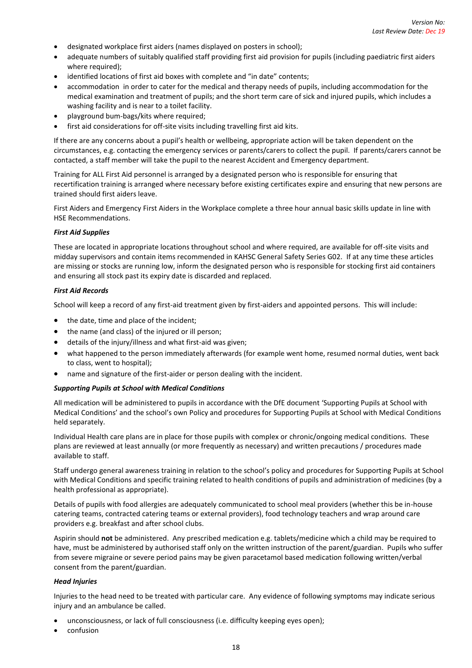- designated workplace first aiders (names displayed on posters in school);
- adequate numbers of suitably qualified staff providing first aid provision for pupils (including paediatric first aiders where required):
- identified locations of first aid boxes with complete and "in date" contents;
- accommodation in order to cater for the medical and therapy needs of pupils, including accommodation for the medical examination and treatment of pupils; and the short term care of sick and injured pupils, which includes a washing facility and is near to a toilet facility.
- playground bum-bags/kits where required;
- first aid considerations for off-site visits including travelling first aid kits.

If there are any concerns about a pupil's health or wellbeing, appropriate action will be taken dependent on the circumstances, e.g. contacting the emergency services or parents/carers to collect the pupil. If parents/carers cannot be contacted, a staff member will take the pupil to the nearest Accident and Emergency department.

Training for ALL First Aid personnel is arranged by a designated person who is responsible for ensuring that recertification training is arranged where necessary before existing certificates expire and ensuring that new persons are trained should first aiders leave.

First Aiders and Emergency First Aiders in the Workplace complete a three hour annual basic skills update in line with HSE Recommendations.

#### *First Aid Supplies*

These are located in appropriate locations throughout school and where required, are available for off-site visits and midday supervisors and contain items recommended in KAHSC General Safety Series G02. If at any time these articles are missing or stocks are running low, inform the designated person who is responsible for stocking first aid containers and ensuring all stock past its expiry date is discarded and replaced.

#### *First Aid Records*

School will keep a record of any first-aid treatment given by first-aiders and appointed persons. This will include:

- the date, time and place of the incident:
- the name (and class) of the injured or ill person;
- details of the injury/illness and what first-aid was given;
- what happened to the person immediately afterwards (for example went home, resumed normal duties, went back to class, went to hospital);
- name and signature of the first-aider or person dealing with the incident.

#### *Supporting Pupils at School with Medical Conditions*

All medication will be administered to pupils in accordance with the DfE document 'Supporting Pupils at School with Medical Conditions' and the school's own Policy and procedures for Supporting Pupils at School with Medical Conditions held separately.

Individual Health care plans are in place for those pupils with complex or chronic/ongoing medical conditions. These plans are reviewed at least annually (or more frequently as necessary) and written precautions / procedures made available to staff.

Staff undergo general awareness training in relation to the school's policy and procedures for Supporting Pupils at School with Medical Conditions and specific training related to health conditions of pupils and administration of medicines (by a health professional as appropriate).

Details of pupils with food allergies are adequately communicated to school meal providers (whether this be in-house catering teams, contracted catering teams or external providers), food technology teachers and wrap around care providers e.g. breakfast and after school clubs.

Aspirin should **not** be administered. Any prescribed medication e.g. tablets/medicine which a child may be required to have, must be administered by authorised staff only on the written instruction of the parent/guardian. Pupils who suffer from severe migraine or severe period pains may be given paracetamol based medication following written/verbal consent from the parent/guardian.

#### *Head Injuries*

Injuries to the head need to be treated with particular care. Any evidence of following symptoms may indicate serious injury and an ambulance be called.

- unconsciousness, or lack of full consciousness (i.e. difficulty keeping eyes open);
- confusion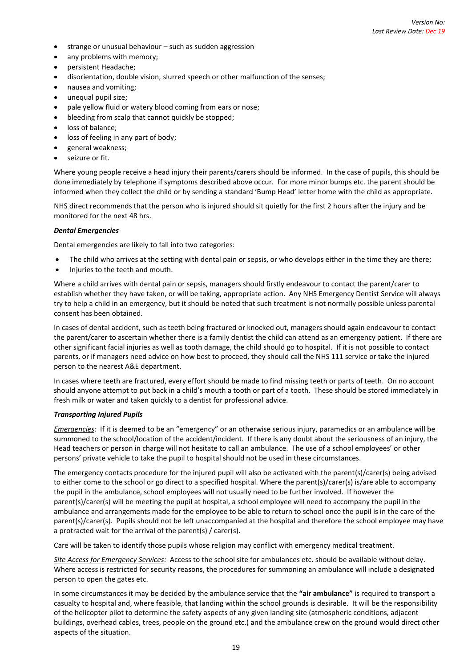- strange or unusual behaviour  $-$  such as sudden aggression
- any problems with memory;
- persistent Headache;
- disorientation, double vision, slurred speech or other malfunction of the senses;
- nausea and vomiting;
- unequal pupil size;
- pale yellow fluid or watery blood coming from ears or nose;
- bleeding from scalp that cannot quickly be stopped;
- loss of balance:
- loss of feeling in any part of body;
- general weakness;
- seizure or fit.

Where young people receive a head injury their parents/carers should be informed. In the case of pupils, this should be done immediately by telephone if symptoms described above occur. For more minor bumps etc. the parent should be informed when they collect the child or by sending a standard 'Bump Head' letter home with the child as appropriate.

NHS direct recommends that the person who is injured should sit quietly for the first 2 hours after the injury and be monitored for the next 48 hrs.

#### *Dental Emergencies*

Dental emergencies are likely to fall into two categories:

- The child who arrives at the setting with dental pain or sepsis, or who develops either in the time they are there;
- Injuries to the teeth and mouth.

Where a child arrives with dental pain or sepsis, managers should firstly endeavour to contact the parent/carer to establish whether they have taken, or will be taking, appropriate action. Any NHS Emergency Dentist Service will always try to help a child in an emergency, but it should be noted that such treatment is not normally possible unless parental consent has been obtained.

In cases of dental accident, such as teeth being fractured or knocked out, managers should again endeavour to contact the parent/carer to ascertain whether there is a family dentist the child can attend as an emergency patient. If there are other significant facial injuries as well as tooth damage, the child should go to hospital. If it is not possible to contact parents, or if managers need advice on how best to proceed, they should call the NHS 111 service or take the injured person to the nearest A&E department.

In cases where teeth are fractured, every effort should be made to find missing teeth or parts of teeth. On no account should anyone attempt to put back in a child's mouth a tooth or part of a tooth. These should be stored immediately in fresh milk or water and taken quickly to a dentist for professional advice.

#### *Transporting Injured Pupils*

*Emergencies:* If it is deemed to be an "emergency" or an otherwise serious injury, paramedics or an ambulance will be summoned to the school/location of the accident/incident. If there is any doubt about the seriousness of an injury, the Head teachers or person in charge will not hesitate to call an ambulance. The use of a school employees' or other persons' private vehicle to take the pupil to hospital should not be used in these circumstances.

The emergency contacts procedure for the injured pupil will also be activated with the parent(s)/carer(s) being advised to either come to the school or go direct to a specified hospital. Where the parent(s)/carer(s) is/are able to accompany the pupil in the ambulance, school employees will not usually need to be further involved. If however the parent(s)/carer(s) will be meeting the pupil at hospital, a school employee will need to accompany the pupil in the ambulance and arrangements made for the employee to be able to return to school once the pupil is in the care of the parent(s)/carer(s). Pupils should not be left unaccompanied at the hospital and therefore the school employee may have a protracted wait for the arrival of the parent(s) / carer(s).

Care will be taken to identify those pupils whose religion may conflict with emergency medical treatment.

*Site Access for Emergency Services:* Access to the school site for ambulances etc. should be available without delay. Where access is restricted for security reasons, the procedures for summoning an ambulance will include a designated person to open the gates etc.

In some circumstances it may be decided by the ambulance service that the **"air ambulance"** is required to transport a casualty to hospital and, where feasible, that landing within the school grounds is desirable. It will be the responsibility of the helicopter pilot to determine the safety aspects of any given landing site (atmospheric conditions, adjacent buildings, overhead cables, trees, people on the ground etc.) and the ambulance crew on the ground would direct other aspects of the situation.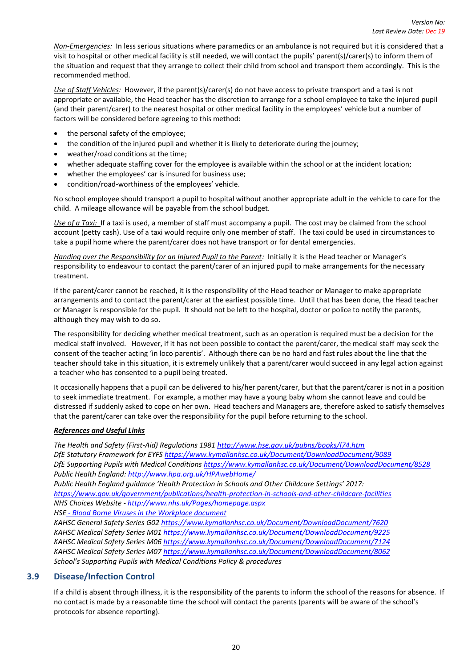*Non-Emergencies:* In less serious situations where paramedics or an ambulance is not required but it is considered that a visit to hospital or other medical facility is still needed, we will contact the pupils' parent(s)/carer(s) to inform them of the situation and request that they arrange to collect their child from school and transport them accordingly. This is the recommended method.

*Use of Staff Vehicles:* However, if the parent(s)/carer(s) do not have access to private transport and a taxi is not appropriate or available, the Head teacher has the discretion to arrange for a school employee to take the injured pupil (and their parent/carer) to the nearest hospital or other medical facility in the employees' vehicle but a number of factors will be considered before agreeing to this method:

- the personal safety of the employee;
- the condition of the injured pupil and whether it is likely to deteriorate during the journey;
- weather/road conditions at the time;
- whether adequate staffing cover for the employee is available within the school or at the incident location;
- whether the employees' car is insured for business use;
- condition/road-worthiness of the employees' vehicle.

No school employee should transport a pupil to hospital without another appropriate adult in the vehicle to care for the child. A mileage allowance will be payable from the school budget.

*Use of a Taxi:* If a taxi is used, a member of staff must accompany a pupil. The cost may be claimed from the school account (petty cash). Use of a taxi would require only one member of staff. The taxi could be used in circumstances to take a pupil home where the parent/carer does not have transport or for dental emergencies.

*Handing over the Responsibility for an Injured Pupil to the Parent:* Initially it is the Head teacher or Manager's responsibility to endeavour to contact the parent/carer of an injured pupil to make arrangements for the necessary treatment.

If the parent/carer cannot be reached, it is the responsibility of the Head teacher or Manager to make appropriate arrangements and to contact the parent/carer at the earliest possible time. Until that has been done, the Head teacher or Manager is responsible for the pupil. It should not be left to the hospital, doctor or police to notify the parents, although they may wish to do so.

The responsibility for deciding whether medical treatment, such as an operation is required must be a decision for the medical staff involved. However, if it has not been possible to contact the parent/carer, the medical staff may seek the consent of the teacher acting 'in loco parentis'. Although there can be no hard and fast rules about the line that the teacher should take in this situation, it is extremely unlikely that a parent/carer would succeed in any legal action against a teacher who has consented to a pupil being treated.

It occasionally happens that a pupil can be delivered to his/her parent/carer, but that the parent/carer is not in a position to seek immediate treatment. For example, a mother may have a young baby whom she cannot leave and could be distressed if suddenly asked to cope on her own. Head teachers and Managers are, therefore asked to satisfy themselves that the parent/carer can take over the responsibility for the pupil before returning to the school.

#### *References and Useful Links*

*The Health and Safety (First-Aid) Regulations 1981<http://www.hse.gov.uk/pubns/books/l74.htm> DfE Statutory Framework for EYFS<https://www.kymallanhsc.co.uk/Document/DownloadDocument/9089> DfE Supporting Pupils with Medical Conditions<https://www.kymallanhsc.co.uk/Document/DownloadDocument/8528> Public Health England[: http://www.hpa.org.uk/HPAwebHome/](http://www.hpa.org.uk/HPAwebHome/)*

*Public Health England guidance 'Health Protection in Schools and Other Childcare Settings' 2017: <https://www.gov.uk/government/publications/health-protection-in-schools-and-other-childcare-facilities> NHS Choices Website - <http://www.nhs.uk/Pages/homepage.aspx> HSE - [Blood Borne Viruses in the Workplace document](http://www.hse.gov.uk/pubns/indg342.pdf)*

*KAHSC General Safety Series G0[2 https://www.kymallanhsc.co.uk/Document/DownloadDocument/7620](https://www.kymallanhsc.co.uk/Document/DownloadDocument/7620) KAHSC Medical Safety Series M01<https://www.kymallanhsc.co.uk/Document/DownloadDocument/9225> KAHSC Medical Safety Series M06<https://www.kymallanhsc.co.uk/Document/DownloadDocument/7124> KAHSC Medical Safety Series M07<https://www.kymallanhsc.co.uk/Document/DownloadDocument/8062> School's Supporting Pupils with Medical Conditions Policy & procedures*

## <span id="page-23-0"></span>**3.9 Disease/Infection Control**

If a child is absent through illness, it is the responsibility of the parents to inform the school of the reasons for absence. If no contact is made by a reasonable time the school will contact the parents (parents will be aware of the school's protocols for absence reporting).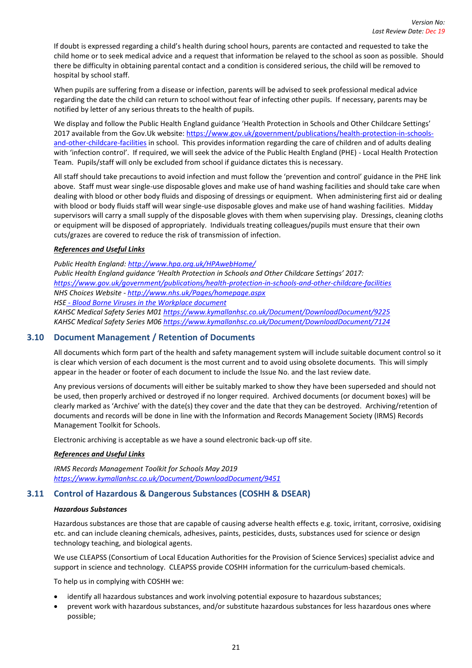If doubt is expressed regarding a child's health during school hours, parents are contacted and requested to take the child home or to seek medical advice and a request that information be relayed to the school as soon as possible. Should there be difficulty in obtaining parental contact and a condition is considered serious, the child will be removed to hospital by school staff.

When pupils are suffering from a disease or infection, parents will be advised to seek professional medical advice regarding the date the child can return to school without fear of infecting other pupils. If necessary, parents may be notified by letter of any serious threats to the health of pupils.

We display and follow the Public Health England guidance 'Health Protection in Schools and Other Childcare Settings' 2017 available from the Gov.Uk website: [https://www.gov.uk/government/publications/health-protection-in-schools](https://www.gov.uk/government/publications/health-protection-in-schools-and-other-childcare-facilities)[and-other-childcare-facilities](https://www.gov.uk/government/publications/health-protection-in-schools-and-other-childcare-facilities) in school. This provides information regarding the care of children and of adults dealing with 'infection control'. If required, we will seek the advice of the Public Health England (PHE) - Local Health Protection Team. Pupils/staff will only be excluded from school if guidance dictates this is necessary.

All staff should take precautions to avoid infection and must follow [the](http://www.nhsprofessionals.nhs.uk/download/comms/cg1_nhsp_standard_infection_control_precautions_v3.pdf) 'prevention and control' guidance in the PHE link above. Staff must wear single-use disposable gloves and make use of hand washing facilities and should take care when dealing with blood or other body fluids and disposing of dressings or equipment. When administering first aid or dealing with blood or body fluids staff will wear single-use disposable gloves and make use of hand washing facilities. Midday supervisors will carry a small supply of the disposable gloves with them when supervising play. Dressings, cleaning cloths or equipment will be disposed of appropriately. Individuals treating colleagues/pupils must ensure that their own cuts/grazes are covered to reduce the risk of transmission of infection.

#### *References and Useful Links*

*Public Health England[: http://www.hpa.org.uk/HPAwebHome/](http://www.hpa.org.uk/HPAwebHome/) Public Health England guidance 'Health Protection in Schools and Other Childcare Settings' 2017: <https://www.gov.uk/government/publications/health-protection-in-schools-and-other-childcare-facilities> NHS Choices Website - <http://www.nhs.uk/Pages/homepage.aspx> HSE - [Blood Borne Viruses in the Workplace document](http://www.hse.gov.uk/pubns/indg342.pdf) KAHSC Medical Safety Series M01<https://www.kymallanhsc.co.uk/Document/DownloadDocument/9225> KAHSC Medical Safety Series M06<https://www.kymallanhsc.co.uk/Document/DownloadDocument/7124>*

#### <span id="page-24-0"></span>**3.10 Document Management / Retention of Documents**

All documents which form part of the health and safety management system will include suitable document control so it is clear which version of each document is the most current and to avoid using obsolete documents. This will simply appear in the header or footer of each document to include the Issue No. and the last review date.

Any previous versions of documents will either be suitably marked to show they have been superseded and should not be used, then properly archived or destroyed if no longer required. Archived documents (or document boxes) will be clearly marked as 'Archive' with the date(s) they cover and the date that they can be destroyed. Archiving/retention of documents and records will be done in line with the Information and Records Management Society (IRMS) Records Management Toolkit for Schools.

Electronic archiving is acceptable as we have a sound electronic back-up off site.

#### *References and Useful Links*

*IRMS Records Management Toolkit for Schools May 2019 <https://www.kymallanhsc.co.uk/Document/DownloadDocument/9451>*

#### <span id="page-24-1"></span>**3.11 Control of Hazardous & Dangerous Substances (COSHH & DSEAR)**

#### *Hazardous Substances*

Hazardous substances are those that are capable of causing adverse health effects e.g. toxic, irritant, corrosive, oxidising etc. and can include cleaning chemicals, adhesives, paints, pesticides, dusts, substances used for science or design technology teaching, and biological agents.

We use CLEAPSS (Consortium of Local Education Authorities for the Provision of Science Services) specialist advice and support in science and technology. CLEAPSS provide COSHH information for the curriculum-based chemicals.

To help us in complying with COSHH we:

- identify all hazardous substances and work involving potential exposure to hazardous substances;
- prevent work with hazardous substances, and/or substitute hazardous substances for less hazardous ones where possible;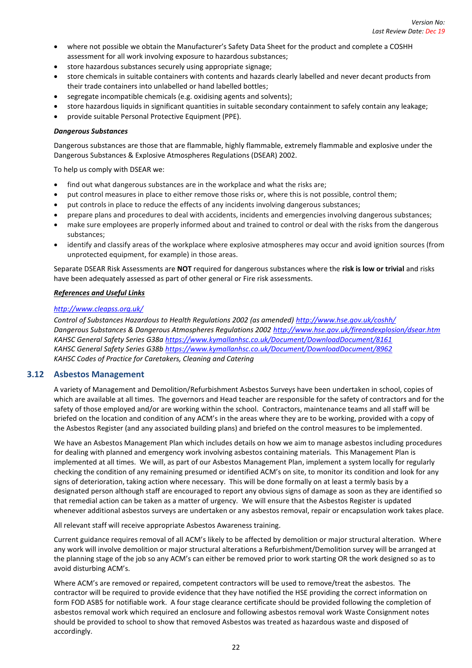- where not possible we obtain the Manufacturer's Safety Data Sheet for the product and complete a COSHH assessment for all work involving exposure to hazardous substances;
- store hazardous substances securely using appropriate signage;
- store chemicals in suitable containers with contents and hazards clearly labelled and never decant products from their trade containers into unlabelled or hand labelled bottles;
- segregate incompatible chemicals (e.g. oxidising agents and solvents);
- store hazardous liquids in significant quantities in suitable secondary containment to safely contain any leakage;
- provide suitable Personal Protective Equipment (PPE).

#### *Dangerous Substances*

Dangerous substances are those that are flammable, highly flammable, extremely flammable and explosive under the Dangerous Substances & Explosive Atmospheres Regulations (DSEAR) 2002.

To help us comply with DSEAR we:

- find out what dangerous substances are in the workplace and what the risks are;
- put control measures in place to either remove those risks or, where this is not possible, control them;
- put controls in place to reduce the effects of any incidents involving dangerous substances;
- prepare plans and procedures to deal with accidents, incidents and emergencies involving dangerous substances;
- make sure employees are properly informed about and trained to control or deal with the risks from the dangerous substances;
- identify and classify areas of the workplace where explosive atmospheres may occur and avoid ignition sources (from unprotected equipment, for example) in those areas.

Separate DSEAR Risk Assessments are **NOT** required for dangerous substances where the **risk is low or trivial** and risks have been adequately assessed as part of other general or Fire risk assessments.

#### *References and Useful Links*

#### *<http://www.cleapss.org.uk/>*

*Control of Substances Hazardous to Health Regulations 2002 (as amended)<http://www.hse.gov.uk/coshh/> Dangerous Substances & Dangerous Atmospheres Regulations 2002<http://www.hse.gov.uk/fireandexplosion/dsear.htm> KAHSC General Safety Series G38[a https://www.kymallanhsc.co.uk/Document/DownloadDocument/8161](https://www.kymallanhsc.co.uk/Document/DownloadDocument/8161) KAHSC General Safety Series G38[b https://www.kymallanhsc.co.uk/Document/DownloadDocument/8962](https://www.kymallanhsc.co.uk/Document/DownloadDocument/8962) KAHSC Codes of Practice for Caretakers, Cleaning and Catering*

#### <span id="page-25-0"></span>**3.12 Asbestos Management**

A variety of Management and Demolition/Refurbishment Asbestos Surveys have been undertaken in school, copies of which are available at all times. The governors and Head teacher are responsible for the safety of contractors and for the safety of those employed and/or are working within the school. Contractors, maintenance teams and all staff will be briefed on the location and condition of any ACM's in the areas where they are to be working, provided with a copy of the Asbestos Register (and any associated building plans) and briefed on the control measures to be implemented.

We have an Asbestos Management Plan which includes details on how we aim to manage asbestos including procedures for dealing with planned and emergency work involving asbestos containing materials. This Management Plan is implemented at all times. We will, as part of our Asbestos Management Plan, implement a system locally for regularly checking the condition of any remaining presumed or identified ACM's on site, to monitor its condition and look for any signs of deterioration, taking action where necessary. This will be done formally on at least a termly basis by a designated person although staff are encouraged to report any obvious signs of damage as soon as they are identified so that remedial action can be taken as a matter of urgency. We will ensure that the Asbestos Register is updated whenever additional asbestos surveys are undertaken or any asbestos removal, repair or encapsulation work takes place.

All relevant staff will receive appropriate Asbestos Awareness training.

Current guidance requires removal of all ACM's likely to be affected by demolition or major structural alteration. Where any work will involve demolition or major structural alterations a Refurbishment/Demolition survey will be arranged at the planning stage of the job so any ACM's can either be removed prior to work starting OR the work designed so as to avoid disturbing ACM's.

Where ACM's are removed or repaired, competent contractors will be used to remove/treat the asbestos. The contractor will be required to provide evidence that they have notified the HSE providing the correct information on form FOD ASB5 for notifiable work. A four stage clearance certificate should be provided following the completion of asbestos removal work which required an enclosure and following asbestos removal work Waste Consignment notes should be provided to school to show that removed Asbestos was treated as hazardous waste and disposed of accordingly.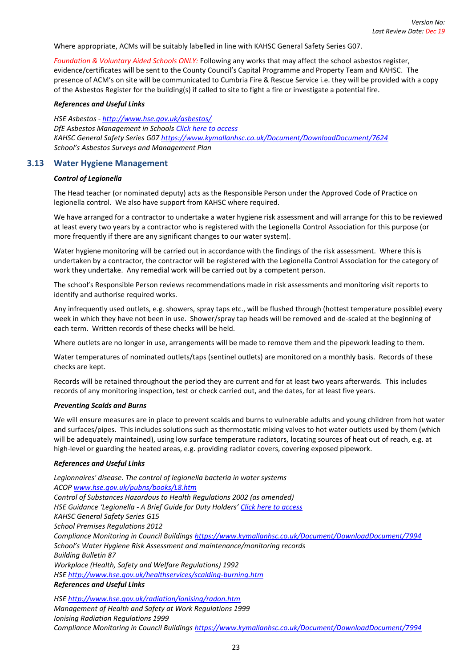Where appropriate, ACMs will be suitably labelled in line with KAHSC General Safety Series G07.

*Foundation & Voluntary Aided Schools ONLY:* Following any works that may affect the school asbestos register, evidence/certificates will be sent to the County Council's Capital Programme and Property Team and KAHSC. The presence of ACM's on site will be communicated to Cumbria Fire & Rescue Service i.e. they will be provided with a copy of the Asbestos Register for the building(s) if called to site to fight a fire or investigate a potential fire*.*

#### *References and Useful Links*

*HSE Asbestos - <http://www.hse.gov.uk/asbestos/> DfE Asbestos Management in Schools [Click here to access](https://www.gov.uk/government/uploads/system/uploads/attachment_data/file/276032/asbestos_management_in_schools_2013.pdf) KAHSC General Safety Series G0[7 https://www.kymallanhsc.co.uk/Document/DownloadDocument/7624](https://www.kymallanhsc.co.uk/Document/DownloadDocument/7624) School's Asbestos Surveys and Management Plan*

#### <span id="page-26-0"></span>**3.13 Water Hygiene Management**

#### *Control of Legionella*

The Head teacher (or nominated deputy) acts as the Responsible Person under the Approved Code of Practice on legionella control. We also have support from KAHSC where required.

We have arranged for a contractor to undertake a water hygiene risk assessment and will arrange for this to be reviewed at least every two years by a contractor who is registered with the Legionella Control Association for this purpose (or more frequently if there are any significant changes to our water system).

Water hygiene monitoring will be carried out in accordance with the findings of the risk assessment. Where this is undertaken by a contractor, the contractor will be registered with the Legionella Control Association for the category of work they undertake. Any remedial work will be carried out by a competent person.

The school's Responsible Person reviews recommendations made in risk assessments and monitoring visit reports to identify and authorise required works.

Any infrequently used outlets, e.g. showers, spray taps etc., will be flushed through (hottest temperature possible) every week in which they have not been in use. Shower/spray tap heads will be removed and de-scaled at the beginning of each term. Written records of these checks will be held.

Where outlets are no longer in use, arrangements will be made to remove them and the pipework leading to them.

Water temperatures of nominated outlets/taps (sentinel outlets) are monitored on a monthly basis. Records of these checks are kept.

Records will be retained throughout the period they are current and for at least two years afterwards. This includes records of any monitoring inspection, test or check carried out, and the dates, for at least five years.

#### *Preventing Scalds and Burns*

We will ensure measures are in place to prevent scalds and burns to vulnerable adults and young children from hot water and surfaces/pipes. This includes solutions such as thermostatic mixing valves to hot water outlets used by them (which will be adequately maintained), using low surface temperature radiators, locating sources of heat out of reach, e.g. at high-level or guarding the heated areas, e.g. providing radiator covers, covering exposed pipework.

#### *References and Useful Links*

*Legionnaires' disease. The control of legionella bacteria in water systems ACOP [www.hse.gov.uk/pubns/books/L8.htm](http://www.hse.gov.uk/pubns/books/L8.htm) Control of Substances Hazardous to Health Regulations 2002 (as amended) HSE Guidance 'Legionella - A Brief Guide for Duty Holders' Click [here to access](http://www.hse.gov.uk/pubns/indg458.htm) KAHSC General Safety Series G15 School Premises Regulations 2012 Compliance Monitoring in Council Building[s https://www.kymallanhsc.co.uk/Document/DownloadDocument/7994](https://www.kymallanhsc.co.uk/Document/DownloadDocument/7994) School's Water Hygiene Risk Assessment and maintenance/monitoring records Building Bulletin 87 Workplace (Health, Safety and Welfare Regulations) 1992 HSE<http://www.hse.gov.uk/healthservices/scalding-burning.htm> References and Useful Links HSE<http://www.hse.gov.uk/radiation/ionising/radon.htm>*

*Management of Health and Safety at Work Regulations 1999 Ionising Radiation Regulations 1999 Compliance Monitoring in Council Building[s https://www.kymallanhsc.co.uk/Document/DownloadDocument/7994](https://www.kymallanhsc.co.uk/Document/DownloadDocument/7994)*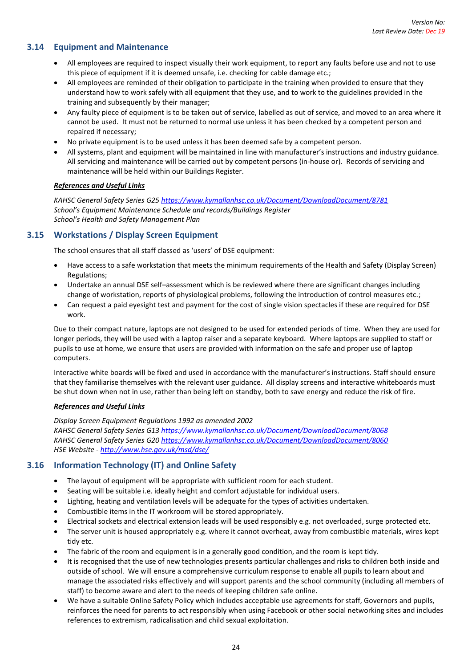## <span id="page-27-0"></span>**3.14 Equipment and Maintenance**

- All employees are required to inspect visually their work equipment, to report any faults before use and not to use this piece of equipment if it is deemed unsafe, i.e. checking for cable damage etc.;
- All employees are reminded of their obligation to participate in the training when provided to ensure that they understand how to work safely with all equipment that they use, and to work to the guidelines provided in the training and subsequently by their manager;
- Any faulty piece of equipment is to be taken out of service, labelled as out of service, and moved to an area where it cannot be used. It must not be returned to normal use unless it has been checked by a competent person and repaired if necessary;
- No private equipment is to be used unless it has been deemed safe by a competent person.
- All systems, plant and equipment will be maintained in line with manufacturer's instructions and industry guidance. All servicing and maintenance will be carried out by competent persons (in-house or). Records of servicing and maintenance will be held within our Buildings Register.

#### *References and Useful Links*

*KAHSC General Safety Series G2[5 https://www.kymallanhsc.co.uk/Document/DownloadDocument/8781](https://www.kymallanhsc.co.uk/Document/DownloadDocument/8781) School's Equipment Maintenance Schedule and records/Buildings Register School's Health and Safety Management Plan*

## <span id="page-27-1"></span>**3.15 Workstations / Display Screen Equipment**

The school ensures that all staff classed as 'users' of DSE equipment:

- Have access to a safe workstation that meets the minimum requirements of the Health and Safety (Display Screen) Regulations;
- Undertake an annual DSE self–assessment which is be reviewed where there are significant changes including change of workstation, reports of physiological problems, following the introduction of control measures etc.;
- Can request a paid eyesight test and payment for the cost of single vision spectacles if these are required for DSE work.

Due to their compact nature, laptops are not designed to be used for extended periods of time. When they are used for longer periods, they will be used with a laptop raiser and a separate keyboard. Where laptops are supplied to staff or pupils to use at home, we ensure that users are provided with information on the safe and proper use of laptop computers.

Interactive white boards will be fixed and used in accordance with the manufacturer's instructions. Staff should ensure that they familiarise themselves with the relevant user guidance. All display screens and interactive whiteboards must be shut down when not in use, rather than being left on standby, both to save energy and reduce the risk of fire.

#### *References and Useful Links*

*Display Screen Equipment Regulations 1992 as amended 2002 KAHSC General Safety Series G1[3 https://www.kymallanhsc.co.uk/Document/DownloadDocument/8068](https://www.kymallanhsc.co.uk/Document/DownloadDocument/8068) KAHSC General Safety Series G2[0 https://www.kymallanhsc.co.uk/Document/DownloadDocument/8060](https://www.kymallanhsc.co.uk/Document/DownloadDocument/8060) HSE Website - <http://www.hse.gov.uk/msd/dse/>*

#### <span id="page-27-2"></span>**3.16 Information Technology (IT) and Online Safety**

- The layout of equipment will be appropriate with sufficient room for each student.
- Seating will be suitable i.e. ideally height and comfort adjustable for individual users.
- Lighting, heating and ventilation levels will be adequate for the types of activities undertaken.
- Combustible items in the IT workroom will be stored appropriately.
- Electrical sockets and electrical extension leads will be used responsibly e.g. not overloaded, surge protected etc.
- The server unit is housed appropriately e.g. where it cannot overheat, away from combustible materials, wires kept tidy etc.
- The fabric of the room and equipment is in a generally good condition, and the room is kept tidy.
- It is recognised that the use of new technologies presents particular challenges and risks to children both inside and outside of school. We will ensure a comprehensive curriculum response to enable all pupils to learn about and manage the associated risks effectively and will support parents and the school community (including all members of staff) to become aware and alert to the needs of keeping children safe online.
- We have a suitable Online Safety Policy which includes acceptable use agreements for staff, Governors and pupils, reinforces the need for parents to act responsibly when using Facebook or other social networking sites and includes references to extremism, radicalisation and child sexual exploitation.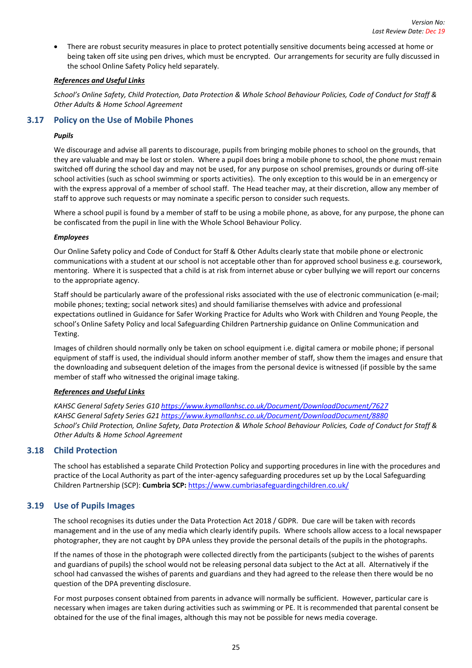• There are robust security measures in place to protect potentially sensitive documents being accessed at home or being taken off site using pen drives, which must be encrypted. Our arrangements for security are fully discussed in the school Online Safety Policy held separately.

#### *References and Useful Links*

*School's Online Safety, Child Protection, Data Protection & Whole School Behaviour Policies, Code of Conduct for Staff & Other Adults & Home School Agreement*

### <span id="page-28-0"></span>**3.17 Policy on the Use of Mobile Phones**

#### *Pupils*

We discourage and advise all parents to discourage, pupils from bringing mobile phones to school on the grounds, that they are valuable and may be lost or stolen. Where a pupil does bring a mobile phone to school, the phone must remain switched off during the school day and may not be used, for any purpose on school premises, grounds or during off-site school activities (such as school swimming or sports activities). The only exception to this would be in an emergency or with the express approval of a member of school staff. The Head teacher may, at their discretion, allow any member of staff to approve such requests or may nominate a specific person to consider such requests.

Where a school pupil is found by a member of staff to be using a mobile phone, as above, for any purpose, the phone can be confiscated from the pupil in line with the Whole School Behaviour Policy.

#### *Employees*

Our Online Safety policy and Code of Conduct for Staff & Other Adults clearly state that mobile phone or electronic communications with a student at our school is not acceptable other than for approved school business e.g. coursework, mentoring. Where it is suspected that a child is at risk from internet abuse or cyber bullying we will report our concerns to the appropriate agency.

Staff should be particularly aware of the professional risks associated with the use of electronic communication (e-mail; mobile phones; texting; social network sites) and should familiarise themselves with advice and professional expectations outlined in Guidance for Safer Working Practice for Adults who Work with Children and Young People, the school's Online Safety Policy and local Safeguarding Children Partnership guidance on Online Communication and Texting.

Images of children should normally only be taken on school equipment i.e. digital camera or mobile phone; if personal equipment of staff is used, the individual should inform another member of staff, show them the images and ensure that the downloading and subsequent deletion of the images from the personal device is witnessed (if possible by the same member of staff who witnessed the original image taking.

#### *References and Useful Links*

*KAHSC General Safety Series G1[0 https://www.kymallanhsc.co.uk/Document/DownloadDocument/7627](https://www.kymallanhsc.co.uk/Document/DownloadDocument/7627) KAHSC General Safety Series G2[1 https://www.kymallanhsc.co.uk/Document/DownloadDocument/8880](https://www.kymallanhsc.co.uk/Document/DownloadDocument/8880) School's Child Protection, Online Safety, Data Protection & Whole School Behaviour Policies, Code of Conduct for Staff & Other Adults & Home School Agreement*

#### <span id="page-28-1"></span>**3.18 Child Protection**

The school has established a separate Child Protection Policy and supporting procedures in line with the procedures and practice of the Local Authority as part of the inter-agency safeguarding procedures set up by the Local Safeguarding Children Partnership (SCP): **Cumbria SCP:** <https://www.cumbriasafeguardingchildren.co.uk/>

#### <span id="page-28-2"></span>**3.19 Use of Pupils Images**

The school recognises its duties under the Data Protection Act 2018 / GDPR. Due care will be taken with records management and in the use of any media which clearly identify pupils. Where schools allow access to a local newspaper photographer, they are not caught by DPA unless they provide the personal details of the pupils in the photographs.

If the names of those in the photograph were collected directly from the participants (subject to the wishes of parents and guardians of pupils) the school would not be releasing personal data subject to the Act at all. Alternatively if the school had canvassed the wishes of parents and guardians and they had agreed to the release then there would be no question of the DPA preventing disclosure.

For most purposes consent obtained from parents in advance will normally be sufficient. However, particular care is necessary when images are taken during activities such as swimming or PE. It is recommended that parental consent be obtained for the use of the final images, although this may not be possible for news media coverage.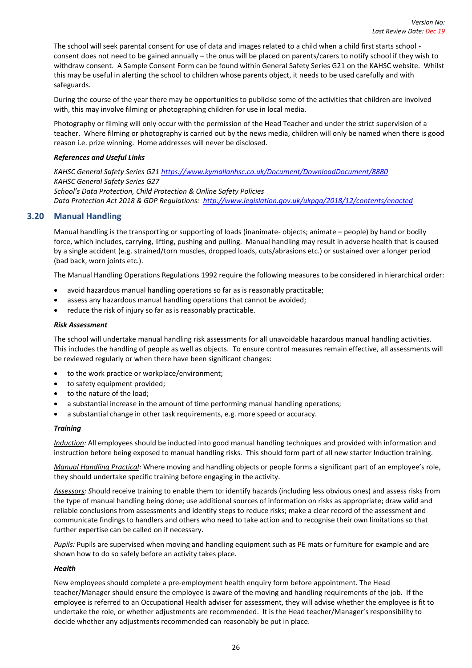The school will seek parental consent for use of data and images related to a child when a child first starts school consent does not need to be gained annually – the onus will be placed on parents/carers to notify school if they wish to withdraw consent. A Sample Consent Form can be found within General Safety Series G21 on the KAHSC website. Whilst this may be useful in alerting the school to children whose parents object, it needs to be used carefully and with safeguards.

During the course of the year there may be opportunities to publicise some of the activities that children are involved with, this may involve filming or photographing children for use in local media.

Photography or filming will only occur with the permission of the Head Teacher and under the strict supervision of a teacher. Where filming or photography is carried out by the news media, children will only be named when there is good reason i.e. prize winning. Home addresses will never be disclosed.

#### *References and Useful Links*

*KAHSC General Safety Series G2[1 https://www.kymallanhsc.co.uk/Document/DownloadDocument/8880](https://www.kymallanhsc.co.uk/Document/DownloadDocument/8880) KAHSC General Safety Series G27 School's Data Protection, Child Protection & Online Safety Policies Data Protection Act 2018 & GDP Regulations: <http://www.legislation.gov.uk/ukpga/2018/12/contents/enacted>*

## <span id="page-29-0"></span>**3.20 Manual Handling**

Manual handling is the transporting or supporting of loads (inanimate- objects; animate – people) by hand or bodily force, which includes, carrying, lifting, pushing and pulling. Manual handling may result in adverse health that is caused by a single accident (e.g. strained/torn muscles, dropped loads, cuts/abrasions etc.) or sustained over a longer period (bad back, worn joints etc.).

The Manual Handling Operations Regulations 1992 require the following measures to be considered in hierarchical order:

- avoid hazardous manual handling operations so far as is reasonably practicable;
- assess any hazardous manual handling operations that cannot be avoided;
- reduce the risk of injury so far as is reasonably practicable.

#### *Risk Assessment*

The school will undertake manual handling risk assessments for all unavoidable hazardous manual handling activities. This includes the handling of people as well as objects. To ensure control measures remain effective, all assessments will be reviewed regularly or when there have been significant changes:

- to the work practice or workplace/environment;
- to safety equipment provided;
- to the nature of the load:
- a substantial increase in the amount of time performing manual handling operations;
- a substantial change in other task requirements, e.g. more speed or accuracy.

#### *Training*

*Induction:* All employees should be inducted into good manual handling techniques and provided with information and instruction before being exposed to manual handling risks. This should form part of all new starter Induction training.

*Manual Handling Practical:* Where moving and handling objects or people forms a significant part of an employee's role, they should undertake specific training before engaging in the activity.

*Assessors: S*hould receive training to enable them to: identify hazards (including less obvious ones) and assess risks from the type of manual handling being done; use additional sources of information on risks as appropriate; draw valid and reliable conclusions from assessments and identify steps to reduce risks; make a clear record of the assessment and communicate findings to handlers and others who need to take action and to recognise their own limitations so that further expertise can be called on if necessary.

*Pupils:* Pupils are supervised when moving and handling equipment such as PE mats or furniture for example and are shown how to do so safely before an activity takes place.

#### *Health*

New employees should complete a pre-employment health enquiry form before appointment. The Head teacher/Manager should ensure the employee is aware of the moving and handling requirements of the job. If the employee is referred to an Occupational Health adviser for assessment, they will advise whether the employee is fit to undertake the role, or whether adjustments are recommended. It is the Head teacher/Manager's responsibility to decide whether any adjustments recommended can reasonably be put in place.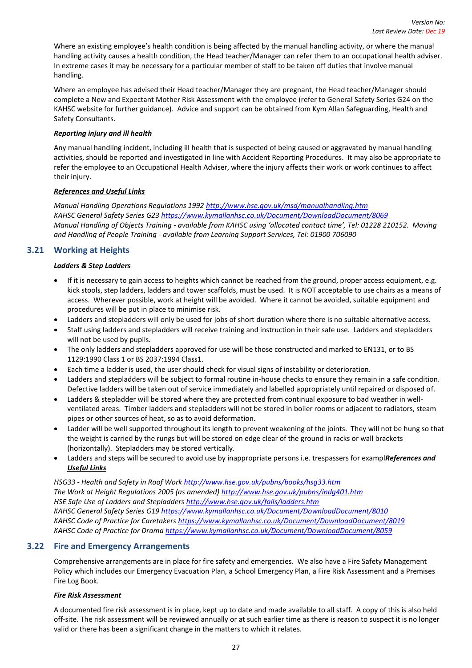Where an existing employee's health condition is being affected by the manual handling activity, or where the manual handling activity causes a health condition, the Head teacher/Manager can refer them to an occupational health adviser. In extreme cases it may be necessary for a particular member of staff to be taken off duties that involve manual handling.

Where an employee has advised their Head teacher/Manager they are pregnant, the Head teacher/Manager should complete a New and Expectant Mother Risk Assessment with the employee (refer to General Safety Series G24 on the KAHSC website for further guidance). Advice and support can be obtained from Kym Allan Safeguarding, Health and Safety Consultants.

#### *Reporting injury and ill health*

Any manual handling incident, including ill health that is suspected of being caused or aggravated by manual handling activities, should be reported and investigated in line with Accident Reporting Procedures. It may also be appropriate to refer the employee to an Occupational Health Adviser, where the injury affects their work or work continues to affect their injury.

#### *References and Useful Links*

*Manual Handling Operations Regulations 1992<http://www.hse.gov.uk/msd/manualhandling.htm> KAHSC General Safety Series G2[3 https://www.kymallanhsc.co.uk/Document/DownloadDocument/8069](https://www.kymallanhsc.co.uk/Document/DownloadDocument/8069) Manual Handling of Objects Training - available from KAHSC using 'allocated contact time', Tel: 01228 210152. Moving and Handling of People Training - available from Learning Support Services, Tel: 01900 706090*

## <span id="page-30-0"></span>**3.21 Working at Heights**

#### *Ladders & Step Ladders*

- If it is necessary to gain access to heights which cannot be reached from the ground, proper access equipment, e.g. kick stools, step ladders, ladders and tower scaffolds, must be used. It is NOT acceptable to use chairs as a means of access. Wherever possible, work at height will be avoided. Where it cannot be avoided, suitable equipment and procedures will be put in place to minimise risk.
- Ladders and stepladders will only be used for jobs of short duration where there is no suitable alternative access.
- Staff using ladders and stepladders will receive training and instruction in their safe use. Ladders and stepladders will not be used by pupils.
- The only ladders and stepladders approved for use will be those constructed and marked to EN131, or to BS 1129:1990 Class 1 or BS 2037:1994 Class1.
- Each time a ladder is used, the user should check for visual signs of instability or deterioration.
- Ladders and stepladders will be subject to formal routine in-house checks to ensure they remain in a safe condition. Defective ladders will be taken out of service immediately and labelled appropriately until repaired or disposed of.
- Ladders & stepladder will be stored where they are protected from continual exposure to bad weather in wellventilated areas. Timber ladders and stepladders will not be stored in boiler rooms or adjacent to radiators, steam pipes or other sources of heat, so as to avoid deformation.
- Ladder will be well supported throughout its length to prevent weakening of the joints. They will not be hung so that the weight is carried by the rungs but will be stored on edge clear of the ground in racks or wall brackets (horizontally). Stepladders may be stored vertically.
- Ladders and steps will be secured to avoid use by inappropriate persons i.e. trespassers for exampl*References and Useful Links*

*HSG33 - Health and Safety in Roof Work<http://www.hse.gov.uk/pubns/books/hsg33.htm> The Work at Height Regulations 2005 (as amended)<http://www.hse.gov.uk/pubns/indg401.htm> HSE Safe Use of Ladders and Stepladders<http://www.hse.gov.uk/falls/ladders.htm> KAHSC General Safety Series G1[9 https://www.kymallanhsc.co.uk/Document/DownloadDocument/8010](https://www.kymallanhsc.co.uk/Document/DownloadDocument/8010) KAHSC Code of Practice for Caretakers<https://www.kymallanhsc.co.uk/Document/DownloadDocument/8019> KAHSC Code of Practice for Drama<https://www.kymallanhsc.co.uk/Document/DownloadDocument/8059>*

#### <span id="page-30-1"></span>**3.22 Fire and Emergency Arrangements**

Comprehensive arrangements are in place for fire safety and emergencies. We also have a Fire Safety Management Policy which includes our Emergency Evacuation Plan, a School Emergency Plan, a Fire Risk Assessment and a Premises Fire Log Book.

#### *Fire Risk Assessment*

A documented fire risk assessment is in place, kept up to date and made available to all staff. A copy of this is also held off-site. The risk assessment will be reviewed annually or at such earlier time as there is reason to suspect it is no longer valid or there has been a significant change in the matters to which it relates.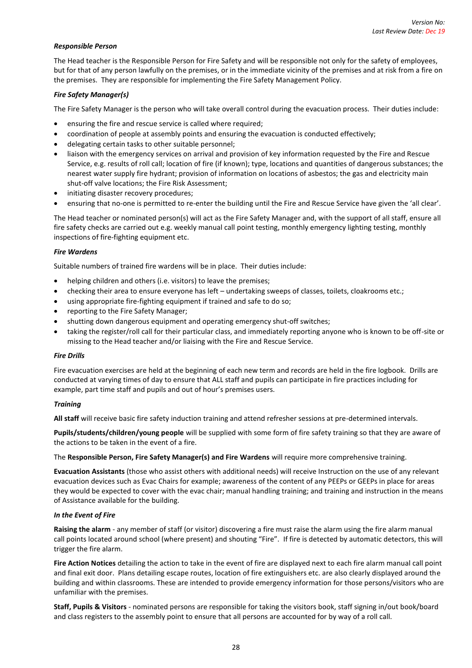#### *Responsible Person*

The Head teacher is the Responsible Person for Fire Safety and will be responsible not only for the safety of employees, but for that of any person lawfully on the premises, or in the immediate vicinity of the premises and at risk from a fire on the premises. They are responsible for implementing the Fire Safety Management Policy.

#### *Fire Safety Manager(s)*

The Fire Safety Manager is the person who will take overall control during the evacuation process. Their duties include:

- ensuring the fire and rescue service is called where required;
- coordination of people at assembly points and ensuring the evacuation is conducted effectively;
- delegating certain tasks to other suitable personnel;
- liaison with the emergency services on arrival and provision of key information requested by the Fire and Rescue Service, e.g. results of roll call; location of fire (if known); type, locations and quantities of dangerous substances; the nearest water supply fire hydrant; provision of information on locations of asbestos; the gas and electricity main shut-off valve locations; the Fire Risk Assessment;
- initiating disaster recovery procedures;
- ensuring that no-one is permitted to re-enter the building until the Fire and Rescue Service have given the 'all clear'.

The Head teacher or nominated person(s) will act as the Fire Safety Manager and, with the support of all staff, ensure all fire safety checks are carried out e.g. weekly manual call point testing, monthly emergency lighting testing, monthly inspections of fire-fighting equipment etc.

#### *Fire Wardens*

Suitable numbers of trained fire wardens will be in place. Their duties include:

- helping children and others (i.e. visitors) to leave the premises;
- checking their area to ensure everyone has left undertaking sweeps of classes, toilets, cloakrooms etc.;
- using appropriate fire-fighting equipment if trained and safe to do so;
- reporting to the Fire Safety Manager;
- shutting down dangerous equipment and operating emergency shut-off switches;
- taking the register/roll call for their particular class, and immediately reporting anyone who is known to be off-site or missing to the Head teacher and/or liaising with the Fire and Rescue Service.

#### *Fire Drills*

Fire evacuation exercises are held at the beginning of each new term and records are held in the fire logbook. Drills are conducted at varying times of day to ensure that ALL staff and pupils can participate in fire practices including for example, part time staff and pupils and out of hour's premises users.

#### *Training*

**All staff** will receive basic fire safety induction training and attend refresher sessions at pre-determined intervals.

**Pupils/students/children/young people** will be supplied with some form of fire safety training so that they are aware of the actions to be taken in the event of a fire.

The **Responsible Person, Fire Safety Manager(s) and Fire Wardens** will require more comprehensive training.

**Evacuation Assistants** (those who assist others with additional needs) will receive Instruction on the use of any relevant evacuation devices such as Evac Chairs for example; awareness of the content of any PEEPs or GEEPs in place for areas they would be expected to cover with the evac chair; manual handling training; and training and instruction in the means of Assistance available for the building.

#### *In the Event of Fire*

**Raising the alarm** - any member of staff (or visitor) discovering a fire must raise the alarm using the fire alarm manual call points located around school (where present) and shouting "Fire". If fire is detected by automatic detectors, this will trigger the fire alarm.

**Fire Action Notices** detailing the action to take in the event of fire are displayed next to each fire alarm manual call point and final exit door. Plans detailing escape routes, location of fire extinguishers etc. are also clearly displayed around the building and within classrooms. These are intended to provide emergency information for those persons/visitors who are unfamiliar with the premises.

**Staff, Pupils & Visitors** - nominated persons are responsible for taking the visitors book, staff signing in/out book/board and class registers to the assembly point to ensure that all persons are accounted for by way of a roll call.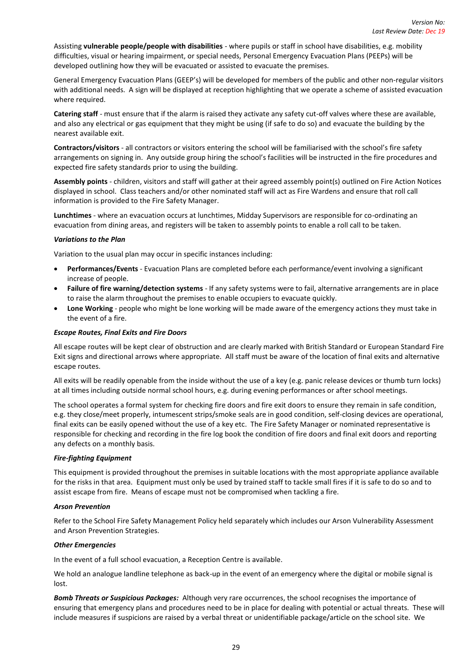Assisting **vulnerable people/people with disabilities** - where pupils or staff in school have disabilities, e.g. mobility difficulties, visual or hearing impairment, or special needs, Personal Emergency Evacuation Plans (PEEPs) will be developed outlining how they will be evacuated or assisted to evacuate the premises.

General Emergency Evacuation Plans (GEEP's) will be developed for members of the public and other non-regular visitors with additional needs. A sign will be displayed at reception highlighting that we operate a scheme of assisted evacuation where required.

**Catering staff** - must ensure that if the alarm is raised they activate any safety cut-off valves where these are available, and also any electrical or gas equipment that they might be using (if safe to do so) and evacuate the building by the nearest available exit.

**Contractors/visitors** - all contractors or visitors entering the school will be familiarised with the school's fire safety arrangements on signing in. Any outside group hiring the school's facilities will be instructed in the fire procedures and expected fire safety standards prior to using the building.

**Assembly points** - children, visitors and staff will gather at their agreed assembly point(s) outlined on Fire Action Notices displayed in school. Class teachers and/or other nominated staff will act as Fire Wardens and ensure that roll call information is provided to the Fire Safety Manager.

**Lunchtimes** - where an evacuation occurs at lunchtimes, Midday Supervisors are responsible for co-ordinating an evacuation from dining areas, and registers will be taken to assembly points to enable a roll call to be taken.

#### *Variations to the Plan*

Variation to the usual plan may occur in specific instances including:

- **Performances/Events** Evacuation Plans are completed before each performance/event involving a significant increase of people.
- **Failure of fire warning/detection systems** If any safety systems were to fail, alternative arrangements are in place to raise the alarm throughout the premises to enable occupiers to evacuate quickly.
- **Lone Working** people who might be lone working will be made aware of the emergency actions they must take in the event of a fire.

#### *Escape Routes, Final Exits and Fire Doors*

All escape routes will be kept clear of obstruction and are clearly marked with British Standard or European Standard Fire Exit signs and directional arrows where appropriate. All staff must be aware of the location of final exits and alternative escape routes.

All exits will be readily openable from the inside without the use of a key (e.g. panic release devices or thumb turn locks) at all times including outside normal school hours, e.g. during evening performances or after school meetings.

The school operates a formal system for checking fire doors and fire exit doors to ensure they remain in safe condition, e.g. they close/meet properly, intumescent strips/smoke seals are in good condition, self-closing devices are operational, final exits can be easily opened without the use of a key etc. The Fire Safety Manager or nominated representative is responsible for checking and recording in the fire log book the condition of fire doors and final exit doors and reporting any defects on a monthly basis.

#### *Fire-fighting Equipment*

This equipment is provided throughout the premises in suitable locations with the most appropriate appliance available for the risks in that area. Equipment must only be used by trained staff to tackle small fires if it is safe to do so and to assist escape from fire. Means of escape must not be compromised when tackling a fire.

#### *Arson Prevention*

Refer to the School Fire Safety Management Policy held separately which includes our Arson Vulnerability Assessment and Arson Prevention Strategies.

#### *Other Emergencies*

In the event of a full school evacuation, a Reception Centre is available.

We hold an analogue landline telephone as back-up in the event of an emergency where the digital or mobile signal is lost.

*Bomb Threats or Suspicious Packages:* Although very rare occurrences, the school recognises the importance of ensuring that emergency plans and procedures need to be in place for dealing with potential or actual threats. These will include measures if suspicions are raised by a verbal threat or unidentifiable package/article on the school site. We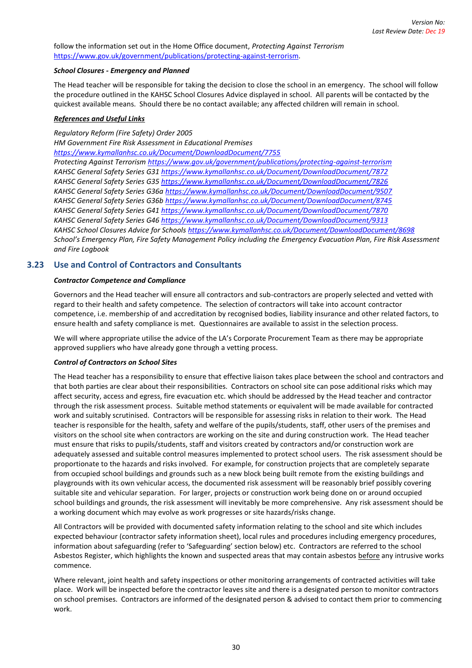follow the information set out in the Home Office document, *Protecting Against Terrorism* [https://www.gov.uk/government/publications/protecting-against-terrorism.](https://www.gov.uk/government/publications/protecting-against-terrorism)

#### *School Closures - Emergency and Planned*

The Head teacher will be responsible for taking the decision to close the school in an emergency. The school will follow the procedure outlined in the KAHSC School Closures Advice displayed in school. All parents will be contacted by the quickest available means. Should there be no contact available; any affected children will remain in school.

#### *References and Useful Links*

*Regulatory Reform (Fire Safety) Order 2005* 

*HM Government Fire Risk Assessment in Educational Premises* 

*<https://www.kymallanhsc.co.uk/Document/DownloadDocument/7755>*

*Protecting Against Terroris[m https://www.gov.uk/government/publications/protecting-against-terrorism](https://www.gov.uk/government/publications/protecting-against-terrorism) KAHSC General Safety Series G3[1 https://www.kymallanhsc.co.uk/Document/DownloadDocument/7872](https://www.kymallanhsc.co.uk/Document/DownloadDocument/7872) KAHSC General Safety Series G3[5 https://www.kymallanhsc.co.uk/Document/DownloadDocument/7826](https://www.kymallanhsc.co.uk/Document/DownloadDocument/7826) KAHSC General Safety Series G36[a https://www.kymallanhsc.co.uk/Document/DownloadDocument/9507](https://www.kymallanhsc.co.uk/Document/DownloadDocument/9507) KAHSC General Safety Series G36[b https://www.kymallanhsc.co.uk/Document/DownloadDocument/8745](https://www.kymallanhsc.co.uk/Document/DownloadDocument/8745) KAHSC General Safety Series G4[1 https://www.kymallanhsc.co.uk/Document/DownloadDocument/7870](https://www.kymallanhsc.co.uk/Document/DownloadDocument/7870) KAHSC General Safety Series G4[6 https://www.kymallanhsc.co.uk/Document/DownloadDocument/9313](https://www.kymallanhsc.co.uk/Document/DownloadDocument/9313) KAHSC School Closures Advice for Schools<https://www.kymallanhsc.co.uk/Document/DownloadDocument/8698> School's Emergency Plan, Fire Safety Management Policy including the Emergency Evacuation Plan, Fire Risk Assessment and Fire Logbook*

## <span id="page-33-0"></span>**3.23 Use and Control of Contractors and Consultants**

#### *Contractor Competence and Compliance*

Governors and the Head teacher will ensure all contractors and sub-contractors are properly selected and vetted with regard to their health and safety competence. The selection of contractors will take into account contractor competence, i.e. membership of and accreditation by recognised bodies, liability insurance and other related factors, to ensure health and safety compliance is met. Questionnaires are available to assist in the selection process.

We will where appropriate utilise the advice of the LA's Corporate Procurement Team as there may be appropriate approved suppliers who have already gone through a vetting process.

#### *Control of Contractors on School Sites*

The Head teacher has a responsibility to ensure that effective liaison takes place between the school and contractors and that both parties are clear about their responsibilities. Contractors on school site can pose additional risks which may affect security, access and egress, fire evacuation etc. which should be addressed by the Head teacher and contractor through the risk assessment process. Suitable method statements or equivalent will be made available for contracted work and suitably scrutinised. Contractors will be responsible for assessing risks in relation to their work. The Head teacher is responsible for the health, safety and welfare of the pupils/students, staff, other users of the premises and visitors on the school site when contractors are working on the site and during construction work. The Head teacher must ensure that risks to pupils/students, staff and visitors created by contractors and/or construction work are adequately assessed and suitable control measures implemented to protect school users. The risk assessment should be proportionate to the hazards and risks involved. For example, for construction projects that are completely separate from occupied school buildings and grounds such as a new block being built remote from the existing buildings and playgrounds with its own vehicular access, the documented risk assessment will be reasonably brief possibly covering suitable site and vehicular separation. For larger, projects or construction work being done on or around occupied school buildings and grounds, the risk assessment will inevitably be more comprehensive. Any risk assessment should be a working document which may evolve as work progresses or site hazards/risks change.

All Contractors will be provided with documented safety information relating to the school and site which includes expected behaviour (contractor safety information sheet), local rules and procedures including emergency procedures, information about safeguarding (refer to 'Safeguarding' section below) etc. Contractors are referred to the school Asbestos Register, which highlights the known and suspected areas that may contain asbestos before any intrusive works commence.

Where relevant, joint health and safety inspections or other monitoring arrangements of contracted activities will take place. Work will be inspected before the contractor leaves site and there is a designated person to monitor contractors on school premises. Contractors are informed of the designated person & advised to contact them prior to commencing work.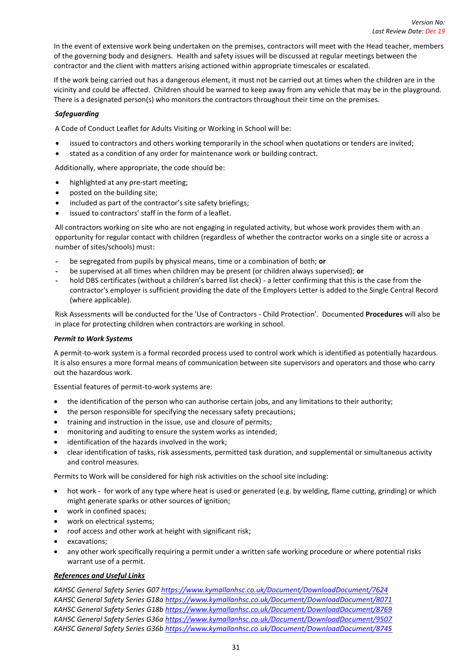In the event of extensive work being undertaken on the premises, contractors will meet with the Head teacher, members of the governing body and designers. Health and safety issues will be discussed at regular meetings between the contractor and the client with matters arising actioned within appropriate timescales or escalated.

If the work being carried out has a dangerous element, it must not be carried out at times when the children are in the vicinity and could be affected. Children should be warned to keep away from any vehicle that may be in the playground. There is a designated person(s) who monitors the contractors throughout their time on the premises.

#### *Safeguarding*

A Code of Conduct Leaflet for Adults Visiting or Working in School will be:

- issued to contractors and others working temporarily in the school when quotations or tenders are invited;
- stated as a condition of any order for maintenance work or building contract.

Additionally, where appropriate, the code should be:

- highlighted at any pre-start meeting;
- posted on the building site;
- included as part of the contractor's site safety briefings;
- issued to contractors' staff in the form of a leaflet.

All contractors working on site who are not engaging in regulated activity, but whose work provides them with an opportunity for regular contact with children (regardless of whether the contractor works on a single site or across a number of sites/schools) must:

- be segregated from pupils by physical means, time or a combination of both; **or**
- be supervised at all times when children may be present (or children always supervised); or
- hold DBS certificates (without a children's barred list check) a letter confirming that this is the case from the contractor's employer is sufficient providing the date of the Employers Letter is added to the Single Central Record (where applicable).

Risk Assessments will be conducted for the 'Use of Contractors - Child Protection'. Documented **Procedures** will also be in place for protecting children when contractors are working in school.

#### *Permit to Work Systems*

A permit-to-work system is a formal recorded process used to control work which is identified as potentially hazardous. It is also ensures a more formal means of communication between site supervisors and operators and those who carry out the hazardous work.

Essential features of permit-to-work systems are:

- the identification of the person who can authorise certain jobs, and any limitations to their authority;
- the person responsible for specifying the necessary safety precautions;
- training and instruction in the issue, use and closure of permits;
- monitoring and auditing to ensure the system works as intended;
- identification of the hazards involved in the work;
- clear identification of tasks, risk assessments, permitted task duration, and supplemental or simultaneous activity and control measures.

Permits to Work will be considered for high risk activities on the school site including:

- hot work for work of any type where heat is used or generated (e.g. by welding, flame cutting, grinding) or which might generate sparks or other sources of ignition;
- work in confined spaces;
- work on electrical systems:
- roof access and other work at height with significant risk;
- excavations:
- any other work specifically requiring a permit under a written safe working procedure or where potential risks warrant use of a permit.

#### *References and Useful Links*

*KAHSC General Safety Series G0[7 https://www.kymallanhsc.co.uk/Document/DownloadDocument/7624](https://www.kymallanhsc.co.uk/Document/DownloadDocument/7624) KAHSC General Safety Series G18[a https://www.kymallanhsc.co.uk/Document/DownloadDocument/8071](https://www.kymallanhsc.co.uk/Document/DownloadDocument/8071) KAHSC General Safety Series G18[b https://www.kymallanhsc.co.uk/Document/DownloadDocument/8769](https://www.kymallanhsc.co.uk/Document/DownloadDocument/8769) KAHSC General Safety Series G36[a https://www.kymallanhsc.co.uk/Document/DownloadDocument/9507](https://www.kymallanhsc.co.uk/Document/DownloadDocument/9507) KAHSC General Safety Series G36[b https://www.kymallanhsc.co.uk/Document/DownloadDocument/8745](https://www.kymallanhsc.co.uk/Document/DownloadDocument/8745)*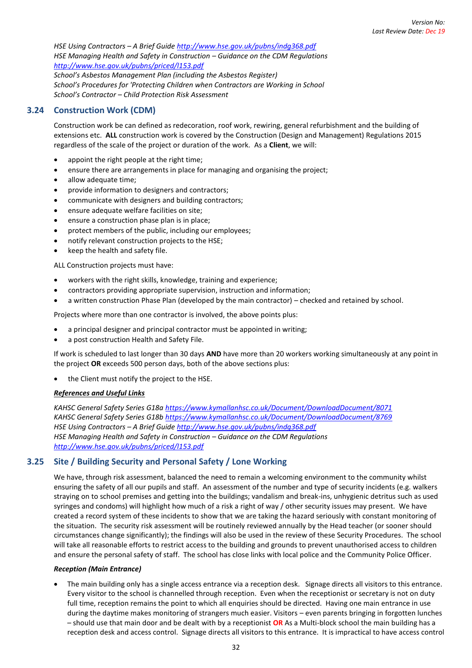*HSE Using Contractors – A Brief Guide<http://www.hse.gov.uk/pubns/indg368.pdf> HSE Managing Health and Safety in Construction – Guidance on the CDM Regulations <http://www.hse.gov.uk/pubns/priced/l153.pdf>*

*School's Asbestos Management Plan (including the Asbestos Register) School's Procedures for 'Protecting Children when Contractors are Working in School School's Contractor – Child Protection Risk Assessment*

## <span id="page-35-0"></span>**3.24 Construction Work (CDM)**

Construction work be can defined as redecoration, roof work, rewiring, general refurbishment and the building of extensions etc. **ALL** construction work is covered by the Construction (Design and Management) Regulations 2015 regardless of the scale of the project or duration of the work. As a **Client**, we will:

- appoint the right people at the right time;
- ensure there are arrangements in place for managing and organising the project;
- allow adequate time;
- provide information to designers and contractors;
- communicate with designers and building contractors;
- ensure adequate welfare facilities on site;
- ensure a construction phase plan is in place;
- protect members of the public, including our employees;
- notify relevant construction projects to the HSE;
- keep the health and safety file.

ALL Construction projects must have:

- workers with the right skills, knowledge, training and experience;
- contractors providing appropriate supervision, instruction and information;
- a written construction Phase Plan (developed by the main contractor) checked and retained by school.

Projects where more than one contractor is involved, the above points plus:

- a principal designer and principal contractor must be appointed in writing:
- a post construction Health and Safety File.

If work is scheduled to last longer than 30 days **AND** have more than 20 workers working simultaneously at any point in the project **OR** exceeds 500 person days, both of the above sections plus:

the Client must notify the project to the HSE.

#### *References and Useful Links*

*KAHSC General Safety Series G18[a https://www.kymallanhsc.co.uk/Document/DownloadDocument/8071](https://www.kymallanhsc.co.uk/Document/DownloadDocument/8071) KAHSC General Safety Series G18[b https://www.kymallanhsc.co.uk/Document/DownloadDocument/8769](https://www.kymallanhsc.co.uk/Document/DownloadDocument/8769) HSE Using Contractors – A Brief Guide<http://www.hse.gov.uk/pubns/indg368.pdf> HSE Managing Health and Safety in Construction – Guidance on the CDM Regulations <http://www.hse.gov.uk/pubns/priced/l153.pdf>*

#### <span id="page-35-1"></span>**3.25 Site / Building Security and Personal Safety / Lone Working**

We have, through risk assessment, balanced the need to remain a welcoming environment to the community whilst ensuring the safety of all our pupils and staff. An assessment of the number and type of security incidents (e.g. walkers straying on to school premises and getting into the buildings; vandalism and break-ins, unhygienic detritus such as used syringes and condoms) will highlight how much of a risk a right of way / other security issues may present. We have created a record system of these incidents to show that we are taking the hazard seriously with constant monitoring of the situation. The security risk assessment will be routinely reviewed annually by the Head teacher (or sooner should circumstances change significantly); the findings will also be used in the review of these Security Procedures. The school will take all reasonable efforts to restrict access to the building and grounds to prevent unauthorised access to children and ensure the personal safety of staff. The school has close links with local police and the Community Police Officer.

#### *Reception (Main Entrance)*

• The main building only has a single access entrance via a reception desk. Signage directs all visitors to this entrance. Every visitor to the school is channelled through reception. Even when the receptionist or secretary is not on duty full time, reception remains the point to which all enquiries should be directed. Having one main entrance in use during the daytime makes monitoring of strangers much easier. Visitors – even parents bringing in forgotten lunches – should use that main door and be dealt with by a receptionist **OR** As a Multi-block school the main building has a reception desk and access control. Signage directs all visitors to this entrance. It is impractical to have access control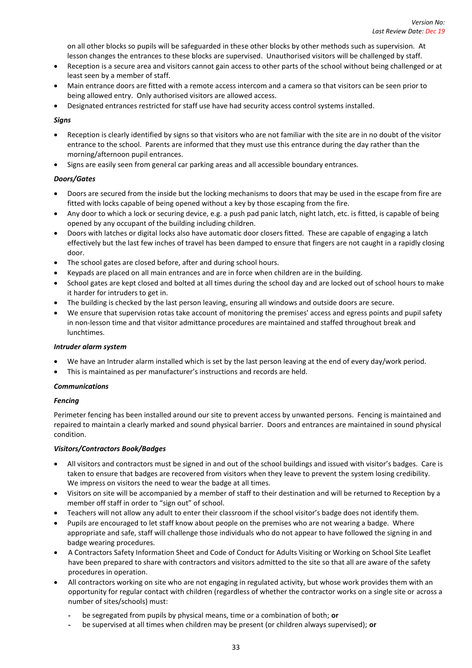on all other blocks so pupils will be safeguarded in these other blocks by other methods such as supervision. At lesson changes the entrances to these blocks are supervised. Unauthorised visitors will be challenged by staff.

- Reception is a secure area and visitors cannot gain access to other parts of the school without being challenged or at least seen by a member of staff.
- Main entrance doors are fitted with a remote access intercom and a camera so that visitors can be seen prior to being allowed entry. Only authorised visitors are allowed access.
- Designated entrances restricted for staff use have had security access control systems installed.

#### *Signs*

- Reception is clearly identified by signs so that visitors who are not familiar with the site are in no doubt of the visitor entrance to the school. Parents are informed that they must use this entrance during the day rather than the morning/afternoon pupil entrances.
- Signs are easily seen from general car parking areas and all accessible boundary entrances.

#### *Doors/Gates*

- Doors are secured from the inside but the locking mechanisms to doors that may be used in the escape from fire are fitted with locks capable of being opened without a key by those escaping from the fire.
- Any door to which a lock or securing device, e.g. a push pad panic latch, night latch, etc. is fitted, is capable of being opened by any occupant of the building including children.
- Doors with latches or digital locks also have automatic door closers fitted. These are capable of engaging a latch effectively but the last few inches of travel has been damped to ensure that fingers are not caught in a rapidly closing door.
- The school gates are closed before, after and during school hours.
- Keypads are placed on all main entrances and are in force when children are in the building.
- School gates are kept closed and bolted at all times during the school day and are locked out of school hours to make it harder for intruders to get in.
- The building is checked by the last person leaving, ensuring all windows and outside doors are secure.
- We ensure that supervision rotas take account of monitoring the premises' access and egress points and pupil safety in non-lesson time and that visitor admittance procedures are maintained and staffed throughout break and lunchtimes.

#### *Intruder alarm system*

- We have an Intruder alarm installed which is set by the last person leaving at the end of every day/work period.
- This is maintained as per manufacturer's instructions and records are held.

#### *Communications*

#### *Fencing*

Perimeter fencing has been installed around our site to prevent access by unwanted persons. Fencing is maintained and repaired to maintain a clearly marked and sound physical barrier. Doors and entrances are maintained in sound physical condition.

#### *Visitors/Contractors Book/Badges*

- All visitors and contractors must be signed in and out of the school buildings and issued with visitor's badges. Care is taken to ensure that badges are recovered from visitors when they leave to prevent the system losing credibility. We impress on visitors the need to wear the badge at all times.
- Visitors on site will be accompanied by a member of staff to their destination and will be returned to Reception by a member off staff in order to "sign out" of school.
- Teachers will not allow any adult to enter their classroom if the school visitor's badge does not identify them.
- Pupils are encouraged to let staff know about people on the premises who are not wearing a badge. Where appropriate and safe, staff will challenge those individuals who do not appear to have followed the signing in and badge wearing procedures.
- A Contractors Safety Information Sheet and Code of Conduct for Adults Visiting or Working on School Site Leaflet have been prepared to share with contractors and visitors admitted to the site so that all are aware of the safety procedures in operation.
- All contractors working on site who are not engaging in regulated activity, but whose work provides them with an opportunity for regular contact with children (regardless of whether the contractor works on a single site or across a number of sites/schools) must:
	- be segregated from pupils by physical means, time or a combination of both; or
	- be supervised at all times when children may be present (or children always supervised); or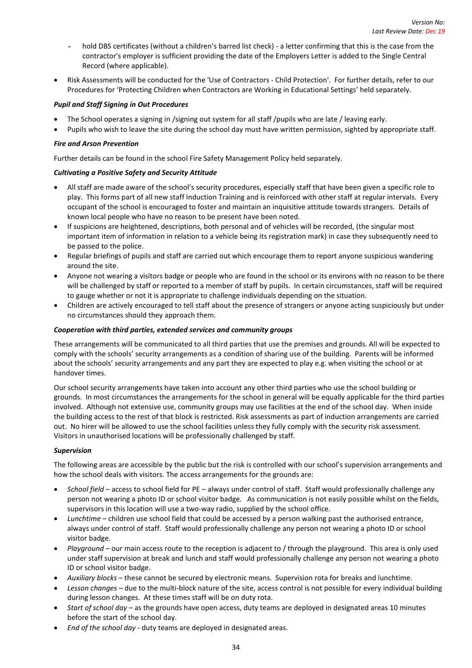- hold DBS certificates (without a children's barred list check) a letter confirming that this is the case from the contractor's employer is sufficient providing the date of the Employers Letter is added to the Single Central Record (where applicable).
- Risk Assessments will be conducted for the 'Use of Contractors Child Protection'. For further details, refer to our Procedures for 'Protecting Children when Contractors are Working in Educational Settings' held separately.

#### *Pupil and Staff Signing in Out Procedures*

- The School operates a signing in /signing out system for all staff /pupils who are late / leaving early.
- Pupils who wish to leave the site during the school day must have written permission, sighted by appropriate staff.

#### *Fire and Arson Prevention*

Further details can be found in the school Fire Safety Management Policy held separately.

#### *Cultivating a Positive Safety and Security Attitude*

- All staff are made aware of the school's security procedures, especially staff that have been given a specific role to play. This forms part of all new staff Induction Training and is reinforced with other staff at regular intervals. Every occupant of the school is encouraged to foster and maintain an inquisitive attitude towards strangers. Details of known local people who have no reason to be present have been noted.
- If suspicions are heightened, descriptions, both personal and of vehicles will be recorded, (the singular most important item of information in relation to a vehicle being its registration mark) in case they subsequently need to be passed to the police.
- Regular briefings of pupils and staff are carried out which encourage them to report anyone suspicious wandering around the site.
- Anyone not wearing a visitors badge or people who are found in the school or its environs with no reason to be there will be challenged by staff or reported to a member of staff by pupils. In certain circumstances, staff will be required to gauge whether or not it is appropriate to challenge individuals depending on the situation.
- Children are actively encouraged to tell staff about the presence of strangers or anyone acting suspiciously but under no circumstances should they approach them.

#### *Cooperation with third parties, extended services and community groups*

These arrangements will be communicated to all third parties that use the premises and grounds. All will be expected to comply with the schools' security arrangements as a condition of sharing use of the building. Parents will be informed about the schools' security arrangements and any part they are expected to play e.g. when visiting the school or at handover times.

Our school security arrangements have taken into account any other third parties who use the school building or grounds. In most circumstances the arrangements for the school in general will be equally applicable for the third parties involved. Although not extensive use, community groups may use facilities at the end of the school day. When inside the building access to the rest of that block is restricted. Risk assessments as part of induction arrangements are carried out. No hirer will be allowed to use the school facilities unless they fully comply with the security risk assessment. Visitors in unauthorised locations will be professionally challenged by staff.

#### *Supervision*

The following areas are accessible by the public but the risk is controlled with our school's supervision arrangements and how the school deals with visitors. The access arrangements for the grounds are:

- *School field* access to school field for PE always under control of staff. Staff would professionally challenge any person not wearing a photo ID or school visitor badge. As communication is not easily possible whilst on the fields, supervisors in this location will use a two-way radio, supplied by the school office.
- *Lunchtime* children use school field that could be accessed by a person walking past the authorised entrance, always under control of staff. Staff would professionally challenge any person not wearing a photo ID or school visitor badge.
- *Playground* our main access route to the reception is adjacent to / through the playground. This area is only used under staff supervision at break and lunch and staff would professionally challenge any person not wearing a photo ID or school visitor badge.
- *Auxiliary blocks* these cannot be secured by electronic means. Supervision rota for breaks and lunchtime.
- *Lesson changes* due to the multi-block nature of the site, access control is not possible for every individual building during lesson changes. At these times staff will be on duty rota.
- *Start of school day* as the grounds have open access, duty teams are deployed in designated areas 10 minutes before the start of the school day.
- *End of the school day* duty teams are deployed in designated areas.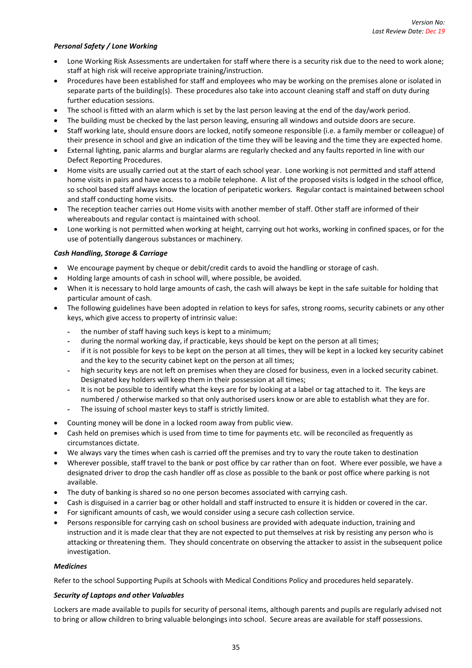#### *Personal Safety / Lone Working*

- Lone Working Risk Assessments are undertaken for staff where there is a security risk due to the need to work alone; staff at high risk will receive appropriate training/instruction.
- Procedures have been established for staff and employees who may be working on the premises alone or isolated in separate parts of the building(s). These procedures also take into account cleaning staff and staff on duty during further education sessions.
- The school is fitted with an alarm which is set by the last person leaving at the end of the day/work period.
- The building must be checked by the last person leaving, ensuring all windows and outside doors are secure.
- Staff working late, should ensure doors are locked, notify someone responsible (i.e. a family member or colleague) of their presence in school and give an indication of the time they will be leaving and the time they are expected home.
- External lighting, panic alarms and burglar alarms are regularly checked and any faults reported in line with our Defect Reporting Procedures.
- Home visits are usually carried out at the start of each school year. Lone working is not permitted and staff attend home visits in pairs and have access to a mobile telephone. A list of the proposed visits is lodged in the school office, so school based staff always know the location of peripatetic workers. Regular contact is maintained between school and staff conducting home visits.
- The reception teacher carries out Home visits with another member of staff. Other staff are informed of their whereabouts and regular contact is maintained with school.
- Lone working is not permitted when working at height, carrying out hot works, working in confined spaces, or for the use of potentially dangerous substances or machinery.

#### *Cash Handling, Storage & Carriage*

- We encourage payment by cheque or debit/credit cards to avoid the handling or storage of cash.
- Holding large amounts of cash in school will, where possible, be avoided.
- When it is necessary to hold large amounts of cash, the cash will always be kept in the safe suitable for holding that particular amount of cash.
- The following guidelines have been adopted in relation to keys for safes, strong rooms, security cabinets or any other keys, which give access to property of intrinsic value:
	- the number of staff having such keys is kept to a minimum;
	- during the normal working day, if practicable, keys should be kept on the person at all times;
	- if it is not possible for keys to be kept on the person at all times, they will be kept in a locked key security cabinet and the key to the security cabinet kept on the person at all times;
	- high security keys are not left on premises when they are closed for business, even in a locked security cabinet. Designated key holders will keep them in their possession at all times;
	- It is not be possible to identify what the keys are for by looking at a label or tag attached to it. The keys are numbered / otherwise marked so that only authorised users know or are able to establish what they are for.
	- The issuing of school master keys to staff is strictly limited.
- Counting money will be done in a locked room away from public view.
- Cash held on premises which is used from time to time for payments etc. will be reconciled as frequently as circumstances dictate.
- We always vary the times when cash is carried off the premises and try to vary the route taken to destination
- Wherever possible, staff travel to the bank or post office by car rather than on foot. Where ever possible, we have a designated driver to drop the cash handler off as close as possible to the bank or post office where parking is not available.
- The duty of banking is shared so no one person becomes associated with carrying cash.
- Cash is disguised in a carrier bag or other holdall and staff instructed to ensure it is hidden or covered in the car.
- For significant amounts of cash, we would consider using a secure cash collection service.
- Persons responsible for carrying cash on school business are provided with adequate induction, training and instruction and it is made clear that they are not expected to put themselves at risk by resisting any person who is attacking or threatening them. They should concentrate on observing the attacker to assist in the subsequent police investigation.

#### *Medicines*

Refer to the school Supporting Pupils at Schools with Medical Conditions Policy and procedures held separately.

#### *Security of Laptops and other Valuables*

Lockers are made available to pupils for security of personal items, although parents and pupils are regularly advised not to bring or allow children to bring valuable belongings into school. Secure areas are available for staff possessions.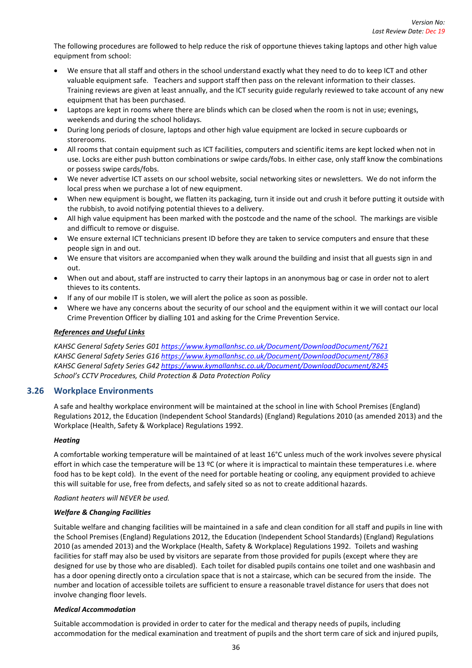The following procedures are followed to help reduce the risk of opportune thieves taking laptops and other high value equipment from school:

- We ensure that all staff and others in the school understand exactly what they need to do to keep ICT and other valuable equipment safe. Teachers and support staff then pass on the relevant information to their classes. Training reviews are given at least annually, and the ICT security guide regularly reviewed to take account of any new equipment that has been purchased.
- Laptops are kept in rooms where there are blinds which can be closed when the room is not in use; evenings, weekends and during the school holidays.
- During long periods of closure, laptops and other high value equipment are locked in secure cupboards or storerooms.
- All rooms that contain equipment such as ICT facilities, computers and scientific items are kept locked when not in use. Locks are either push button combinations or swipe cards/fobs. In either case, only staff know the combinations or possess swipe cards/fobs.
- We never advertise ICT assets on our school website, social networking sites or newsletters. We do not inform the local press when we purchase a lot of new equipment.
- When new equipment is bought, we flatten its packaging, turn it inside out and crush it before putting it outside with the rubbish, to avoid notifying potential thieves to a delivery.
- All high value equipment has been marked with the postcode and the name of the school. The markings are visible and difficult to remove or disguise.
- We ensure external ICT technicians present ID before they are taken to service computers and ensure that these people sign in and out.
- We ensure that visitors are accompanied when they walk around the building and insist that all guests sign in and out.
- When out and about, staff are instructed to carry their laptops in an anonymous bag or case in order not to alert thieves to its contents.
- If any of our mobile IT is stolen, we will alert the police as soon as possible.
- Where we have any concerns about the security of our school and the equipment within it we will contact our local Crime Prevention Officer by dialling 101 and asking for the Crime Prevention Service.

#### *References and Useful Links*

*KAHSC General Safety Series G0[1 https://www.kymallanhsc.co.uk/Document/DownloadDocument/7621](https://www.kymallanhsc.co.uk/Document/DownloadDocument/7621) KAHSC General Safety Series G1[6 https://www.kymallanhsc.co.uk/Document/DownloadDocument/7863](https://www.kymallanhsc.co.uk/Document/DownloadDocument/7863) KAHSC General Safety Series G4[2 https://www.kymallanhsc.co.uk/Document/DownloadDocument/8245](https://www.kymallanhsc.co.uk/Document/DownloadDocument/8245) School's CCTV Procedures, Child Protection & Data Protection Policy*

#### <span id="page-39-0"></span>**3.26 Workplace Environments**

A safe and healthy workplace environment will be maintained at the school in line with School Premises (England) Regulations 2012, the Education (Independent School Standards) (England) Regulations 2010 (as amended 2013) and the Workplace (Health, Safety & Workplace) Regulations 1992.

#### *Heating*

A comfortable working temperature will be maintained of at least 16°C unless much of the work involves severe physical effort in which case the temperature will be 13  $°C$  (or where it is impractical to maintain these temperatures i.e. where food has to be kept cold). In the event of the need for portable heating or cooling, any equipment provided to achieve this will suitable for use, free from defects, and safely sited so as not to create additional hazards.

#### *Radiant heaters will NEVER be used.*

#### *Welfare & Changing Facilities*

Suitable welfare and changing facilities will be maintained in a safe and clean condition for all staff and pupils in line with the School Premises (England) Regulations 2012, the Education (Independent School Standards) (England) Regulations 2010 (as amended 2013) and the Workplace (Health, Safety & Workplace) Regulations 1992. Toilets and washing facilities for staff may also be used by visitors are separate from those provided for pupils (except where they are designed for use by those who are disabled). Each toilet for disabled pupils contains one toilet and one washbasin and has a door opening directly onto a circulation space that is not a staircase, which can be secured from the inside. The number and location of accessible toilets are sufficient to ensure a reasonable travel distance for users that does not involve changing floor levels.

#### *Medical Accommodation*

Suitable accommodation is provided in order to cater for the medical and therapy needs of pupils, including accommodation for the medical examination and treatment of pupils and the short term care of sick and injured pupils,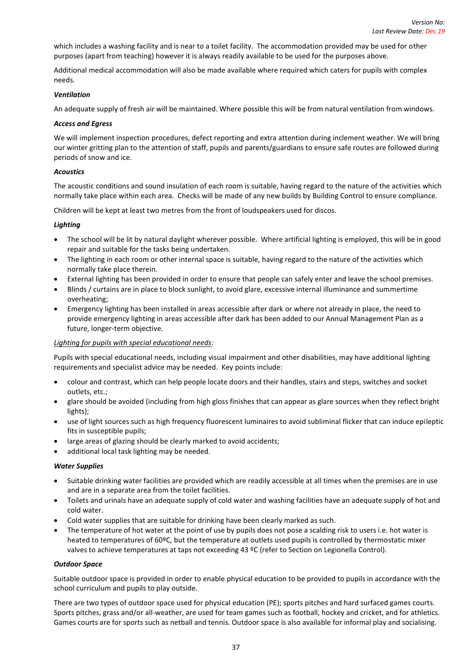which includes a washing facility and is near to a toilet facility. The accommodation provided may be used for other purposes (apart from teaching) however it is always readily available to be used for the purposes above.

Additional medical accommodation will also be made available where required which caters for pupils with complex needs.

#### *Ventilation*

An adequate supply of fresh air will be maintained. Where possible this will be from natural ventilation from windows.

#### *Access and Egress*

We will implement inspection procedures, defect reporting and extra attention during inclement weather. We will bring our winter gritting plan to the attention of staff, pupils and parents/guardians to ensure safe routes are followed during periods of snow and ice.

#### *Acoustics*

The acoustic conditions and sound insulation of each room is suitable, having regard to the nature of the activities which normally take place within each area. Checks will be made of any new builds by Building Control to ensure compliance.

Children will be kept at least two metres from the front of loudspeakers used for discos.

#### *Lighting*

- The school will be lit by natural daylight wherever possible. Where artificial lighting is employed, this will be in good repair and suitable for the tasks being undertaken.
- The lighting in each room or other internal space is suitable, having regard to the nature of the activities which normally take place therein.
- External lighting has been provided in order to ensure that people can safely enter and leave the school premises.
- Blinds / curtains are in place to block sunlight, to avoid glare, excessive internal illuminance and summertime overheating;
- Emergency lighting has been installed in areas accessible after dark or where not already in place, the need to provide emergency lighting in areas accessible after dark has been added to our Annual Management Plan as a future, longer-term objective.

#### *Lighting for pupils with special educational needs:*

Pupils with special educational needs, including visual impairment and other disabilities, may have additional lighting requirements and specialist advice may be needed. Key points include:

- colour and contrast, which can help people locate doors and their handles, stairs and steps, switches and socket outlets, etc.;
- glare should be avoided (including from high gloss finishes that can appear as glare sources when they reflect bright lights);
- use of light sources such as high frequency fluorescent luminaires to avoid subliminal flicker that can induce epileptic fits in susceptible pupils;
- large areas of glazing should be clearly marked to avoid accidents;
- additional local task lighting may be needed.

#### *Water Supplies*

- Suitable drinking water facilities are provided which are readily accessible at all times when the premises are in use and are in a separate area from the toilet facilities.
- Toilets and urinals have an adequate supply of cold water and washing facilities have an adequate supply of hot and cold water.
- Cold water supplies that are suitable for drinking have been clearly marked as such.
- The temperature of hot water at the point of use by pupils does not pose a scalding risk to users i.e. hot water is heated to temperatures of 60ºC, but the temperature at outlets used pupils is controlled by thermostatic mixer valves to achieve temperatures at taps not exceeding 43 ºC (refer to Section on Legionella Control).

#### *Outdoor Space*

Suitable outdoor space is provided in order to enable physical education to be provided to pupils in accordance with the school curriculum and pupils to play outside.

There are two types of outdoor space used for physical education (PE); sports pitches and hard surfaced games courts. Sports pitches, grass and/or all-weather, are used for team games such as football, hockey and cricket, and for athletics. Games courts are for sports such as netball and tennis. Outdoor space is also available for informal play and socialising.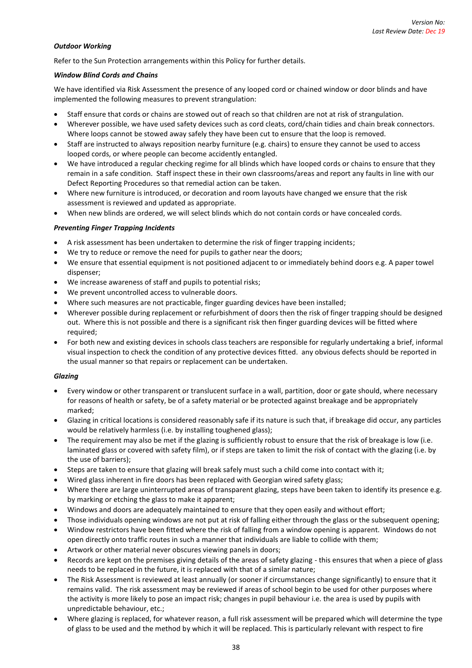#### *Outdoor Working*

Refer to the Sun Protection arrangements within this Policy for further details.

#### *Window Blind Cords and Chains*

We have identified via Risk Assessment the presence of any looped cord or chained window or door blinds and have implemented the following measures to prevent strangulation:

- Staff ensure that cords or chains are stowed out of reach so that children are not at risk of strangulation.
- Wherever possible, we have used safety devices such as cord cleats, cord/chain tidies and chain break connectors. Where loops cannot be stowed away safely they have been cut to ensure that the loop is removed.
- Staff are instructed to always reposition nearby furniture (e.g. chairs) to ensure they cannot be used to access looped cords, or where people can become accidently entangled.
- We have introduced a regular checking regime for all blinds which have looped cords or chains to ensure that they remain in a safe condition. Staff inspect these in their own classrooms/areas and report any faults in line with our Defect Reporting Procedures so that remedial action can be taken.
- Where new furniture is introduced, or decoration and room layouts have changed we ensure that the risk assessment is reviewed and updated as appropriate.
- When new blinds are ordered, we will select blinds which do not contain cords or have concealed cords.

#### *Preventing Finger Trapping Incidents*

- A risk assessment has been undertaken to determine the risk of finger trapping incidents;
- We try to reduce or remove the need for pupils to gather near the doors;
- We ensure that essential equipment is not positioned adjacent to or immediately behind doors e.g. A paper towel dispenser;
- We increase awareness of staff and pupils to potential risks;
- We prevent uncontrolled access to vulnerable doors.
- Where such measures are not practicable, finger guarding devices have been installed;
- Wherever possible during replacement or refurbishment of doors then the risk of finger trapping should be designed out. Where this is not possible and there is a significant risk then finger guarding devices will be fitted where required;
- For both new and existing devices in schools class teachers are responsible for regularly undertaking a brief, informal visual inspection to check the condition of any protective devices fitted. any obvious defects should be reported in the usual manner so that repairs or replacement can be undertaken.

#### *Glazing*

- Every window or other transparent or translucent surface in a wall, partition, door or gate should, where necessary for reasons of health or safety, be of a safety material or be protected against breakage and be appropriately marked;
- Glazing in critical locations is considered reasonably safe if its nature is such that, if breakage did occur, any particles would be relatively harmless (i.e. by installing toughened glass);
- The requirement may also be met if the glazing is sufficiently robust to ensure that the risk of breakage is low (i.e. laminated glass or covered with safety film), or if steps are taken to limit the risk of contact with the glazing (i.e. by the use of barriers);
- Steps are taken to ensure that glazing will break safely must such a child come into contact with it;
- Wired glass inherent in fire doors has been replaced with Georgian wired safety glass;
- Where there are large uninterrupted areas of transparent glazing, steps have been taken to identify its presence e.g. by marking or etching the glass to make it apparent;
- Windows and doors are adequately maintained to ensure that they open easily and without effort;
- Those individuals opening windows are not put at risk of falling either through the glass or the subsequent opening;
- Window restrictors have been fitted where the risk of falling from a window opening is apparent. Windows do not open directly onto traffic routes in such a manner that individuals are liable to collide with them;
- Artwork or other material never obscures viewing panels in doors;
- Records are kept on the premises giving details of the areas of safety glazing this ensures that when a piece of glass needs to be replaced in the future, it is replaced with that of a similar nature;
- The Risk Assessment is reviewed at least annually (or sooner if circumstances change significantly) to ensure that it remains valid. The risk assessment may be reviewed if areas of school begin to be used for other purposes where the activity is more likely to pose an impact risk; changes in pupil behaviour i.e. the area is used by pupils with unpredictable behaviour, etc.;
- Where glazing is replaced, for whatever reason, a full risk assessment will be prepared which will determine the type of glass to be used and the method by which it will be replaced. This is particularly relevant with respect to fire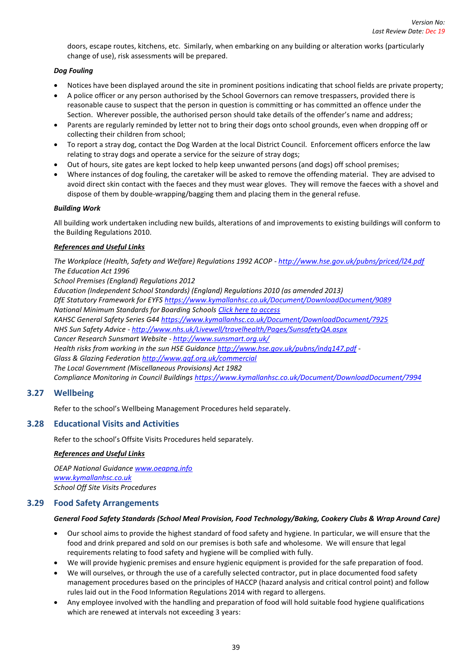doors, escape routes, kitchens, etc. Similarly, when embarking on any building or alteration works (particularly change of use), risk assessments will be prepared.

#### *Dog Fouling*

- Notices have been displayed around the site in prominent positions indicating that school fields are private property;
- A police officer or any person authorised by the School Governors can remove trespassers, provided there is reasonable cause to suspect that the person in question is committing or has committed an offence under the Section. Wherever possible, the authorised person should take details of the offender's name and address;
- Parents are regularly reminded by letter not to bring their dogs onto school grounds, even when dropping off or collecting their children from school;
- To report a stray dog, contact the Dog Warden at the local District Council. Enforcement officers enforce the law relating to stray dogs and operate a service for the seizure of stray dogs;
- Out of hours, site gates are kept locked to help keep unwanted persons (and dogs) off school premises;
- Where instances of dog fouling, the caretaker will be asked to remove the offending material. They are advised to avoid direct skin contact with the faeces and they must wear gloves. They will remove the faeces with a shovel and dispose of them by double-wrapping/bagging them and placing them in the general refuse.

#### *Building Work*

All building work undertaken including new builds, alterations of and improvements to existing buildings will conform to the Building Regulations 2010.

#### *References and Useful Links*

*The Workplace (Health, Safety and Welfare) Regulations 1992 ACOP - <http://www.hse.gov.uk/pubns/priced/l24.pdf> The Education Act 1996*

*School Premises (England) Regulations 2012*

*Education (Independent School Standards) (England) Regulations 2010 (as amended 2013) DfE Statutory Framework for EYFS<https://www.kymallanhsc.co.uk/Document/DownloadDocument/9089> National Minimum Standards for Boarding Schools [Click here to access](http://www.boarding.org.uk/file_uploads/297-National%20Minimum%20Boarding%20Standards%20-%20Sept%202011.pdf) KAHSC General Safety Series G4[4 https://www.kymallanhsc.co.uk/Document/DownloadDocument/7925](https://www.kymallanhsc.co.uk/Document/DownloadDocument/7925) NHS Sun Safety Advice - <http://www.nhs.uk/Livewell/travelhealth/Pages/SunsafetyQA.aspx> Cancer Research Sunsmart Website - <http://www.sunsmart.org.uk/> Health risks from working in the sun HSE Guidance<http://www.hse.gov.uk/pubns/indg147.pdf> - Glass & Glazing Federatio[n http://www.ggf.org.uk/commercial](http://www.ggf.org.uk/commercial) The Local Government (Miscellaneous Provisions) Act 1982 Compliance Monitoring in Council Building[s https://www.kymallanhsc.co.uk/Document/DownloadDocument/7994](https://www.kymallanhsc.co.uk/Document/DownloadDocument/7994)*

#### <span id="page-42-0"></span>**3.27 Wellbeing**

Refer to the school's Wellbeing Management Procedures held separately.

#### <span id="page-42-1"></span>**3.28 Educational Visits and Activities**

Refer to the school's Offsite Visits Procedures held separately.

#### *References and Useful Links*

*OEAP National Guidance [www.oeapng.info](http://www.oeapng.info/) [www.kymallanhsc.co.uk](http://www.kymallanhsc.co.uk/) School Off Site Visits Procedures*

## <span id="page-42-2"></span>**3.29 Food Safety Arrangements**

#### *General Food Safety Standards (School Meal Provision, Food Technology/Baking, Cookery Clubs & Wrap Around Care)*

- Our school aims to provide the highest standard of food safety and hygiene. In particular, we will ensure that the food and drink prepared and sold on our premises is both safe and wholesome. We will ensure that legal requirements relating to food safety and hygiene will be complied with fully.
- We will provide hygienic premises and ensure hygienic equipment is provided for the safe preparation of food.
- We will ourselves, or through the use of a carefully selected contractor, put in place documented food safety management procedures based on the principles of HACCP (hazard analysis and critical control point) and follow rules laid out in the Food Information Regulations 2014 with regard to allergens.
- Any employee involved with the handling and preparation of food will hold suitable food hygiene qualifications which are renewed at intervals not exceeding 3 years: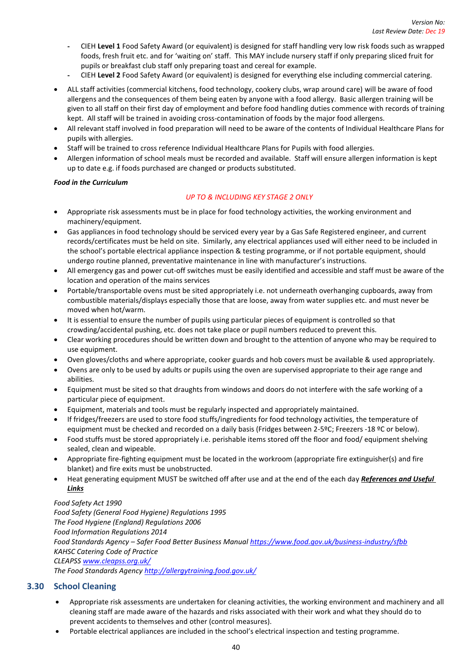- CIEH **Level 1** Food Safety Award (or equivalent) is designed for staff handling very low risk foods such as wrapped foods, fresh fruit etc. and for 'waiting on' staff. This MAY include nursery staff if only preparing sliced fruit for pupils or breakfast club staff only preparing toast and cereal for example.
- CIEH **Level 2** Food Safety Award (or equivalent) is designed for everything else including commercial catering.
- ALL staff activities (commercial kitchens, food technology, cookery clubs, wrap around care) will be aware of food allergens and the consequences of them being eaten by anyone with a food allergy. Basic allergen training will be given to all staff on their first day of employment and before food handling duties commence with records of training kept. All staff will be trained in avoiding cross-contamination of foods by the major food allergens.
- All relevant staff involved in food preparation will need to be aware of the contents of Individual Healthcare Plans for pupils with allergies.
- Staff will be trained to cross reference Individual Healthcare Plans for Pupils with food allergies.
- Allergen information of school meals must be recorded and available. Staff will ensure allergen information is kept up to date e.g. if foods purchased are changed or products substituted.

#### *Food in the Curriculum*

#### *UP TO & INCLUDING KEY STAGE 2 ONLY*

- Appropriate risk assessments must be in place for food technology activities, the working environment and machinery/equipment.
- Gas appliances in food technology should be serviced every year by a Gas Safe Registered engineer, and current records/certificates must be held on site. Similarly, any electrical appliances used will either need to be included in the school's portable electrical appliance inspection & testing programme, or if not portable equipment, should undergo routine planned, preventative maintenance in line with manufacturer's instructions.
- All emergency gas and power cut-off switches must be easily identified and accessible and staff must be aware of the location and operation of the mains services
- Portable/transportable ovens must be sited appropriately i.e. not underneath overhanging cupboards, away from combustible materials/displays especially those that are loose, away from water supplies etc. and must never be moved when hot/warm.
- It is essential to ensure the number of pupils using particular pieces of equipment is controlled so that crowding/accidental pushing, etc. does not take place or pupil numbers reduced to prevent this.
- Clear working procedures should be written down and brought to the attention of anyone who may be required to use equipment.
- Oven gloves/cloths and where appropriate, cooker guards and hob covers must be available & used appropriately.
- Ovens are only to be used by adults or pupils using the oven are supervised appropriate to their age range and abilities.
- Equipment must be sited so that draughts from windows and doors do not interfere with the safe working of a particular piece of equipment.
- Equipment, materials and tools must be regularly inspected and appropriately maintained.
- If fridges/freezers are used to store food stuffs/ingredients for food technology activities, the temperature of equipment must be checked and recorded on a daily basis (Fridges between 2-5ºC; Freezers -18 °C or below).
- Food stuffs must be stored appropriately i.e. perishable items stored off the floor and food/ equipment shelving sealed, clean and wipeable.
- Appropriate fire-fighting equipment must be located in the workroom (appropriate fire extinguisher(s) and fire blanket) and fire exits must be unobstructed.
- Heat generating equipment MUST be switched off after use and at the end of the each day *References and Useful Links*

#### *Food Safety Act 1990*

*Food Safety (General Food Hygiene) Regulations 1995 The Food Hygiene (England) Regulations 2006 Food Information Regulations 2014 Food Standards Agency – Safer Food Better Business Manua[l https://www.food.gov.uk/business-industry/sfbb](https://www.food.gov.uk/business-industry/sfbb) KAHSC Catering Code of Practice CLEAPS[S www.cleapss.org.uk/](http://www.cleapss.org.uk/) The Food Standards Agency<http://allergytraining.food.gov.uk/>*

## <span id="page-43-0"></span>**3.30 School Cleaning**

- Appropriate risk assessments are undertaken for cleaning activities, the working environment and machinery and all cleaning staff are made aware of the hazards and risks associated with their work and what they should do to prevent accidents to themselves and other (control measures).
- Portable electrical appliances are included in the school's electrical inspection and testing programme.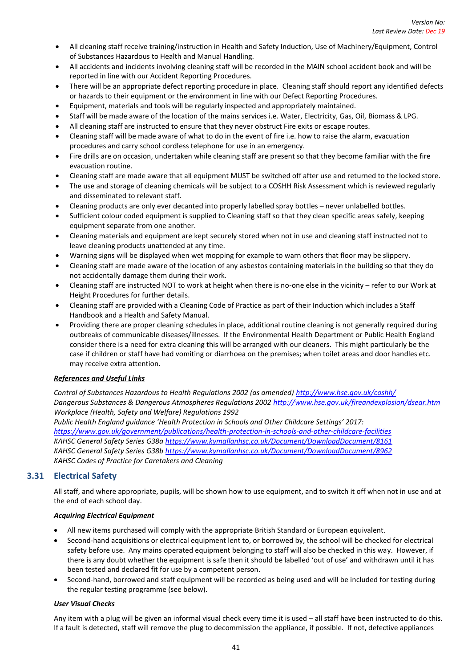- All cleaning staff receive training/instruction in Health and Safety Induction, Use of Machinery/Equipment, Control of Substances Hazardous to Health and Manual Handling.
- All accidents and incidents involving cleaning staff will be recorded in the MAIN school accident book and will be reported in line with our Accident Reporting Procedures.
- There will be an appropriate defect reporting procedure in place. Cleaning staff should report any identified defects or hazards to their equipment or the environment in line with our Defect Reporting Procedures.
- Equipment, materials and tools will be regularly inspected and appropriately maintained.
- Staff will be made aware of the location of the mains services i.e. Water, Electricity, Gas, Oil, Biomass & LPG.
- All cleaning staff are instructed to ensure that they never obstruct Fire exits or escape routes.
- Cleaning staff will be made aware of what to do in the event of fire i.e. how to raise the alarm, evacuation procedures and carry school cordless telephone for use in an emergency.
- Fire drills are on occasion, undertaken while cleaning staff are present so that they become familiar with the fire evacuation routine.
- Cleaning staff are made aware that all equipment MUST be switched off after use and returned to the locked store.
- The use and storage of cleaning chemicals will be subject to a COSHH Risk Assessment which is reviewed regularly and disseminated to relevant staff.
- Cleaning products are only ever decanted into properly labelled spray bottles never unlabelled bottles.
- Sufficient colour coded equipment is supplied to Cleaning staff so that they clean specific areas safely, keeping equipment separate from one another.
- Cleaning materials and equipment are kept securely stored when not in use and cleaning staff instructed not to leave cleaning products unattended at any time.
- Warning signs will be displayed when wet mopping for example to warn others that floor may be slippery.
- Cleaning staff are made aware of the location of any asbestos containing materials in the building so that they do not accidentally damage them during their work.
- Cleaning staff are instructed NOT to work at height when there is no-one else in the vicinity refer to our Work at Height Procedures for further details.
- Cleaning staff are provided with a Cleaning Code of Practice as part of their Induction which includes a Staff Handbook and a Health and Safety Manual.
- Providing there are proper cleaning schedules in place, additional routine cleaning is not generally required during outbreaks of communicable diseases/illnesses. If the Environmental Health Department or Public Health England consider there is a need for extra cleaning this will be arranged with our cleaners. This might particularly be the case if children or staff have had vomiting or diarrhoea on the premises; when toilet areas and door handles etc. may receive extra attention.

#### *References and Useful Links*

*Control of Substances Hazardous to Health Regulations 2002 (as amended)<http://www.hse.gov.uk/coshh/> Dangerous Substances & Dangerous Atmospheres Regulations 2002<http://www.hse.gov.uk/fireandexplosion/dsear.htm> Workplace (Health, Safety and Welfare) Regulations 1992*

*Public Health England guidance 'Health Protection in Schools and Other Childcare Settings' 2017: <https://www.gov.uk/government/publications/health-protection-in-schools-and-other-childcare-facilities> KAHSC General Safety Series G38[a https://www.kymallanhsc.co.uk/Document/DownloadDocument/8161](https://www.kymallanhsc.co.uk/Document/DownloadDocument/8161) KAHSC General Safety Series G38[b https://www.kymallanhsc.co.uk/Document/DownloadDocument/8962](https://www.kymallanhsc.co.uk/Document/DownloadDocument/8962) KAHSC Codes of Practice for Caretakers and Cleaning*

## <span id="page-44-0"></span>**3.31 Electrical Safety**

All staff, and where appropriate, pupils, will be shown how to use equipment, and to switch it off when not in use and at the end of each school day.

#### *Acquiring Electrical Equipment*

- All new items purchased will comply with the appropriate British Standard or European equivalent.
- Second-hand acquisitions or electrical equipment lent to, or borrowed by, the school will be checked for electrical safety before use. Any mains operated equipment belonging to staff will also be checked in this way. However, if there is any doubt whether the equipment is safe then it should be labelled 'out of use' and withdrawn until it has been tested and declared fit for use by a competent person.
- Second-hand, borrowed and staff equipment will be recorded as being used and will be included for testing during the regular testing programme (see below).

#### *User Visual Checks*

Any item with a plug will be given an informal visual check every time it is used – all staff have been instructed to do this. If a fault is detected, staff will remove the plug to decommission the appliance, if possible. If not, defective appliances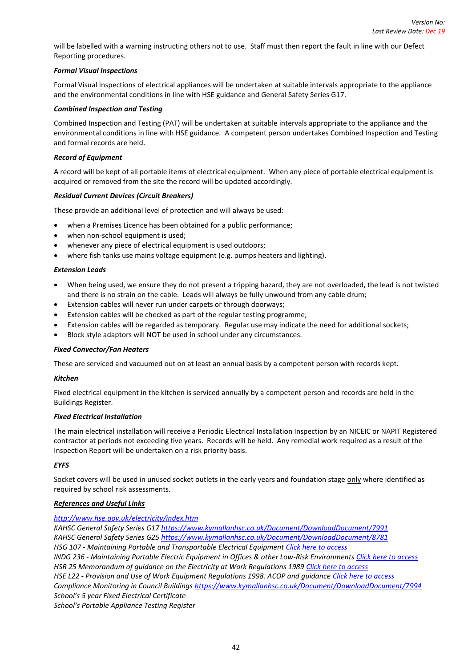will be labelled with a warning instructing others not to use. Staff must then report the fault in line with our Defect Reporting procedures.

#### *Formal Visual Inspections*

Formal Visual Inspections of electrical appliances will be undertaken at suitable intervals appropriate to the appliance and the environmental conditions in line with HSE guidance and General Safety Series G17.

#### *Combined Inspection and Testing*

Combined Inspection and Testing (PAT) will be undertaken at suitable intervals appropriate to the appliance and the environmental conditions in line with HSE guidance. A competent person undertakes Combined Inspection and Testing and formal records are held.

#### *Record of Equipment*

A record will be kept of all portable items of electrical equipment. When any piece of portable electrical equipment is acquired or removed from the site the record will be updated accordingly.

#### *Residual Current Devices (Circuit Breakers)*

These provide an additional level of protection and will always be used:

- when a Premises Licence has been obtained for a public performance;
- when non-school equipment is used;
- whenever any piece of electrical equipment is used outdoors;
- where fish tanks use mains voltage equipment (e.g. pumps heaters and lighting).

#### *Extension Leads*

- When being used, we ensure they do not present a tripping hazard, they are not overloaded, the lead is not twisted and there is no strain on the cable. Leads will always be fully unwound from any cable drum;
- Extension cables will never run under carpets or through doorways;
- Extension cables will be checked as part of the regular testing programme;
- Extension cables will be regarded as temporary. Regular use may indicate the need for additional sockets;
- Block style adaptors will NOT be used in school under any circumstances.

#### *Fixed Convector/Fan Heaters*

These are serviced and vacuumed out on at least an annual basis by a competent person with records kept.

#### *Kitchen*

Fixed electrical equipment in the kitchen is serviced annually by a competent person and records are held in the Buildings Register.

#### *Fixed Electrical Installation*

The main electrical installation will receive a Periodic Electrical Installation Inspection by an NICEIC or NAPIT Registered contractor at periods not exceeding five years. Records will be held. Any remedial work required as a result of the Inspection Report will be undertaken on a risk priority basis.

#### *EYFS*

Socket covers will be used in unused socket outlets in the early years and foundation stage only where identified as required by school risk assessments.

#### *References and Useful Links*

#### *<http://www.hse.gov.uk/electricity/index.htm>*

*KAHSC General Safety Series G1[7 https://www.kymallanhsc.co.uk/Document/DownloadDocument/7991](https://www.kymallanhsc.co.uk/Document/DownloadDocument/7991) KAHSC General Safety Series G2[5 https://www.kymallanhsc.co.uk/Document/DownloadDocument/8781](https://www.kymallanhsc.co.uk/Document/DownloadDocument/8781) HSG 107 - Maintaining Portable and Transportable Electrical Equipmen[t Click here to access](http://www.hse.gov.uk/pubns/priced/hsg107.pdf) INDG 236 - Maintaining Portable Electric Equipment in Offices & other Low-Risk Environment[s Click here to access](http://www.hse.gov.uk/pubns/indg236.pdf) HSR 25 Memorandum of guidance on the Electricity at Work Regulations 1989 [Click here to access](http://www.hse.gov.uk/pubns/priced/hsr25.pdf) HSE L22 - Provision and Use of Work Equipment Regulations 1998. ACOP and guidanc[e Click here to access](http://www.hse.gov.uk/pubns/priced/l22.pdf) Compliance Monitoring in Council Building[s https://www.kymallanhsc.co.uk/Document/DownloadDocument/7994](https://www.kymallanhsc.co.uk/Document/DownloadDocument/7994) School's 5 year Fixed Electrical Certificate School's Portable Appliance Testing Register*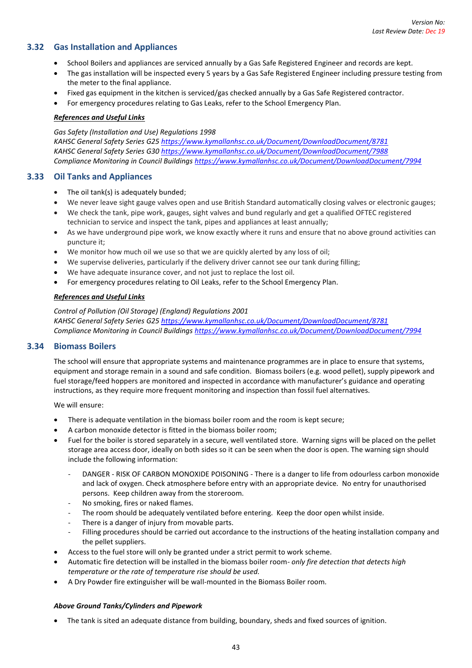## <span id="page-46-0"></span>**3.32 Gas Installation and Appliances**

- School Boilers and appliances are serviced annually by a Gas Safe Registered Engineer and records are kept.
- The gas installation will be inspected every 5 years by a Gas Safe Registered Engineer including pressure testing from the meter to the final appliance.
- Fixed gas equipment in the kitchen is serviced/gas checked annually by a Gas Safe Registered contractor.
- For emergency procedures relating to Gas Leaks, refer to the School Emergency Plan.

#### *References and Useful Links*

*Gas Safety (Installation and Use) Regulations 1998*

*KAHSC General Safety Series G2[5 https://www.kymallanhsc.co.uk/Document/DownloadDocument/8781](https://www.kymallanhsc.co.uk/Document/DownloadDocument/8781) KAHSC General Safety Series G3[0 https://www.kymallanhsc.co.uk/Document/DownloadDocument/7988](https://www.kymallanhsc.co.uk/Document/DownloadDocument/7988) Compliance Monitoring in Council Building[s https://www.kymallanhsc.co.uk/Document/DownloadDocument/7994](https://www.kymallanhsc.co.uk/Document/DownloadDocument/7994)*

#### <span id="page-46-1"></span>**3.33 Oil Tanks and Appliances**

- The oil tank(s) is adequately bunded;
- We never leave sight gauge valves open and use British Standard automatically closing valves or electronic gauges;
- We check the tank, pipe work, gauges, sight valves and bund regularly and get a qualified OFTEC registered technician to service and inspect the tank, pipes and appliances at least annually;
- As we have underground pipe work, we know exactly where it runs and ensure that no above ground activities can puncture it;
- We monitor how much oil we use so that we are quickly alerted by any loss of oil;
- We supervise deliveries, particularly if the delivery driver cannot see our tank during filling;
- We have adequate insurance cover, and not just to replace the lost oil.
- For emergency procedures relating to Oil Leaks, refer to the School Emergency Plan.

#### *References and Useful Links*

*Control of Pollution (Oil Storage) (England) Regulations 2001 KAHSC General Safety Series G2[5 https://www.kymallanhsc.co.uk/Document/DownloadDocument/8781](https://www.kymallanhsc.co.uk/Document/DownloadDocument/8781) Compliance Monitoring in Council Building[s https://www.kymallanhsc.co.uk/Document/DownloadDocument/7994](https://www.kymallanhsc.co.uk/Document/DownloadDocument/7994)*

#### <span id="page-46-2"></span>**3.34 Biomass Boilers**

The school will ensure that appropriate systems and maintenance programmes are in place to ensure that systems, equipment and storage remain in a sound and safe condition. Biomass boilers (e.g. wood pellet), supply pipework and fuel storage/feed hoppers are monitored and inspected in accordance with manufacturer's guidance and operating instructions, as they require more frequent monitoring and inspection than fossil fuel alternatives.

We will ensure:

- There is adequate ventilation in the biomass boiler room and the room is kept secure;
- A carbon monoxide detector is fitted in the biomass boiler room;
- Fuel for the boiler is stored separately in a secure, well ventilated store. Warning signs will be placed on the pellet storage area access door, ideally on both sides so it can be seen when the door is open. The warning sign should include the following information:
	- DANGER RISK OF CARBON MONOXIDE POISONING There is a danger to life from odourless carbon monoxide and lack of oxygen. Check atmosphere before entry with an appropriate device. No entry for unauthorised persons. Keep children away from the storeroom.
	- No smoking, fires or naked flames.
	- The room should be adequately ventilated before entering. Keep the door open whilst inside.
	- There is a danger of injury from movable parts.
	- Filling procedures should be carried out accordance to the instructions of the heating installation company and the pellet suppliers.
- Access to the fuel store will only be granted under a strict permit to work scheme.
- Automatic fire detection will be installed in the biomass boiler room*- only fire detection that detects high temperature or the rate of temperature rise should be used.*
- A Dry Powder fire extinguisher will be wall-mounted in the Biomass Boiler room.

#### *Above Ground Tanks/Cylinders and Pipework*

The tank is sited an adequate distance from building, boundary, sheds and fixed sources of ignition.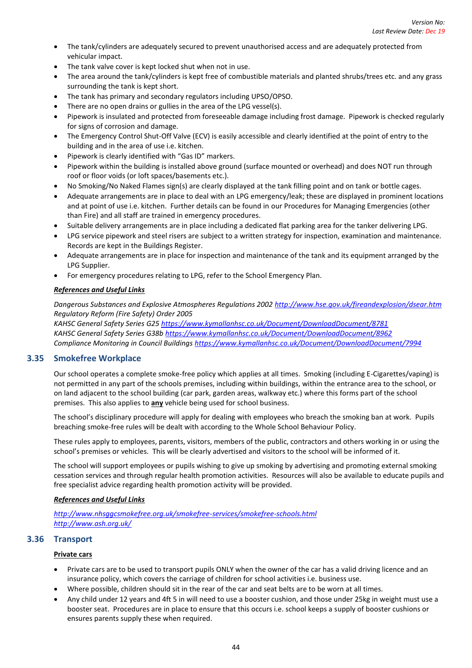- The tank/cylinders are adequately secured to prevent unauthorised access and are adequately protected from vehicular impact.
- The tank valve cover is kept locked shut when not in use.
- The area around the tank/cylinders is kept free of combustible materials and planted shrubs/trees etc. and any grass surrounding the tank is kept short.
- The tank has primary and secondary regulators including UPSO/OPSO.
- There are no open drains or gullies in the area of the LPG vessel(s).
- Pipework is insulated and protected from foreseeable damage including frost damage. Pipework is checked regularly for signs of corrosion and damage.
- The Emergency Control Shut-Off Valve (ECV) is easily accessible and clearly identified at the point of entry to the building and in the area of use i.e. kitchen.
- Pipework is clearly identified with "Gas ID" markers.
- Pipework within the building is installed above ground (surface mounted or overhead) and does NOT run through roof or floor voids (or loft spaces/basements etc.).
- No Smoking/No Naked Flames sign(s) are clearly displayed at the tank filling point and on tank or bottle cages.
- Adequate arrangements are in place to deal with an LPG emergency/leak; these are displayed in prominent locations and at point of use i.e. kitchen. Further details can be found in our Procedures for Managing Emergencies (other than Fire) and all staff are trained in emergency procedures.
- Suitable delivery arrangements are in place including a dedicated flat parking area for the tanker delivering LPG.
- LPG service pipework and steel risers are subject to a written strategy for inspection, examination and maintenance. Records are kept in the Buildings Register.
- Adequate arrangements are in place for inspection and maintenance of the tank and its equipment arranged by the LPG Supplier.
- For emergency procedures relating to LPG, refer to the School Emergency Plan.

#### *References and Useful Links*

*Dangerous Substances and Explosive Atmospheres Regulations 2002<http://www.hse.gov.uk/fireandexplosion/dsear.htm> Regulatory Reform (Fire Safety) Order 2005*

*KAHSC General Safety Series G2[5 https://www.kymallanhsc.co.uk/Document/DownloadDocument/8781](https://www.kymallanhsc.co.uk/Document/DownloadDocument/8781) KAHSC General Safety Series G38[b https://www.kymallanhsc.co.uk/Document/DownloadDocument/8962](https://www.kymallanhsc.co.uk/Document/DownloadDocument/8962) Compliance Monitoring in Council Building[s https://www.kymallanhsc.co.uk/Document/DownloadDocument/7994](https://www.kymallanhsc.co.uk/Document/DownloadDocument/7994)*

#### <span id="page-47-0"></span>**3.35 Smokefree Workplace**

Our school operates a complete smoke-free policy which applies at all times. Smoking (including E-Cigarettes/vaping) is not permitted in any part of the schools premises, including within buildings, within the entrance area to the school, or on land adjacent to the school building (car park, garden areas, walkway etc.) where this forms part of the school premises. This also applies to **any** vehicle being used for school business.

The school's disciplinary procedure will apply for dealing with employees who breach the smoking ban at work. Pupils breaching smoke-free rules will be dealt with according to the Whole School Behaviour Policy.

These rules apply to employees, parents, visitors, members of the public, contractors and others working in or using the school's premises or vehicles. This will be clearly advertised and visitors to the school will be informed of it.

The school will support employees or pupils wishing to give up smoking by advertising and promoting external smoking cessation services and through regular health promotion activities. Resources will also be available to educate pupils and free specialist advice regarding health promotion activity will be provided.

#### *References and Useful Links*

*<http://www.nhsggcsmokefree.org.uk/smokefree-services/smokefree-schools.html> <http://www.ash.org.uk/>*

#### <span id="page-47-1"></span>**3.36 Transport**

#### **Private cars**

- Private cars are to be used to transport pupils ONLY when the owner of the car has a valid driving licence and an insurance policy, which covers the carriage of children for school activities i.e. business use.
- Where possible, children should sit in the rear of the car and seat belts are to be worn at all times.
- Any child under 12 years and 4ft 5 in will need to use a booster cushion, and those under 25kg in weight must use a booster seat. Procedures are in place to ensure that this occurs i.e. school keeps a supply of booster cushions or ensures parents supply these when required.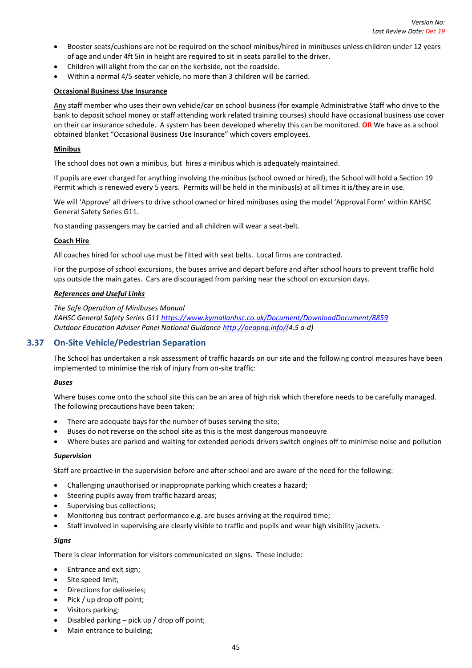- Booster seats/cushions are not be required on the school minibus/hired in minibuses unless children under 12 years of age and under 4ft 5in in height are required to sit in seats parallel to the driver.
- Children will alight from the car on the kerbside, not the roadside.
- Within a normal 4/5-seater vehicle, no more than 3 children will be carried.

#### **Occasional Business Use Insurance**

Any staff member who uses their own vehicle/car on school business (for example Administrative Staff who drive to the bank to deposit school money or staff attending work related training courses) should have occasional business use cover on their car insurance schedule. A system has been developed whereby this can be monitored. **OR** We have as a school obtained blanket "Occasional Business Use Insurance" which covers employees.

#### **Minibus**

The school does not own a minibus, but hires a minibus which is adequately maintained.

If pupils are ever charged for anything involving the minibus (school owned or hired), the School will hold a Section 19 Permit which is renewed every 5 years. Permits will be held in the minibus(s) at all times it is/they are in use.

We will 'Approve' all drivers to drive school owned or hired minibuses using the model 'Approval Form' within KAHSC General Safety Series G11.

No standing passengers may be carried and all children will wear a seat-belt.

#### **Coach Hire**

All coaches hired for school use must be fitted with seat belts. Local firms are contracted.

For the purpose of school excursions, the buses arrive and depart before and after school hours to prevent traffic hold ups outside the main gates. Cars are discouraged from parking near the school on excursion days.

#### *References and Useful Links*

*The Safe Operation of Minibuses Manual*

*KAHSC General Safety Series G1[1 https://www.kymallanhsc.co.uk/Document/DownloadDocument/8859](https://www.kymallanhsc.co.uk/Document/DownloadDocument/8859) Outdoor Education Adviser Panel National Guidance [http://oeapng.info/\(](http://oeapng.info/)4.5 a-d)*

#### <span id="page-48-0"></span>**3.37 On-Site Vehicle/Pedestrian Separation**

The School has undertaken a risk assessment of traffic hazards on our site and the following control measures have been implemented to minimise the risk of injury from on-site traffic:

#### *Buses*

Where buses come onto the school site this can be an area of high risk which therefore needs to be carefully managed. The following precautions have been taken:

- There are adequate bays for the number of buses serving the site;
- Buses do not reverse on the school site as this is the most dangerous manoeuvre
- Where buses are parked and waiting for extended periods drivers switch engines off to minimise noise and pollution

#### *Supervision*

Staff are proactive in the supervision before and after school and are aware of the need for the following:

- Challenging unauthorised or inappropriate parking which creates a hazard;
- Steering pupils away from traffic hazard areas;
- Supervising bus collections;
- Monitoring bus contract performance e.g. are buses arriving at the required time;
- Staff involved in supervising are clearly visible to traffic and pupils and wear high visibility jackets.

#### *Signs*

There is clear information for visitors communicated on signs. These include:

- Entrance and exit sign;
- Site speed limit;
- Directions for deliveries;
- Pick / up drop off point;
- Visitors parking;
- Disabled parking pick up / drop off point;
- Main entrance to building;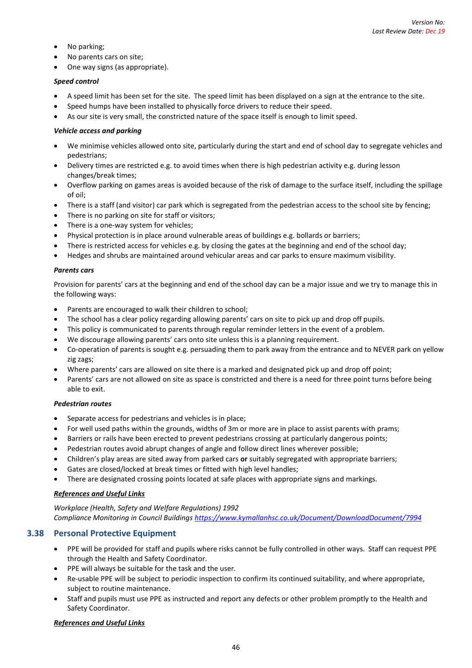- No parking;
- No parents cars on site;
- One way signs (as appropriate).

#### *Speed control*

- A speed limit has been set for the site. The speed limit has been displayed on a sign at the entrance to the site.
- Speed humps have been installed to physically force drivers to reduce their speed.
- As our site is very small, the constricted nature of the space itself is enough to limit speed.

#### *Vehicle access and parking*

- We minimise vehicles allowed onto site, particularly during the start and end of school day to segregate vehicles and pedestrians;
- Delivery times are restricted e.g. to avoid times when there is high pedestrian activity e.g. during lesson changes/break times;
- Overflow parking on games areas is avoided because of the risk of damage to the surface itself, including the spillage of oil;
- There is a staff (and visitor) car park which is segregated from the pedestrian access to the school site by fencing;
- There is no parking on site for staff or visitors;
- There is a one-way system for vehicles;
- Physical protection is in place around vulnerable areas of buildings e.g. bollards or barriers;
- There is restricted access for vehicles e.g. by closing the gates at the beginning and end of the school day;
- Hedges and shrubs are maintained around vehicular areas and car parks to ensure maximum visibility.

#### *Parents cars*

Provision for parents' cars at the beginning and end of the school day can be a major issue and we try to manage this in the following ways:

- Parents are encouraged to walk their children to school;
- The school has a clear policy regarding allowing parents' cars on site to pick up and drop off pupils.
- This policy is communicated to parents through regular reminder letters in the event of a problem.
- We discourage allowing parents' cars onto site unless this is a planning requirement.
- Co-operation of parents is sought e.g. persuading them to park away from the entrance and to NEVER park on yellow zig zags;
- Where parents' cars are allowed on site there is a marked and designated pick up and drop off point;
- Parents' cars are not allowed on site as space is constricted and there is a need for three point turns before being able to exit.

#### *Pedestrian routes*

- Separate access for pedestrians and vehicles is in place;
- For well used paths within the grounds, widths of 3m or more are in place to assist parents with prams;
- Barriers or rails have been erected to prevent pedestrians crossing at particularly dangerous points;
- Pedestrian routes avoid abrupt changes of angle and follow direct lines wherever possible;
- Children's play areas are sited away from parked cars **or** suitably segregated with appropriate barriers;
- Gates are closed/locked at break times or fitted with high level handles;
- There are designated crossing points located at safe places with appropriate signs and markings.

#### *References and Useful Links*

*Workplace (Health, Safety and Welfare Regulations) 1992 Compliance Monitoring in Council Building[s https://www.kymallanhsc.co.uk/Document/DownloadDocument/7994](https://www.kymallanhsc.co.uk/Document/DownloadDocument/7994)*

## <span id="page-49-0"></span>**3.38 Personal Protective Equipment**

- PPE will be provided for staff and pupils where risks cannot be fully controlled in other ways. Staff can request PPE through the Health and Safety Coordinator.
- PPE will always be suitable for the task and the user.
- Re-usable PPE will be subject to periodic inspection to confirm its continued suitability, and where appropriate, subject to routine maintenance.
- Staff and pupils must use PPE as instructed and report any defects or other problem promptly to the Health and Safety Coordinator.

#### *References and Useful Links*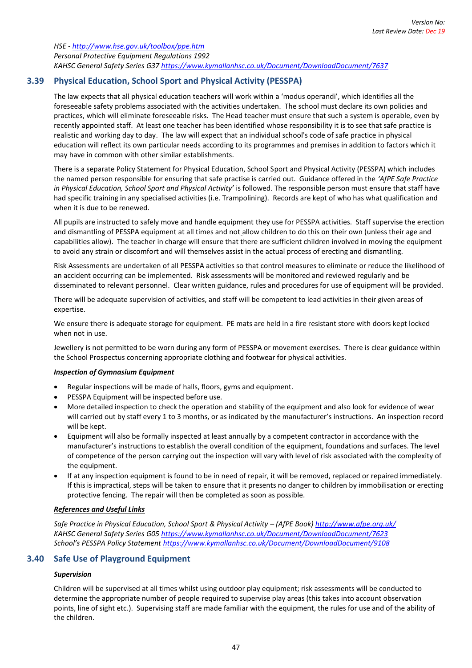*HSE - <http://www.hse.gov.uk/toolbox/ppe.htm>*

*Personal Protective Equipment Regulations 1992*

*KAHSC General Safety Series G3[7 https://www.kymallanhsc.co.uk/Document/DownloadDocument/7637](https://www.kymallanhsc.co.uk/Document/DownloadDocument/7637)*

## <span id="page-50-0"></span>**3.39 Physical Education, School Sport and Physical Activity (PESSPA)**

The law expects that all physical education teachers will work within a 'modus operandi', which identifies all the foreseeable safety problems associated with the activities undertaken. The school must declare its own policies and practices, which will eliminate foreseeable risks. The Head teacher must ensure that such a system is operable, even by recently appointed staff. At least one teacher has been identified whose responsibility it is to see that safe practice is realistic and working day to day. The law will expect that an individual school's code of safe practice in physical education will reflect its own particular needs according to its programmes and premises in addition to factors which it may have in common with other similar establishments.

There is a separate Policy Statement for Physical Education, School Sport and Physical Activity (PESSPA) which includes the named person responsible for ensuring that safe practise is carried out. Guidance offered in the *'AfPE Safe Practice in Physical Education, School Sport and Physical Activity'* is followed. The responsible person must ensure that staff have had specific training in any specialised activities (i.e. Trampolining). Records are kept of who has what qualification and when it is due to be renewed.

All pupils are instructed to safely move and handle equipment they use for PESSPA activities. Staff supervise the erection and dismantling of PESSPA equipment at all times and not allow children to do this on their own (unless their age and capabilities allow). The teacher in charge will ensure that there are sufficient children involved in moving the equipment to avoid any strain or discomfort and will themselves assist in the actual process of erecting and dismantling.

Risk Assessments are undertaken of all PESSPA activities so that control measures to eliminate or reduce the likelihood of an accident occurring can be implemented. Risk assessments will be monitored and reviewed regularly and be disseminated to relevant personnel. Clear written guidance, rules and procedures for use of equipment will be provided.

There will be adequate supervision of activities, and staff will be competent to lead activities in their given areas of expertise.

We ensure there is adequate storage for equipment. PE mats are held in a fire resistant store with doors kept locked when not in use.

Jewellery is not permitted to be worn during any form of PESSPA or movement exercises. There is clear guidance within the School Prospectus concerning appropriate clothing and footwear for physical activities.

#### *Inspection of Gymnasium Equipment*

- Regular inspections will be made of halls, floors, gyms and equipment.
- PESSPA Equipment will be inspected before use.
- More detailed inspection to check the operation and stability of the equipment and also look for evidence of wear will carried out by staff every 1 to 3 months, or as indicated by the manufacturer's instructions. An inspection record will be kept.
- Equipment will also be formally inspected at least annually by a competent contractor in accordance with the manufacturer's instructions to establish the overall condition of the equipment, foundations and surfaces. The level of competence of the person carrying out the inspection will vary with level of risk associated with the complexity of the equipment.
- If at any inspection equipment is found to be in need of repair, it will be removed, replaced or repaired immediately. If this is impractical, steps will be taken to ensure that it presents no danger to children by immobilisation or erecting protective fencing. The repair will then be completed as soon as possible.

#### *References and Useful Links*

*Safe Practice in Physical Education, School Sport & Physical Activity – (AfPE Book)<http://www.afpe.org.uk/> KAHSC General Safety Series G0[5 https://www.kymallanhsc.co.uk/Document/DownloadDocument/7623](https://www.kymallanhsc.co.uk/Document/DownloadDocument/7623) School's PESSPA Policy Statement <https://www.kymallanhsc.co.uk/Document/DownloadDocument/9108>*

### <span id="page-50-1"></span>**3.40 Safe Use of Playground Equipment**

#### *Supervision*

Children will be supervised at all times whilst using outdoor play equipment; risk assessments will be conducted to determine the appropriate number of people required to supervise play areas (this takes into account observation points, line of sight etc.). Supervising staff are made familiar with the equipment, the rules for use and of the ability of the children.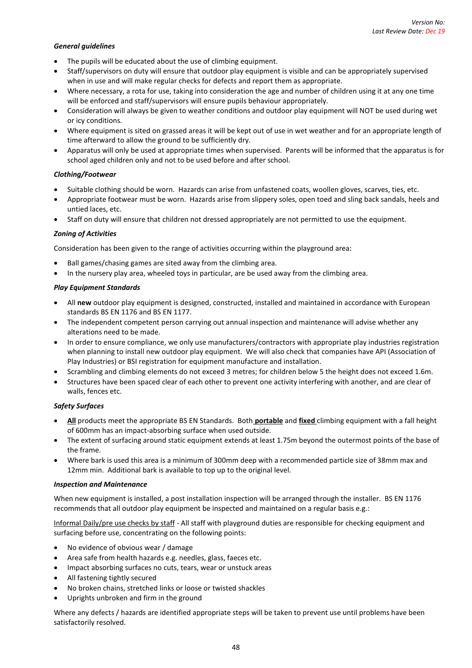#### *General guidelines*

- The pupils will be educated about the use of climbing equipment.
- Staff/supervisors on duty will ensure that outdoor play equipment is visible and can be appropriately supervised when in use and will make regular checks for defects and report them as appropriate.
- Where necessary, a rota for use, taking into consideration the age and number of children using it at any one time will be enforced and staff/supervisors will ensure pupils behaviour appropriately.
- Consideration will always be given to weather conditions and outdoor play equipment will NOT be used during wet or icy conditions.
- Where equipment is sited on grassed areas it will be kept out of use in wet weather and for an appropriate length of time afterward to allow the ground to be sufficiently dry.
- Apparatus will only be used at appropriate times when supervised. Parents will be informed that the apparatus is for school aged children only and not to be used before and after school.

#### *Clothing/Footwear*

- Suitable clothing should be worn. Hazards can arise from unfastened coats, woollen gloves, scarves, ties, etc.
- Appropriate footwear must be worn. Hazards arise from slippery soles, open toed and sling back sandals, heels and untied laces, etc.
- Staff on duty will ensure that children not dressed appropriately are not permitted to use the equipment.

#### *Zoning of Activities*

Consideration has been given to the range of activities occurring within the playground area:

- Ball games/chasing games are sited away from the climbing area.
- In the nursery play area, wheeled toys in particular, are be used away from the climbing area.

#### *Play Equipment Standards*

- All **new** outdoor play equipment is designed, constructed, installed and maintained in accordance with European standards BS EN 1176 and BS EN 1177.
- The independent competent person carrying out annual inspection and maintenance will advise whether any alterations need to be made.
- In order to ensure compliance, we only use manufacturers/contractors with appropriate play industries registration when planning to install new outdoor play equipment. We will also check that companies have API (Association of Play Industries) or BSI registration for equipment manufacture and installation.
- Scrambling and climbing elements do not exceed 3 metres; for children below 5 the height does not exceed 1.6m.
- Structures have been spaced clear of each other to prevent one activity interfering with another, and are clear of walls, fences etc.

#### *Safety Surfaces*

- **All** products meet the appropriate BS EN Standards. Both **portable** and **fixed** climbing equipment with a fall height of 600mm has an impact-absorbing surface when used outside.
- The extent of surfacing around static equipment extends at least 1.75m beyond the outermost points of the base of the frame.
- Where bark is used this area is a minimum of 300mm deep with a recommended particle size of 38mm max and 12mm min. Additional bark is available to top up to the original level.

#### *Inspection and Maintenance*

When new equipment is installed, a post installation inspection will be arranged through the installer. BS EN 1176 recommends that all outdoor play equipment be inspected and maintained on a regular basis e.g.:

Informal Daily/pre use checks by staff - All staff with playground duties are responsible for checking equipment and surfacing before use, concentrating on the following points:

- No evidence of obvious wear / damage
- Area safe from health hazards e.g. needles, glass, faeces etc.
- Impact absorbing surfaces no cuts, tears, wear or unstuck areas
- All fastening tightly secured
- No broken chains, stretched links or loose or twisted shackles
- Uprights unbroken and firm in the ground

Where any defects / hazards are identified appropriate steps will be taken to prevent use until problems have been satisfactorily resolved.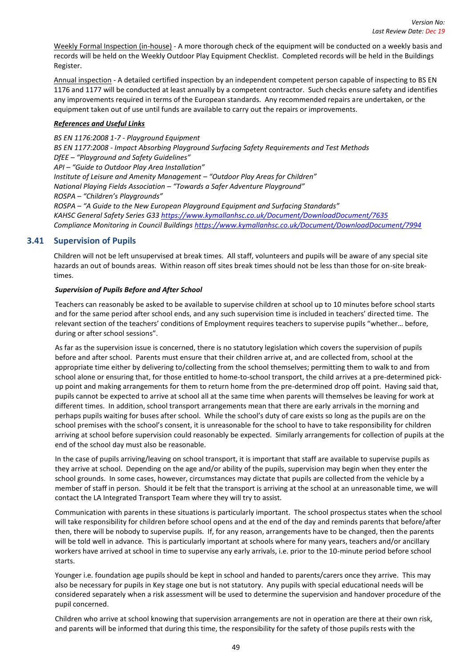Weekly Formal Inspection (in-house) - A more thorough check of the equipment will be conducted on a weekly basis and records will be held on the Weekly Outdoor Play Equipment Checklist. Completed records will be held in the Buildings Register.

Annual inspection - A detailed certified inspection by an independent competent person capable of inspecting to BS EN 1176 and 1177 will be conducted at least annually by a competent contractor. Such checks ensure safety and identifies any improvements required in terms of the European standards. Any recommended repairs are undertaken, or the equipment taken out of use until funds are available to carry out the repairs or improvements.

#### *References and Useful Links*

*BS EN 1176:2008 1-7 - Playground Equipment BS EN 1177:2008 - Impact Absorbing Playground Surfacing Safety Requirements and Test Methods DfEE – "Playground and Safety Guidelines" API – "Guide to Outdoor Play Area Installation" Institute of Leisure and Amenity Management – "Outdoor Play Areas for Children" National Playing Fields Association – "Towards a Safer Adventure Playground" ROSPA – "Children's Playgrounds" ROSPA – "A Guide to the New European Playground Equipment and Surfacing Standards" KAHSC General Safety Series G3[3 https://www.kymallanhsc.co.uk/Document/DownloadDocument/7635](https://www.kymallanhsc.co.uk/Document/DownloadDocument/7635) Compliance Monitoring in Council Building[s https://www.kymallanhsc.co.uk/Document/DownloadDocument/7994](https://www.kymallanhsc.co.uk/Document/DownloadDocument/7994)*

#### <span id="page-52-0"></span>**3.41 Supervision of Pupils**

Children will not be left unsupervised at break times. All staff, volunteers and pupils will be aware of any special site hazards an out of bounds areas. Within reason off sites break times should not be less than those for on-site breaktimes.

#### *Supervision of Pupils Before and After School*

Teachers can reasonably be asked to be available to supervise children at school up to 10 minutes before school starts and for the same period after school ends, and any such supervision time is included in teachers' directed time. The relevant section of the teachers' conditions of Employment requires teachers to supervise pupils "whether… before, during or after school sessions".

As far as the supervision issue is concerned, there is no statutory legislation which covers the supervision of pupils before and after school. Parents must ensure that their children arrive at, and are collected from, school at the appropriate time either by delivering to/collecting from the school themselves; permitting them to walk to and from school alone or ensuring that, for those entitled to home-to-school transport, the child arrives at a pre-determined pickup point and making arrangements for them to return home from the pre-determined drop off point. Having said that, pupils cannot be expected to arrive at school all at the same time when parents will themselves be leaving for work at different times. In addition, school transport arrangements mean that there are early arrivals in the morning and perhaps pupils waiting for buses after school. While the school's duty of care exists so long as the pupils are on the school premises with the school's consent, it is unreasonable for the school to have to take responsibility for children arriving at school before supervision could reasonably be expected. Similarly arrangements for collection of pupils at the end of the school day must also be reasonable.

In the case of pupils arriving/leaving on school transport, it is important that staff are available to supervise pupils as they arrive at school. Depending on the age and/or ability of the pupils, supervision may begin when they enter the school grounds. In some cases, however, circumstances may dictate that pupils are collected from the vehicle by a member of staff in person. Should it be felt that the transport is arriving at the school at an unreasonable time, we will contact the LA Integrated Transport Team where they will try to assist.

Communication with parents in these situations is particularly important. The school prospectus states when the school will take responsibility for children before school opens and at the end of the day and reminds parents that before/after then, there will be nobody to supervise pupils. If, for any reason, arrangements have to be changed, then the parents will be told well in advance. This is particularly important at schools where for many years, teachers and/or ancillary workers have arrived at school in time to supervise any early arrivals, i.e. prior to the 10-minute period before school starts.

Younger i.e. foundation age pupils should be kept in school and handed to parents/carers once they arrive. This may also be necessary for pupils in Key stage one but is not statutory. Any pupils with special educational needs will be considered separately when a risk assessment will be used to determine the supervision and handover procedure of the pupil concerned.

Children who arrive at school knowing that supervision arrangements are not in operation are there at their own risk, and parents will be informed that during this time, the responsibility for the safety of those pupils rests with the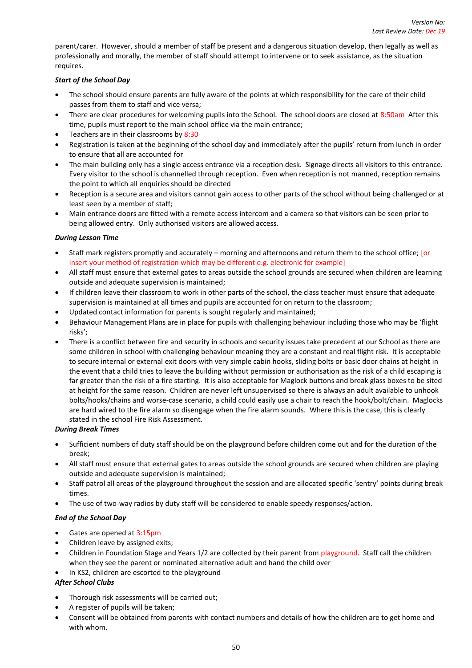parent/carer. However, should a member of staff be present and a dangerous situation develop, then legally as well as professionally and morally, the member of staff should attempt to intervene or to seek assistance, as the situation requires.

#### *Start of the School Day*

- The school should ensure parents are fully aware of the points at which responsibility for the care of their child passes from them to staff and vice versa;
- There are clear procedures for welcoming pupils into the School. The school doors are closed at 8:50am After this time, pupils must report to the main school office via the main entrance;
- Teachers are in their classrooms by 8:30
- Registration is taken at the beginning of the school day and immediately after the pupils' return from lunch in order to ensure that all are accounted for
- The main building only has a single access entrance via a reception desk. Signage directs all visitors to this entrance. Every visitor to the school is channelled through reception. Even when reception is not manned, reception remains the point to which all enquiries should be directed
- Reception is a secure area and visitors cannot gain access to other parts of the school without being challenged or at least seen by a member of staff;
- Main entrance doors are fitted with a remote access intercom and a camera so that visitors can be seen prior to being allowed entry. Only authorised visitors are allowed access.

#### *During Lesson Time*

- Staff mark registers promptly and accurately morning and afternoons and return them to the school office; [or insert your method of registration which may be different e.g. electronic for example]
- All staff must ensure that external gates to areas outside the school grounds are secured when children are learning outside and adequate supervision is maintained;
- If children leave their classroom to work in other parts of the school, the class teacher must ensure that adequate supervision is maintained at all times and pupils are accounted for on return to the classroom;
- Updated contact information for parents is sought regularly and maintained;
- Behaviour Management Plans are in place for pupils with challenging behaviour including those who may be 'flight risks';
- There is a conflict between fire and security in schools and security issues take precedent at our School as there are some children in school with challenging behaviour meaning they are a constant and real flight risk. It is acceptable to secure internal or external exit doors with very simple cabin hooks, sliding bolts or basic door chains at height in the event that a child tries to leave the building without permission or authorisation as the risk of a child escaping is far greater than the risk of a fire starting. It is also acceptable for Maglock buttons and break glass boxes to be sited at height for the same reason. Children are never left unsupervised so there is always an adult available to unhook bolts/hooks/chains and worse-case scenario, a child could easily use a chair to reach the hook/bolt/chain. Maglocks are hard wired to the fire alarm so disengage when the fire alarm sounds. Where this is the case, this is clearly stated in the school Fire Risk Assessment.

#### *During Break Times*

- Sufficient numbers of duty staff should be on the playground before children come out and for the duration of the break;
- All staff must ensure that external gates to areas outside the school grounds are secured when children are playing outside and adequate supervision is maintained;
- Staff patrol all areas of the playground throughout the session and are allocated specific 'sentry' points during break times.
- The use of two-way radios by duty staff will be considered to enable speedy responses/action.

#### *End of the School Day*

- Gates are opened at 3:15pm
- Children leave by assigned exits;
- Children in Foundation Stage and Years 1/2 are collected by their parent from playground. Staff call the children when they see the parent or nominated alternative adult and hand the child over
- In KS2, children are escorted to the playground

#### *After School Clubs*

- Thorough risk assessments will be carried out;
- A register of pupils will be taken;
- Consent will be obtained from parents with contact numbers and details of how the children are to get home and with whom.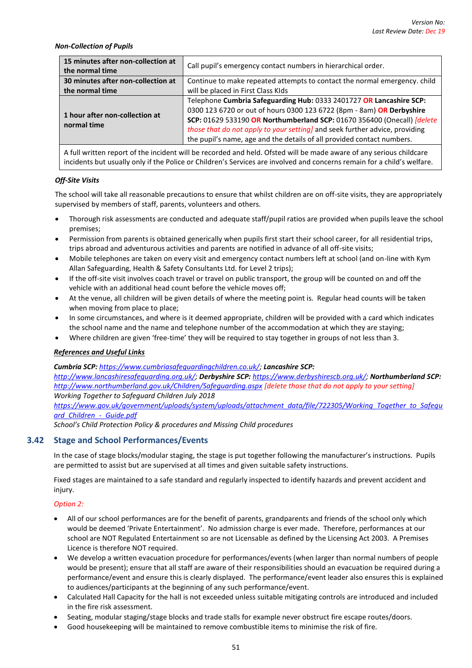#### *Non-Collection of Pupils*

| 15 minutes after non-collection at<br>the normal time | Call pupil's emergency contact numbers in hierarchical order.                                                                                                                                                                                                                                                                                                                    |
|-------------------------------------------------------|----------------------------------------------------------------------------------------------------------------------------------------------------------------------------------------------------------------------------------------------------------------------------------------------------------------------------------------------------------------------------------|
| 30 minutes after non-collection at                    | Continue to make repeated attempts to contact the normal emergency. child                                                                                                                                                                                                                                                                                                        |
| the normal time                                       | will be placed in First Class KIds                                                                                                                                                                                                                                                                                                                                               |
| 1 hour after non-collection at<br>normal time         | Telephone Cumbria Safeguarding Hub: 0333 2401727 OR Lancashire SCP:<br>0300 123 6720 or out of hours 0300 123 6722 (8pm - 8am) OR Derbyshire<br>SCP: 01629 533190 OR Northumberland SCP: 01670 356400 (Onecall) [delete<br>those that do not apply to your setting] and seek further advice, providing<br>the pupil's name, age and the details of all provided contact numbers. |

A full written report of the incident will be recorded and held. Ofsted will be made aware of any serious childcare incidents but usually only if the Police or Children's Services are involved and concerns remain for a child's welfare.

#### *Off-Site Visits*

The school will take all reasonable precautions to ensure that whilst children are on off-site visits, they are appropriately supervised by members of staff, parents, volunteers and others.

- Thorough risk assessments are conducted and adequate staff/pupil ratios are provided when pupils leave the school premises;
- Permission from parents is obtained generically when pupils first start their school career, for all residential trips, trips abroad and adventurous activities and parents are notified in advance of all off-site visits;
- Mobile telephones are taken on every visit and emergency contact numbers left at school (and on-line with Kym Allan Safeguarding, Health & Safety Consultants Ltd. for Level 2 trips);
- If the off-site visit involves coach travel or travel on public transport, the group will be counted on and off the vehicle with an additional head count before the vehicle moves off;
- At the venue, all children will be given details of where the meeting point is. Regular head counts will be taken when moving from place to place;
- In some circumstances, and where is it deemed appropriate, children will be provided with a card which indicates the school name and the name and telephone number of the accommodation at which they are staying;
- Where children are given 'free-time' they will be required to stay together in groups of not less than 3.

#### *References and Useful Links*

*Cumbria SCP: [https://www.cumbriasafeguardingchildren.co.uk/;](https://www.cumbriasafeguardingchildren.co.uk/) Lancashire SCP:*

*[http://www.lancashiresafeguarding.org.uk/;](http://www.lancashiresafeguarding.org.uk/) Derbyshire SCP: [https://www.derbyshirescb.org.uk/;](https://www.derbyshirescb.org.uk/) Northumberland SCP: <http://www.northumberland.gov.uk/Children/Safeguarding.aspx> [delete those that do not apply to your setting] Working Together to Safeguard Children July 2018* 

*[https://www.gov.uk/government/uploads/system/uploads/attachment\\_data/file/722305/Working\\_Together\\_to\\_Safegu](https://www.gov.uk/government/uploads/system/uploads/attachment_data/file/722305/Working_Together_to_Safeguard_Children_-_Guide.pdf) [ard\\_Children\\_-\\_Guide.pdf](https://www.gov.uk/government/uploads/system/uploads/attachment_data/file/722305/Working_Together_to_Safeguard_Children_-_Guide.pdf)*

*School's Child Protection Policy & procedures and Missing Child procedures*

#### <span id="page-54-0"></span>**3.42 Stage and School Performances/Events**

In the case of stage blocks/modular staging, the stage is put together following the manufacturer's instructions. Pupils are permitted to assist but are supervised at all times and given suitable safety instructions.

Fixed stages are maintained to a safe standard and regularly inspected to identify hazards and prevent accident and injury.

#### *Option 2:*

- All of our school performances are for the benefit of parents, grandparents and friends of the school only which would be deemed 'Private Entertainment'. No admission charge is ever made. Therefore, performances at our school are NOT Regulated Entertainment so are not Licensable as defined by the Licensing Act 2003. A Premises Licence is therefore NOT required.
- We develop a written evacuation procedure for performances/events (when larger than normal numbers of people would be present); ensure that all staff are aware of their responsibilities should an evacuation be required during a performance/event and ensure this is clearly displayed. The performance/event leader also ensures this is explained to audiences/participants at the beginning of any such performance/event.
- Calculated Hall Capacity for the hall is not exceeded unless suitable mitigating controls are introduced and included in the fire risk assessment.
- Seating, modular staging/stage blocks and trade stalls for example never obstruct fire escape routes/doors.
- Good housekeeping will be maintained to remove combustible items to minimise the risk of fire.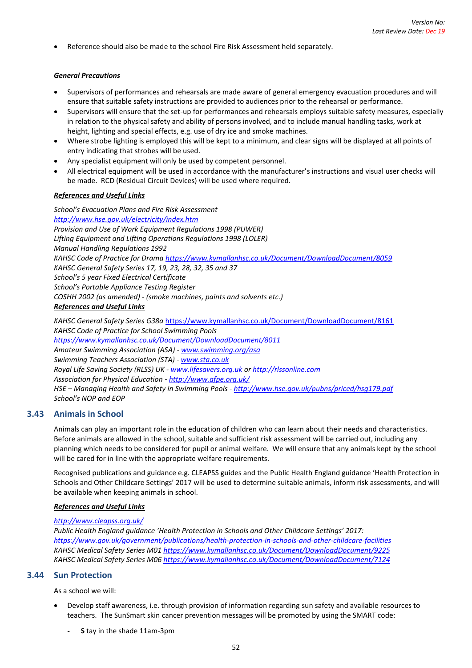Reference should also be made to the school Fire Risk Assessment held separately.

#### *General Precautions*

- Supervisors of performances and rehearsals are made aware of general emergency evacuation procedures and will ensure that suitable safety instructions are provided to audiences prior to the rehearsal or performance.
- Supervisors will ensure that the set-up for performances and rehearsals employs suitable safety measures, especially in relation to the physical safety and ability of persons involved, and to include manual handling tasks, work at height, lighting and special effects, e.g. use of dry ice and smoke machines.
- Where strobe lighting is employed this will be kept to a minimum, and clear signs will be displayed at all points of entry indicating that strobes will be used.
- Any specialist equipment will only be used by competent personnel.
- All electrical equipment will be used in accordance with the manufacturer's instructions and visual user checks will be made. RCD (Residual Circuit Devices) will be used where required.

#### *References and Useful Links*

*School's Evacuation Plans and Fire Risk Assessment <http://www.hse.gov.uk/electricity/index.htm> Provision and Use of Work Equipment Regulations 1998 (PUWER) Lifting Equipment and Lifting Operations Regulations 1998 (LOLER) Manual Handling Regulations 1992 KAHSC Code of Practice for Drama <https://www.kymallanhsc.co.uk/Document/DownloadDocument/8059> KAHSC General Safety Series 17, 19, 23, 28, 32, 35 and 37 School's 5 year Fixed Electrical Certificate School's Portable Appliance Testing Register COSHH 2002 (as amended) - (smoke machines, paints and solvents etc.) References and Useful Links*

*KAHSC General Safety Series G38a* <https://www.kymallanhsc.co.uk/Document/DownloadDocument/8161> *KAHSC Code of Practice for School Swimming Pools <https://www.kymallanhsc.co.uk/Document/DownloadDocument/8011> Amateur Swimming Association (ASA) - [www.swimming.org/asa](http://www.swimming.org/asa) Swimming Teachers Association (STA) - [www.sta.co.uk](http://www.sta.co.uk/) Royal Life Saving Society (RLSS) UK - [www.lifesavers.org.uk](http://www.lifesavers.org.uk/) or [http://rlssonline.com](http://rlssonline.com/) Association for Physical Education - <http://www.afpe.org.uk/> HSE – Managing Health and Safety in Swimming Pools - <http://www.hse.gov.uk/pubns/priced/hsg179.pdf> School's NOP and EOP*

#### <span id="page-55-0"></span>**3.43 Animals in School**

Animals can play an important role in the education of children who can learn about their needs and characteristics. Before animals are allowed in the school, suitable and sufficient risk assessment will be carried out, including any planning which needs to be considered for pupil or animal welfare. We will ensure that any animals kept by the school will be cared for in line with the appropriate welfare requirements.

Recognised publications and guidance e.g. CLEAPSS guides and the Public Health England guidance 'Health Protection in Schools and Other Childcare Settings' 2017 will be used to determine suitable animals, inform risk assessments, and will be available when keeping animals in school.

#### *References and Useful Links*

#### *<http://www.cleapss.org.uk/>*

*Public Health England guidance 'Health Protection in Schools and Other Childcare Settings' 2017: <https://www.gov.uk/government/publications/health-protection-in-schools-and-other-childcare-facilities> KAHSC Medical Safety Series M01<https://www.kymallanhsc.co.uk/Document/DownloadDocument/9225> KAHSC Medical Safety Series M06<https://www.kymallanhsc.co.uk/Document/DownloadDocument/7124>*

#### <span id="page-55-1"></span>**3.44 Sun Protection**

As a school we will:

- Develop staff awareness, i.e. through provision of information regarding sun safety and available resources to teachers. The SunSmart skin cancer prevention messages will be promoted by using the SMART code:
	- **S** tay in the shade 11am-3pm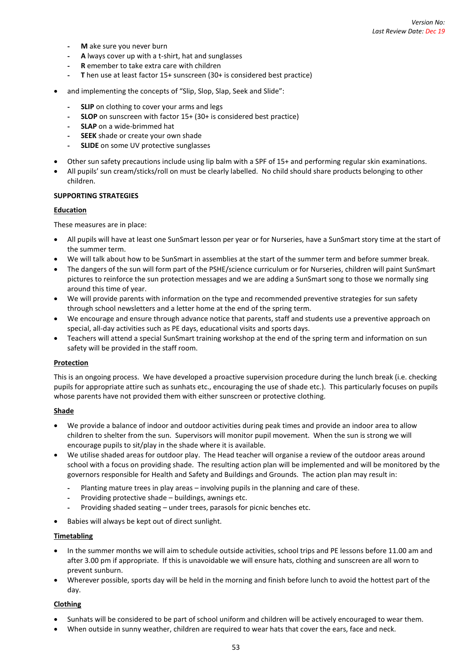- M ake sure you never burn
- A lways cover up with a t-shirt, hat and sunglasses
- R emember to take extra care with children
- **T** hen use at least factor 15+ sunscreen (30+ is considered best practice)
- and implementing the concepts of "Slip, Slop, Slap, Seek and Slide":
	- **SLIP** on clothing to cover your arms and legs
	- **SLOP** on sunscreen with factor 15+ (30+ is considered best practice)
	- **SLAP** on a wide-brimmed hat
	- **SEEK** shade or create your own shade
	- **SLIDE** on some UV protective sunglasses
- Other sun safety precautions include using lip balm with a SPF of 15+ and performing regular skin examinations.
- All pupils' sun cream/sticks/roll on must be clearly labelled. No child should share products belonging to other children.

#### **SUPPORTING STRATEGIES**

#### **Education**

These measures are in place:

- All pupils will have at least one SunSmart lesson per year or for Nurseries, have a SunSmart story time at the start of the summer term.
- We will talk about how to be SunSmart in assemblies at the start of the summer term and before summer break.
- The dangers of the sun will form part of the PSHE/science curriculum or for Nurseries, children will paint SunSmart pictures to reinforce the sun protection messages and we are adding a SunSmart song to those we normally sing around this time of year.
- We will provide parents with information on the type and recommended preventive strategies for sun safety through school newsletters and a letter home at the end of the spring term.
- We encourage and ensure through advance notice that parents, staff and students use a preventive approach on special, all-day activities such as PE days, educational visits and sports days.
- Teachers will attend a special SunSmart training workshop at the end of the spring term and information on sun safety will be provided in the staff room.

#### **Protection**

This is an ongoing process. We have developed a proactive supervision procedure during the lunch break (i.e. checking pupils for appropriate attire such as sunhats etc., encouraging the use of shade etc.). This particularly focuses on pupils whose parents have not provided them with either sunscreen or protective clothing.

#### **Shade**

- We provide a balance of indoor and outdoor activities during peak times and provide an indoor area to allow children to shelter from the sun. Supervisors will monitor pupil movement. When the sun is strong we will encourage pupils to sit/play in the shade where it is available.
- We utilise shaded areas for outdoor play. The Head teacher will organise a review of the outdoor areas around school with a focus on providing shade. The resulting action plan will be implemented and will be monitored by the governors responsible for Health and Safety and Buildings and Grounds. The action plan may result in:
	- Planting mature trees in play areas involving pupils in the planning and care of these.
	- Providing protective shade buildings, awnings etc.
	- Providing shaded seating under trees, parasols for picnic benches etc.
- Babies will always be kept out of direct sunlight.

#### **Timetabling**

- In the summer months we will aim to schedule outside activities, school trips and PE lessons before 11.00 am and after 3.00 pm if appropriate. If this is unavoidable we will ensure hats, clothing and sunscreen are all worn to prevent sunburn.
- Wherever possible, sports day will be held in the morning and finish before lunch to avoid the hottest part of the day.

#### **Clothing**

- Sunhats will be considered to be part of school uniform and children will be actively encouraged to wear them.
- When outside in sunny weather, children are required to wear hats that cover the ears, face and neck.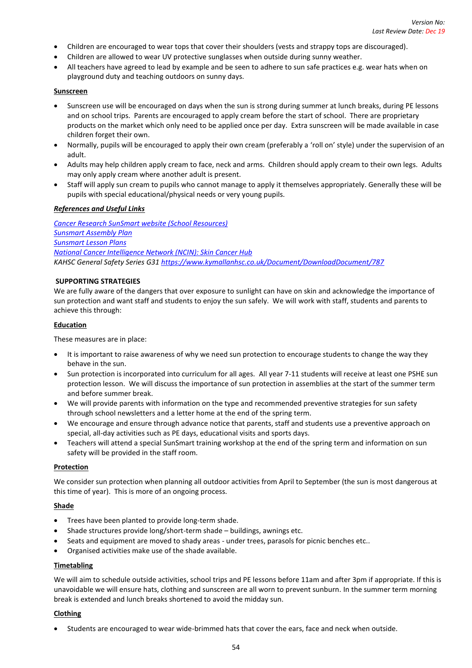- Children are encouraged to wear tops that cover their shoulders (vests and strappy tops are discouraged).
- Children are allowed to wear UV protective sunglasses when outside during sunny weather.
- All teachers have agreed to lead by example and be seen to adhere to sun safe practices e.g. wear hats when on playground duty and teaching outdoors on sunny days.

#### **Sunscreen**

- Sunscreen use will be encouraged on days when the sun is strong during summer at lunch breaks, during PE lessons and on school trips. Parents are encouraged to apply cream before the start of school. There are proprietary products on the market which only need to be applied once per day. Extra sunscreen will be made available in case children forget their own.
- Normally, pupils will be encouraged to apply their own cream (preferably a 'roll on' style) under the supervision of an adult.
- Adults may help children apply cream to face, neck and arms. Children should apply cream to their own legs. Adults may only apply cream where another adult is present.
- Staff will apply sun cream to pupils who cannot manage to apply it themselves appropriately. Generally these will be pupils with special educational/physical needs or very young pupils.

#### *References and Useful Links*

*[Cancer Research SunSmart website \(School Resources\)](http://www.sunsmart.org.uk/schools/schoolpolicyguidelines/) [Sunsmart Assembly Plan](http://www.cancerresearchuk.org/sites/default/files/assembly_plan.pdf) [Sunsmart Lesson Plans](http://www.cancerresearchuk.org/sites/default/files/lesson_plans.pdf) [National Cancer Intelligence Network \(NCIN\): Skin Cancer Hub](http://www.ncin.org.uk/cancer_type_and_topic_specific_work/cancer_type_specific_work/skin_cancer/skin_cancer_hub/) KAHSC General Safety Series G3[1 https://www.kymallanhsc.co.uk/Document/DownloadDocument/787](https://www.kymallanhsc.co.uk/Document/DownloadDocument/787)*

#### **SUPPORTING STRATEGIES**

We are fully aware of the dangers that over exposure to sunlight can have on skin and acknowledge the importance of sun protection and want staff and students to enjoy the sun safely. We will work with staff, students and parents to achieve this through:

#### **Education**

These measures are in place:

- It is important to raise awareness of why we need sun protection to encourage students to change the way they behave in the sun.
- Sun protection is incorporated into curriculum for all ages. All year 7-11 students will receive at least one PSHE sun protection lesson. We will discuss the importance of sun protection in assemblies at the start of the summer term and before summer break.
- We will provide parents with information on the type and recommended preventive strategies for sun safety through school newsletters and a letter home at the end of the spring term.
- We encourage and ensure through advance notice that parents, staff and students use a preventive approach on special, all-day activities such as PE days, educational visits and sports days.
- Teachers will attend a special SunSmart training workshop at the end of the spring term and information on sun safety will be provided in the staff room.

#### **Protection**

We consider sun protection when planning all outdoor activities from April to September (the sun is most dangerous at this time of year). This is more of an ongoing process.

#### **Shade**

- Trees have been planted to provide long-term shade.
- Shade structures provide long/short-term shade buildings, awnings etc.
- Seats and equipment are moved to shady areas under trees, parasols for picnic benches etc..
- Organised activities make use of the shade available.

#### **Timetabling**

We will aim to schedule outside activities, school trips and PE lessons before 11am and after 3pm if appropriate. If this is unavoidable we will ensure hats, clothing and sunscreen are all worn to prevent sunburn. In the summer term morning break is extended and lunch breaks shortened to avoid the midday sun.

#### **Clothing**

• Students are encouraged to wear wide-brimmed hats that cover the ears, face and neck when outside.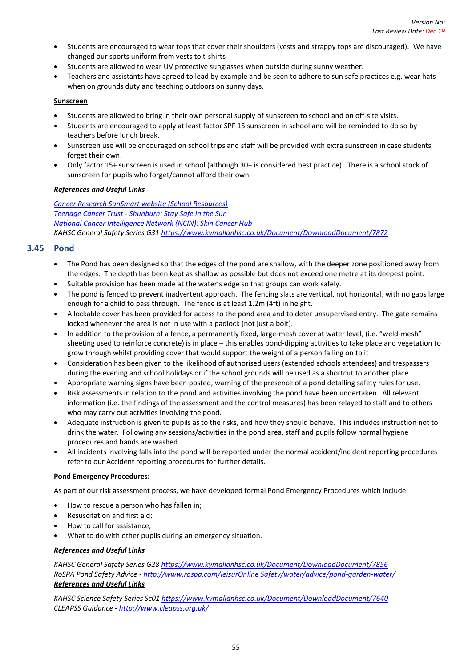- Students are encouraged to wear tops that cover their shoulders (vests and strappy tops are discouraged). We have changed our sports uniform from vests to t-shirts
- Students are allowed to wear UV protective sunglasses when outside during sunny weather.
- Teachers and assistants have agreed to lead by example and be seen to adhere to sun safe practices e.g. wear hats when on grounds duty and teaching outdoors on sunny days.

#### **Sunscreen**

- Students are allowed to bring in their own personal supply of sunscreen to school and on off-site visits.
- Students are encouraged to apply at least factor SPF 15 sunscreen in school and will be reminded to do so by teachers before lunch break.
- Sunscreen use will be encouraged on school trips and staff will be provided with extra sunscreen in case students forget their own.
- Only factor 15+ sunscreen is used in school (although 30+ is considered best practice). There is a school stock of sunscreen for pupils who forget/cannot afford their own.

#### *References and Useful Links*

*[Cancer Research SunSmart website \(School Resources\)](http://www.sunsmart.org.uk/schools/schoolpolicyguidelines/) Teenage Cancer Trust - [Shunburn: Stay Safe in the Sun](https://www.teenagecancertrust.org/support-us/spread-word/shunburn-stay-safe-sun) [National Cancer Intelligence Network \(NCIN\): Skin Cancer Hub](http://www.ncin.org.uk/cancer_type_and_topic_specific_work/cancer_type_specific_work/skin_cancer/skin_cancer_hub/) KAHSC General Safety Series G3[1 https://www.kymallanhsc.co.uk/Document/DownloadDocument/7872](https://www.kymallanhsc.co.uk/Document/DownloadDocument/7872)*

## <span id="page-58-0"></span>**3.45 Pond**

- The Pond has been designed so that the edges of the pond are shallow, with the deeper zone positioned away from the edges. The depth has been kept as shallow as possible but does not exceed one metre at its deepest point.
- Suitable provision has been made at the water's edge so that groups can work safely.
- The pond is fenced to prevent inadvertent approach. The fencing slats are vertical, not horizontal, with no gaps large enough for a child to pass through. The fence is at least 1.2m (4ft) in height.
- A lockable cover has been provided for access to the pond area and to deter unsupervised entry. The gate remains locked whenever the area is not in use with a padlock (not just a bolt).
- In addition to the provision of a fence, a permanently fixed, large-mesh cover at water level, (i.e. "weld-mesh" sheeting used to reinforce concrete) is in place – this enables pond-dipping activities to take place and vegetation to grow through whilst providing cover that would support the weight of a person falling on to it
- Consideration has been given to the likelihood of authorised users (extended schools attendees) and trespassers during the evening and school holidays or if the school grounds will be used as a shortcut to another place.
- Appropriate warning signs have been posted, warning of the presence of a pond detailing safety rules for use.
- Risk assessments in relation to the pond and activities involving the pond have been undertaken. All relevant information (i.e. the findings of the assessment and the control measures) has been relayed to staff and to others who may carry out activities involving the pond.
- Adequate instruction is given to pupils as to the risks, and how they should behave. This includes instruction not to drink the water. Following any sessions/activities in the pond area, staff and pupils follow normal hygiene procedures and hands are washed.
- All incidents involving falls into the pond will be reported under the normal accident/incident reporting procedures refer to our Accident reporting procedures for further details.

#### **Pond Emergency Procedures:**

As part of our risk assessment process, we have developed formal Pond Emergency Procedures which include:

- How to rescue a person who has fallen in;
- Resuscitation and first aid:
- How to call for assistance;
- What to do with other pupils during an emergency situation.

#### *References and Useful Links*

*KAHSC General Safety Series G2[8 https://www.kymallanhsc.co.uk/Document/DownloadDocument/7856](https://www.kymallanhsc.co.uk/Document/DownloadDocument/7856) RoSPA Pond Safety Advice - [http://www.rospa.com/leisurOnline Safety/water/advice/pond-garden-water/](http://www.rospa.com/leisure-safety/water/advice/pond-garden-water/) References and Useful Links*

*KAHSC Science Safety Series Sc01<https://www.kymallanhsc.co.uk/Document/DownloadDocument/7640> CLEAPSS Guidance - <http://www.cleapss.org.uk/>*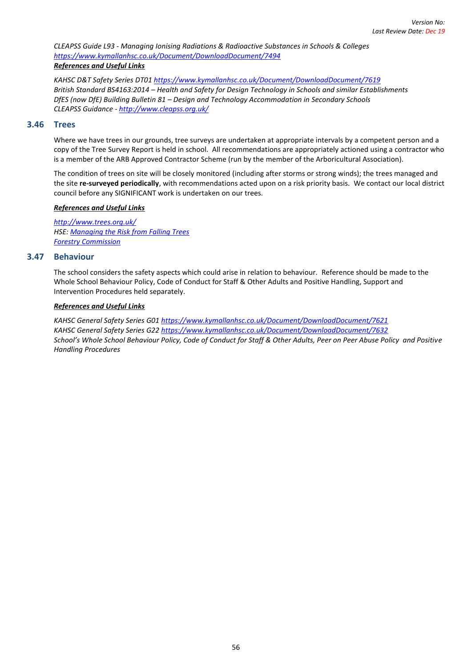*CLEAPSS Guide L93 - Managing Ionising Radiations & Radioactive Substances in Schools & Colleges <https://www.kymallanhsc.co.uk/Document/DownloadDocument/7494> References and Useful Links*

*KAHSC D&T Safety Series DT01<https://www.kymallanhsc.co.uk/Document/DownloadDocument/7619> British Standard BS4163:2014 – Health and Safety for Design Technology in Schools and similar Establishments DfES (now DfE) Building Bulletin 81 – Design and Technology Accommodation in Secondary Schools CLEAPSS Guidance - <http://www.cleapss.org.uk/>*

#### <span id="page-59-0"></span>**3.46 Trees**

Where we have trees in our grounds, tree surveys are undertaken at appropriate intervals by a competent person and a copy of the Tree Survey Report is held in school. All recommendations are appropriately actioned using a contractor who is a member of the ARB Approved Contractor Scheme (run by the member of the Arboricultural Association).

The condition of trees on site will be closely monitored (including after storms or strong winds); the trees managed and the site **re-surveyed periodically**, with recommendations acted upon on a risk priority basis. We contact our local district council before any SIGNIFICANT work is undertaken on our trees.

#### *References and Useful Links*

*<http://www.trees.org.uk/> HSE[: Managing the Risk from Falling Trees](http://www.hse.gov.uk/lau/lacs/23-22.htm) [Forestry Commission](http://www.forestry.gov.uk/)*

#### <span id="page-59-1"></span>**3.47 Behaviour**

The school considers the safety aspects which could arise in relation to behaviour. Reference should be made to the Whole School Behaviour Policy, Code of Conduct for Staff & Other Adults and Positive Handling, Support and Intervention Procedures held separately.

#### *References and Useful Links*

*KAHSC General Safety Series G0[1 https://www.kymallanhsc.co.uk/Document/DownloadDocument/7621](https://www.kymallanhsc.co.uk/Document/DownloadDocument/7621) KAHSC General Safety Series G2[2 https://www.kymallanhsc.co.uk/Document/DownloadDocument/7632](https://www.kymallanhsc.co.uk/Document/DownloadDocument/7632) School's Whole School Behaviour Policy, Code of Conduct for Staff & Other Adults, Peer on Peer Abuse Policy and Positive Handling Procedures*